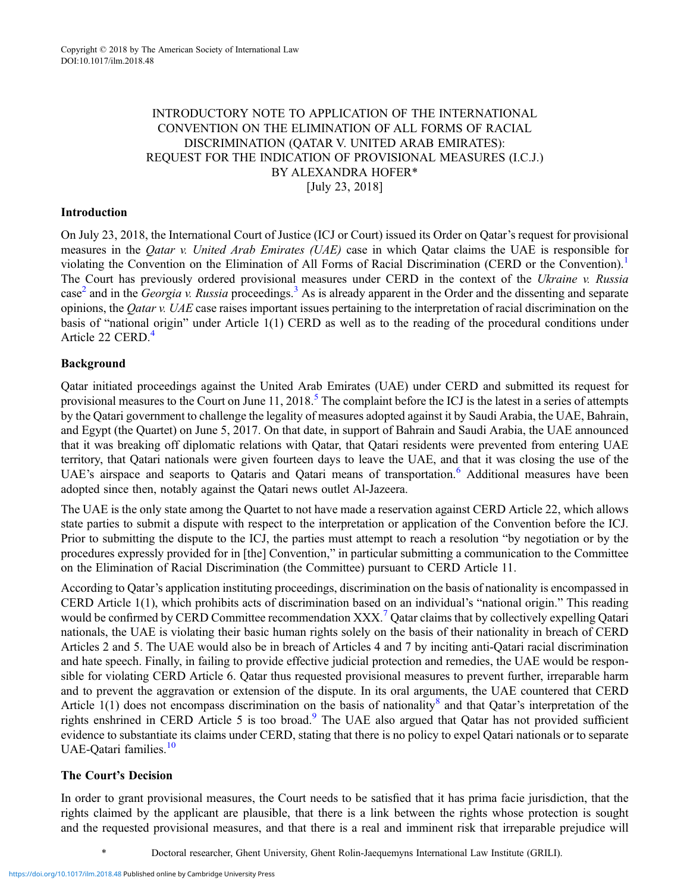# INTRODUCTORY NOTE TO APPLICATION OF THE INTERNATIONAL CONVENTION ON THE ELIMINATION OF ALL FORMS OF RACIAL DISCRIMINATION (QATAR V. UNITED ARAB EMIRATES): REQUEST FOR THE INDICATION OF PROVISIONAL MEASURES (I.C.J.) BY ALEXANDRA HOFER\* [July 23, 2018]

### Introduction

On July 23, 2018, the International Court of Justice (ICJ or Court) issued its Order on Qatar's request for provisional measures in the *Oatar v. United Arab Emirates (UAE)* case in which *Qatar claims* the UAE is responsible for violating the Convention on the Elimination of All Forms of Racial Discrimination (CERD or the Convention).<sup>[1](#page-1-0)</sup> The Court has previously ordered provisional measures under CERD in the context of the Ukraine v. Russia case<sup>[2](#page-1-0)</sup> and in the *Georgia v. Russia* proceedings.<sup>[3](#page-1-0)</sup> As is already apparent in the Order and the dissenting and separate opinions, the Qatar v. UAE case raises important issues pertaining to the interpretation of racial discrimination on the basis of "national origin" under Article 1(1) CERD as well as to the reading of the procedural conditions under Article 22 CERD.<sup>[4](#page-1-0)</sup>

### Background

Qatar initiated proceedings against the United Arab Emirates (UAE) under CERD and submitted its request for provisional measures to the Court on June 11, 2018.<sup>[5](#page-2-0)</sup> The complaint before the ICJ is the latest in a series of attempts by the Qatari government to challenge the legality of measures adopted against it by Saudi Arabia, the UAE, Bahrain, and Egypt (the Quartet) on June 5, 2017. On that date, in support of Bahrain and Saudi Arabia, the UAE announced that it was breaking off diplomatic relations with Qatar, that Qatari residents were prevented from entering UAE territory, that Qatari nationals were given fourteen days to leave the UAE, and that it was closing the use of the UAE's airspace and seaports to Qataris and Qatari means of transportation.<sup>[6](#page-2-0)</sup> Additional measures have been adopted since then, notably against the Qatari news outlet Al-Jazeera.

The UAE is the only state among the Quartet to not have made a reservation against CERD Article 22, which allows state parties to submit a dispute with respect to the interpretation or application of the Convention before the ICJ. Prior to submitting the dispute to the ICJ, the parties must attempt to reach a resolution "by negotiation or by the procedures expressly provided for in [the] Convention," in particular submitting a communication to the Committee on the Elimination of Racial Discrimination (the Committee) pursuant to CERD Article 11.

According to Qatar's application instituting proceedings, discrimination on the basis of nationality is encompassed in CERD Article 1(1), which prohibits acts of discrimination based on an individual's "national origin." This reading would be confirmed by CERD Committee recommendation XXX.<sup>[7](#page-2-0)</sup> Qatar claims that by collectively expelling Qatari nationals, the UAE is violating their basic human rights solely on the basis of their nationality in breach of CERD Articles 2 and 5. The UAE would also be in breach of Articles 4 and 7 by inciting anti-Qatari racial discrimination and hate speech. Finally, in failing to provide effective judicial protection and remedies, the UAE would be responsible for violating CERD Article 6. Qatar thus requested provisional measures to prevent further, irreparable harm and to prevent the aggravation or extension of the dispute. In its oral arguments, the UAE countered that CERD Article  $1(1)$  does not encompass discrimination on the basis of nationality<sup>[8](#page-2-0)</sup> and that Qatar's interpretation of the rights enshrined in CERD Article 5 is too broad.<sup>[9](#page-2-0)</sup> The UAE also argued that Qatar has not provided sufficient evidence to substantiate its claims under CERD, stating that there is no policy to expel Qatari nationals or to separate UAE-Qatari families.<sup>[10](#page-2-0)</sup>

## The Court's Decision

In order to grant provisional measures, the Court needs to be satisfied that it has prima facie jurisdiction, that the rights claimed by the applicant are plausible, that there is a link between the rights whose protection is sought and the requested provisional measures, and that there is a real and imminent risk that irreparable prejudice will

\* Doctoral researcher, Ghent University, Ghent Rolin-Jaequemyns International Law Institute (GRILI).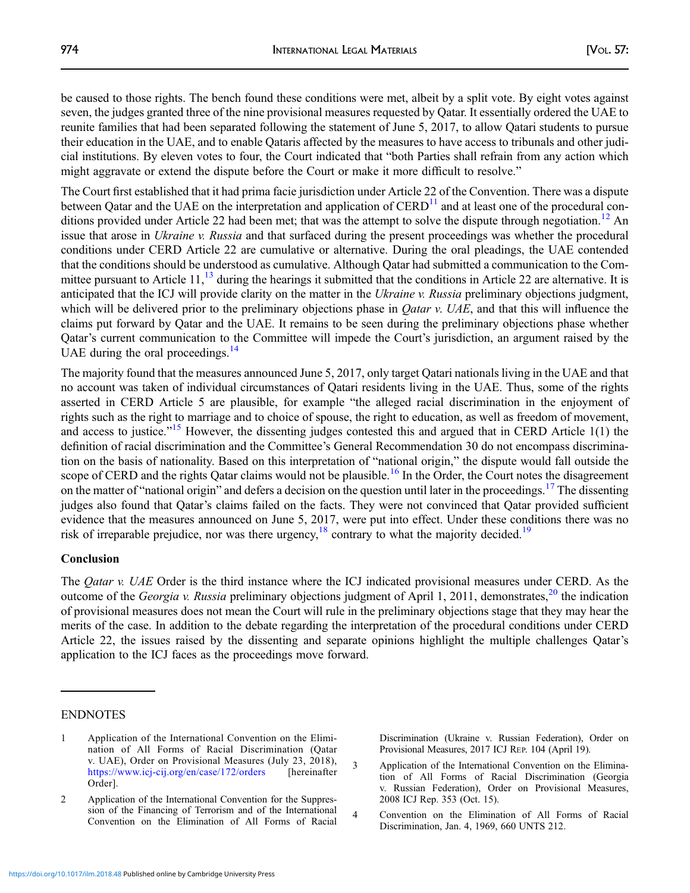<span id="page-1-0"></span>be caused to those rights. The bench found these conditions were met, albeit by a split vote. By eight votes against seven, the judges granted three of the nine provisional measures requested by Qatar. It essentially ordered the UAE to reunite families that had been separated following the statement of June 5, 2017, to allow Qatari students to pursue their education in the UAE, and to enable Qataris affected by the measures to have access to tribunals and other judicial institutions. By eleven votes to four, the Court indicated that "both Parties shall refrain from any action which might aggravate or extend the dispute before the Court or make it more difficult to resolve."

The Court first established that it had prima facie jurisdiction under Article 22 of the Convention. There was a dispute between Qatar and the UAE on the interpretation and application of  $CERD<sup>11</sup>$  $CERD<sup>11</sup>$  $CERD<sup>11</sup>$  and at least one of the procedural con-ditions provided under Article 22 had been met; that was the attempt to solve the dispute through negotiation.<sup>[12](#page-2-0)</sup> An issue that arose in Ukraine v. Russia and that surfaced during the present proceedings was whether the procedural conditions under CERD Article 22 are cumulative or alternative. During the oral pleadings, the UAE contended that the conditions should be understood as cumulative. Although Qatar had submitted a communication to the Committee pursuant to Article  $11<sup>13</sup>$  $11<sup>13</sup>$  $11<sup>13</sup>$  during the hearings it submitted that the conditions in Article 22 are alternative. It is anticipated that the ICJ will provide clarity on the matter in the Ukraine v. Russia preliminary objections judgment, which will be delivered prior to the preliminary objections phase in *Oatar v. UAE*, and that this will influence the claims put forward by Qatar and the UAE. It remains to be seen during the preliminary objections phase whether Qatar's current communication to the Committee will impede the Court's jurisdiction, an argument raised by the UAE during the oral proceedings.<sup>[14](#page-2-0)</sup>

The majority found that the measures announced June 5, 2017, only target Qatari nationals living in the UAE and that no account was taken of individual circumstances of Qatari residents living in the UAE. Thus, some of the rights asserted in CERD Article 5 are plausible, for example "the alleged racial discrimination in the enjoyment of rights such as the right to marriage and to choice of spouse, the right to education, as well as freedom of movement, and access to justice."<sup>[15](#page-2-0)</sup> However, the dissenting judges contested this and argued that in CERD Article 1(1) the definition of racial discrimination and the Committee's General Recommendation 30 do not encompass discrimination on the basis of nationality. Based on this interpretation of "national origin," the dispute would fall outside the scope of CERD and the rights Qatar claims would not be plausible.<sup>[16](#page-2-0)</sup> In the Order, the Court notes the disagreement on the matter of "national origin" and defers a decision on the question until later in the proceedings.<sup>[17](#page-2-0)</sup> The dissenting judges also found that Qatar's claims failed on the facts. They were not convinced that Qatar provided sufficient evidence that the measures announced on June 5, 2017, were put into effect. Under these conditions there was no risk of irreparable prejudice, nor was there urgency,  $^{18}$  $^{18}$  $^{18}$  contrary to what the majority decided.<sup>19</sup>

### Conclusion

The *Qatar v. UAE* Order is the third instance where the ICJ indicated provisional measures under CERD. As the outcome of the *Georgia v. Russia* preliminary objections judgment of April 1, [20](#page-2-0)11, demonstrates,  $^{20}$  the indication of provisional measures does not mean the Court will rule in the preliminary objections stage that they may hear the merits of the case. In addition to the debate regarding the interpretation of the procedural conditions under CERD Article 22, the issues raised by the dissenting and separate opinions highlight the multiple challenges Qatar's application to the ICJ faces as the proceedings move forward.

### ENDNOTES

2 Application of the International Convention for the Suppression of the Financing of Terrorism and of the International Convention on the Elimination of All Forms of Racial Discrimination (Ukraine v. Russian Federation), Order on Provisional Measures, 2017 ICJ REP. 104 (April 19).

3 Application of the International Convention on the Elimination of All Forms of Racial Discrimination (Georgia v. Russian Federation), Order on Provisional Measures, 2008 ICJ Rep. 353 (Oct. 15).

4 Convention on the Elimination of All Forms of Racial Discrimination, Jan. 4, 1969, 660 UNTS 212.

<sup>1</sup> Application of the International Convention on the Elimination of All Forms of Racial Discrimination (Qatar v. UAE), Order on Provisional Measures (July 23, 2018), <https://www.icj-cij.org/en/case/172/orders> [hereinafter Order].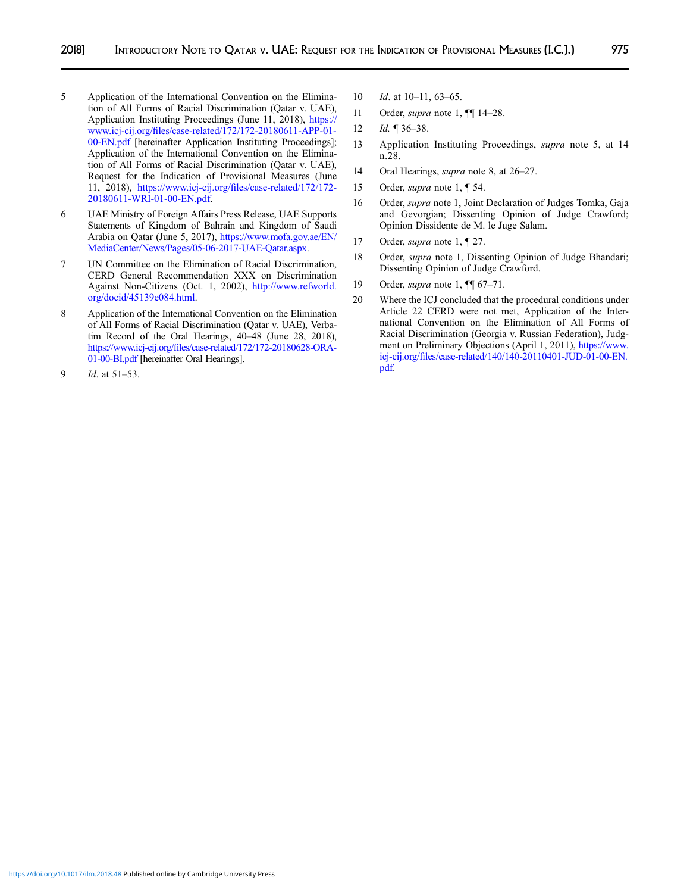- <span id="page-2-0"></span>5 Application of the International Convention on the Elimination of All Forms of Racial Discrimination (Qatar v. UAE), Application Instituting Proceedings (June 11, 2018), [https://](https://www.icj-cij.org/files/case-related/172/172-20180611-APP-01-00-EN.pdf) www.icj-cij.org/fi[les/case-related/172/172-20180611-APP-01-](https://www.icj-cij.org/files/case-related/172/172-20180611-APP-01-00-EN.pdf) [00-EN.pdf](https://www.icj-cij.org/files/case-related/172/172-20180611-APP-01-00-EN.pdf) [hereinafter Application Instituting Proceedings]; Application of the International Convention on the Elimination of All Forms of Racial Discrimination (Qatar v. UAE), Request for the Indication of Provisional Measures (June 11, 2018), https://www.icj-cij.org/fi[les/case-related/172/172-](https://www.icj-cij.org/files/case-related/172/172-20180611-WRI-01-00-EN.pdf) [20180611-WRI-01-00-EN.pdf.](https://www.icj-cij.org/files/case-related/172/172-20180611-WRI-01-00-EN.pdf)
- 6 UAE Ministry of Foreign Affairs Press Release, UAE Supports Statements of Kingdom of Bahrain and Kingdom of Saudi Arabia on Qatar (June 5, 2017), [https://www.mofa.gov.ae/EN/](https://www.mofa.gov.ae/EN/MediaCenter/News/Pages/05-06-2017-UAE-Qatar.aspx) [MediaCenter/News/Pages/05-06-2017-UAE-Qatar.aspx](https://www.mofa.gov.ae/EN/MediaCenter/News/Pages/05-06-2017-UAE-Qatar.aspx).
- 7 UN Committee on the Elimination of Racial Discrimination, CERD General Recommendation XXX on Discrimination Against Non-Citizens (Oct. 1, 2002), [http://www.refworld.](http://www.refworld.org/docid/45139e084.html) [org/docid/45139e084.html.](http://www.refworld.org/docid/45139e084.html)
- 8 Application of the International Convention on the Elimination of All Forms of Racial Discrimination (Qatar v. UAE), Verbatim Record of the Oral Hearings, 40–48 (June 28, 2018), https://www.icj-cij.org/fi[les/case-related/172/172-20180628-ORA-](https://www.icj-cij.org/files/case-related/172/172-20180628-ORA-01-00-BI.pdf)[01-00-BI.pdf](https://www.icj-cij.org/files/case-related/172/172-20180628-ORA-01-00-BI.pdf) [hereinafter Oral Hearings].
- 9  $Id.$  at  $51-53.$
- 10 *Id.* at 10–11, 63–65.
- 11 Order, *supra* note 1,  $\P$  14–28.
- 12 *Id.* ¶ 36–38.
- 13 Application Instituting Proceedings, supra note 5, at 14 n.28.
- 14 Oral Hearings, *supra* note 8, at 26–27.
- 15 Order, *supra* note 1, 1 54.
- 16 Order, supra note 1, Joint Declaration of Judges Tomka, Gaja and Gevorgian; Dissenting Opinion of Judge Crawford; Opinion Dissidente de M. le Juge Salam.
- 17 Order, *supra* note 1, ¶ 27.
- 18 Order, supra note 1, Dissenting Opinion of Judge Bhandari; Dissenting Opinion of Judge Crawford.
- 19 Order, *supra* note 1,  $\P$  67-71.
- 20 Where the ICJ concluded that the procedural conditions under Article 22 CERD were not met, Application of the International Convention on the Elimination of All Forms of Racial Discrimination (Georgia v. Russian Federation), Judgment on Preliminary Objections (April 1, 2011), [https://www.](https://www.icj-cij.org/files/case-related/140/140-20110401-JUD-01-00-EN.pdf) icj-cij.org/fi[les/case-related/140/140-20110401-JUD-01-00-EN.](https://www.icj-cij.org/files/case-related/140/140-20110401-JUD-01-00-EN.pdf) [pdf.](https://www.icj-cij.org/files/case-related/140/140-20110401-JUD-01-00-EN.pdf)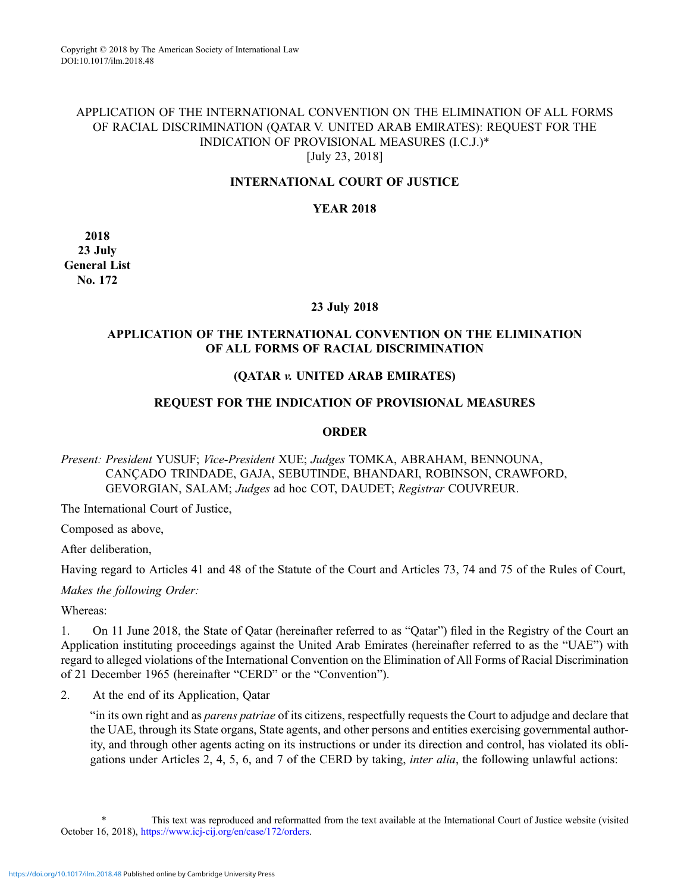### APPLICATION OF THE INTERNATIONAL CONVENTION ON THE ELIMINATION OF ALL FORMS OF RACIAL DISCRIMINATION (QATAR V. UNITED ARAB EMIRATES): REQUEST FOR THE INDICATION OF PROVISIONAL MEASURES (I.C.J.)\* [July 23, 2018]

### INTERNATIONAL COURT OF JUSTICE

### YEAR 2018

2018 23 July General List No. 172

### 23 July 2018

## APPLICATION OF THE INTERNATIONAL CONVENTION ON THE ELIMINATION OF ALL FORMS OF RACIAL DISCRIMINATION

### (QATAR v. UNITED ARAB EMIRATES)

### REQUEST FOR THE INDICATION OF PROVISIONAL MEASURES

#### **ORDER**

Present: President YUSUF; Vice-President XUE; Judges TOMKA, ABRAHAM, BENNOUNA, CANÇADO TRINDADE, GAJA, SEBUTINDE, BHANDARI, ROBINSON, CRAWFORD, GEVORGIAN, SALAM; Judges ad hoc COT, DAUDET; Registrar COUVREUR.

The International Court of Justice,

Composed as above,

After deliberation,

Having regard to Articles 41 and 48 of the Statute of the Court and Articles 73, 74 and 75 of the Rules of Court,

Makes the following Order:

Whereas:

1. On 11 June 2018, the State of Qatar (hereinafter referred to as "Qatar") filed in the Registry of the Court an Application instituting proceedings against the United Arab Emirates (hereinafter referred to as the "UAE") with regard to alleged violations of the International Convention on the Elimination of All Forms of Racial Discrimination of 21 December 1965 (hereinafter "CERD" or the "Convention").

2. At the end of its Application, Qatar

"in its own right and as parens patriae of its citizens, respectfully requests the Court to adjudge and declare that the UAE, through its State organs, State agents, and other persons and entities exercising governmental authority, and through other agents acting on its instructions or under its direction and control, has violated its obligations under Articles 2, 4, 5, 6, and 7 of the CERD by taking, inter alia, the following unlawful actions:

This text was reproduced and reformatted from the text available at the International Court of Justice website (visited October 16, 2018), [https://www.icj-cij.org/en/case/172/orders.](https://www.icj-cij.org/en/case/172/orders)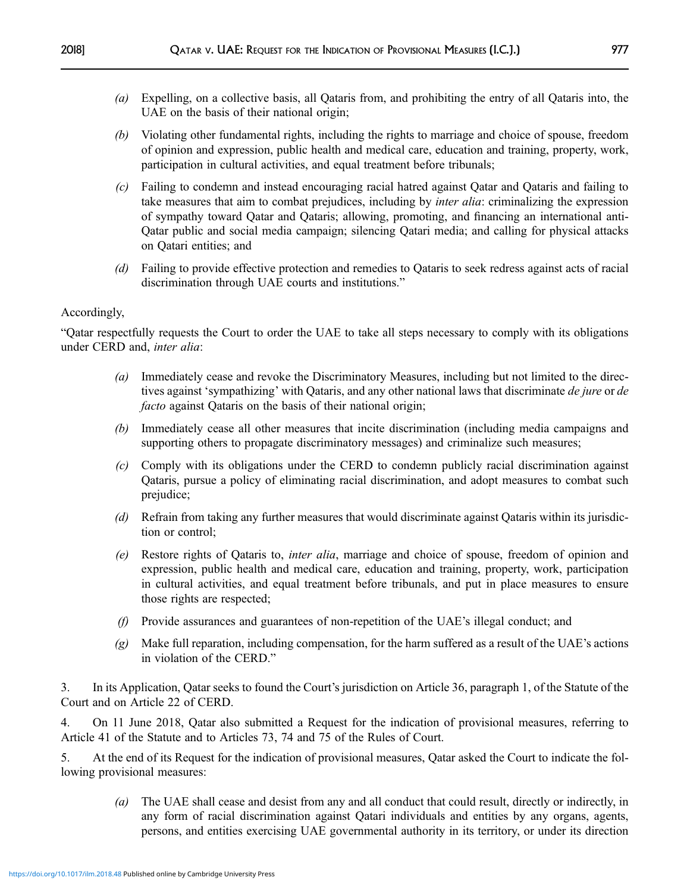- (a) Expelling, on a collective basis, all Qataris from, and prohibiting the entry of all Qataris into, the UAE on the basis of their national origin;
- (b) Violating other fundamental rights, including the rights to marriage and choice of spouse, freedom of opinion and expression, public health and medical care, education and training, property, work, participation in cultural activities, and equal treatment before tribunals;
- (c) Failing to condemn and instead encouraging racial hatred against Qatar and Qataris and failing to take measures that aim to combat prejudices, including by *inter alia*: criminalizing the expression of sympathy toward Qatar and Qataris; allowing, promoting, and financing an international anti-Qatar public and social media campaign; silencing Qatari media; and calling for physical attacks on Qatari entities; and
- (d) Failing to provide effective protection and remedies to Qataris to seek redress against acts of racial discrimination through UAE courts and institutions."

### Accordingly,

"Qatar respectfully requests the Court to order the UAE to take all steps necessary to comply with its obligations under CERD and, inter alia:

- (a) Immediately cease and revoke the Discriminatory Measures, including but not limited to the directives against 'sympathizing' with Qataris, and any other national laws that discriminate de jure or de facto against Qataris on the basis of their national origin;
- (b) Immediately cease all other measures that incite discrimination (including media campaigns and supporting others to propagate discriminatory messages) and criminalize such measures;
- (c) Comply with its obligations under the CERD to condemn publicly racial discrimination against Qataris, pursue a policy of eliminating racial discrimination, and adopt measures to combat such prejudice;
- (d) Refrain from taking any further measures that would discriminate against Qataris within its jurisdiction or control;
- (e) Restore rights of Qataris to, inter alia, marriage and choice of spouse, freedom of opinion and expression, public health and medical care, education and training, property, work, participation in cultural activities, and equal treatment before tribunals, and put in place measures to ensure those rights are respected;
- (f) Provide assurances and guarantees of non-repetition of the UAE's illegal conduct; and
- $(g)$  Make full reparation, including compensation, for the harm suffered as a result of the UAE's actions in violation of the CERD."

3. In its Application, Qatar seeks to found the Court's jurisdiction on Article 36, paragraph 1, of the Statute of the Court and on Article 22 of CERD.

4. On 11 June 2018, Qatar also submitted a Request for the indication of provisional measures, referring to Article 41 of the Statute and to Articles 73, 74 and 75 of the Rules of Court.

5. At the end of its Request for the indication of provisional measures, Qatar asked the Court to indicate the following provisional measures:

(a) The UAE shall cease and desist from any and all conduct that could result, directly or indirectly, in any form of racial discrimination against Qatari individuals and entities by any organs, agents, persons, and entities exercising UAE governmental authority in its territory, or under its direction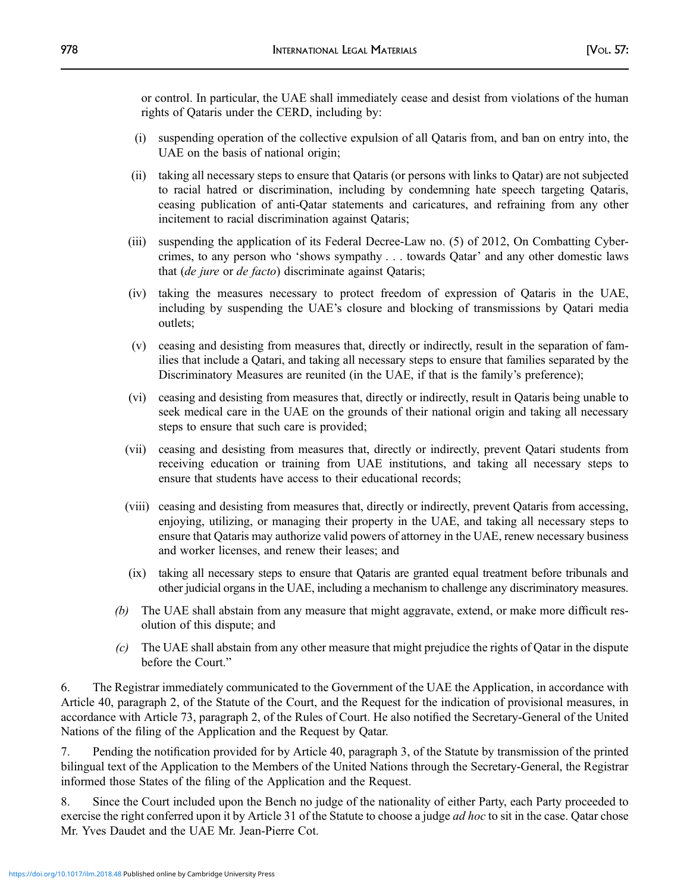or control. In particular, the UAE shall immediately cease and desist from violations of the human rights of Qataris under the CERD, including by:

- (i) suspending operation of the collective expulsion of all Qataris from, and ban on entry into, the UAE on the basis of national origin;
- (ii) taking all necessary steps to ensure that Qataris (or persons with links to Qatar) are not subjected to racial hatred or discrimination, including by condemning hate speech targeting Qataris, ceasing publication of anti-Qatar statements and caricatures, and refraining from any other incitement to racial discrimination against Qataris;
- (iii) suspending the application of its Federal Decree-Law no. (5) of 2012, On Combatting Cybercrimes, to any person who 'shows sympathy . . . towards Qatar' and any other domestic laws that (de jure or de facto) discriminate against Qataris;
- (iv) taking the measures necessary to protect freedom of expression of Qataris in the UAE, including by suspending the UAE's closure and blocking of transmissions by Qatari media outlets;
- (v) ceasing and desisting from measures that, directly or indirectly, result in the separation of families that include a Qatari, and taking all necessary steps to ensure that families separated by the Discriminatory Measures are reunited (in the UAE, if that is the family's preference);
- (vi) ceasing and desisting from measures that, directly or indirectly, result in Qataris being unable to seek medical care in the UAE on the grounds of their national origin and taking all necessary steps to ensure that such care is provided;
- (vii) ceasing and desisting from measures that, directly or indirectly, prevent Qatari students from receiving education or training from UAE institutions, and taking all necessary steps to ensure that students have access to their educational records;
- (viii) ceasing and desisting from measures that, directly or indirectly, prevent Qataris from accessing, enjoying, utilizing, or managing their property in the UAE, and taking all necessary steps to ensure that Qataris may authorize valid powers of attorney in the UAE, renew necessary business and worker licenses, and renew their leases; and
- (ix) taking all necessary steps to ensure that Qataris are granted equal treatment before tribunals and other judicial organs in the UAE, including a mechanism to challenge any discriminatory measures.
- (b) The UAE shall abstain from any measure that might aggravate, extend, or make more difficult resolution of this dispute; and
- $(c)$  The UAE shall abstain from any other measure that might prejudice the rights of Qatar in the dispute before the Court."

6. The Registrar immediately communicated to the Government of the UAE the Application, in accordance with Article 40, paragraph 2, of the Statute of the Court, and the Request for the indication of provisional measures, in accordance with Article 73, paragraph 2, of the Rules of Court. He also notified the Secretary-General of the United Nations of the filing of the Application and the Request by Qatar.

7. Pending the notification provided for by Article 40, paragraph 3, of the Statute by transmission of the printed bilingual text of the Application to the Members of the United Nations through the Secretary-General, the Registrar informed those States of the filing of the Application and the Request.

8. Since the Court included upon the Bench no judge of the nationality of either Party, each Party proceeded to exercise the right conferred upon it by Article 31 of the Statute to choose a judge *ad hoc* to sit in the case. Qatar chose Mr. Yves Daudet and the UAE Mr. Jean-Pierre Cot.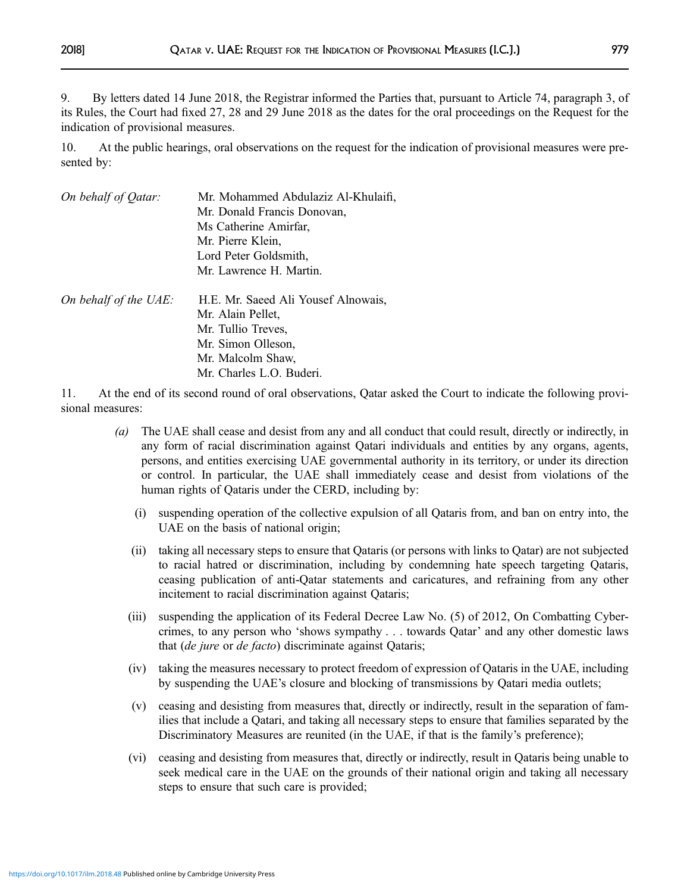9. By letters dated 14 June 2018, the Registrar informed the Parties that, pursuant to Article 74, paragraph 3, of its Rules, the Court had fixed 27, 28 and 29 June 2018 as the dates for the oral proceedings on the Request for the indication of provisional measures.

10. At the public hearings, oral observations on the request for the indication of provisional measures were presented by:

| On behalf of Qatar:   | Mr. Mohammed Abdulaziz Al-Khulaifi,<br>Mr. Donald Francis Donovan,<br>Ms Catherine Amirfar,<br>Mr. Pierre Klein,<br>Lord Peter Goldsmith,<br>Mr. Lawrence H. Martin. |
|-----------------------|----------------------------------------------------------------------------------------------------------------------------------------------------------------------|
| On behalf of the UAE: | H.E. Mr. Saeed Ali Yousef Alnowais,<br>Mr. Alain Pellet,<br>Mr. Tullio Treves,<br>Mr. Simon Olleson,<br>Mr. Malcolm Shaw,<br>Mr. Charles L.O. Buderi.                |

11. At the end of its second round of oral observations, Qatar asked the Court to indicate the following provisional measures:

- (a) The UAE shall cease and desist from any and all conduct that could result, directly or indirectly, in any form of racial discrimination against Qatari individuals and entities by any organs, agents, persons, and entities exercising UAE governmental authority in its territory, or under its direction or control. In particular, the UAE shall immediately cease and desist from violations of the human rights of Qataris under the CERD, including by:
	- (i) suspending operation of the collective expulsion of all Qataris from, and ban on entry into, the UAE on the basis of national origin;
	- (ii) taking all necessary steps to ensure that Qataris (or persons with links to Qatar) are not subjected to racial hatred or discrimination, including by condemning hate speech targeting Qataris, ceasing publication of anti-Qatar statements and caricatures, and refraining from any other incitement to racial discrimination against Qataris;
	- (iii) suspending the application of its Federal Decree Law No. (5) of 2012, On Combatting Cybercrimes, to any person who 'shows sympathy . . . towards Qatar' and any other domestic laws that (de jure or de facto) discriminate against Qataris;
	- (iv) taking the measures necessary to protect freedom of expression of Qataris in the UAE, including by suspending the UAE's closure and blocking of transmissions by Qatari media outlets;
	- (v) ceasing and desisting from measures that, directly or indirectly, result in the separation of families that include a Qatari, and taking all necessary steps to ensure that families separated by the Discriminatory Measures are reunited (in the UAE, if that is the family's preference);
	- (vi) ceasing and desisting from measures that, directly or indirectly, result in Qataris being unable to seek medical care in the UAE on the grounds of their national origin and taking all necessary steps to ensure that such care is provided;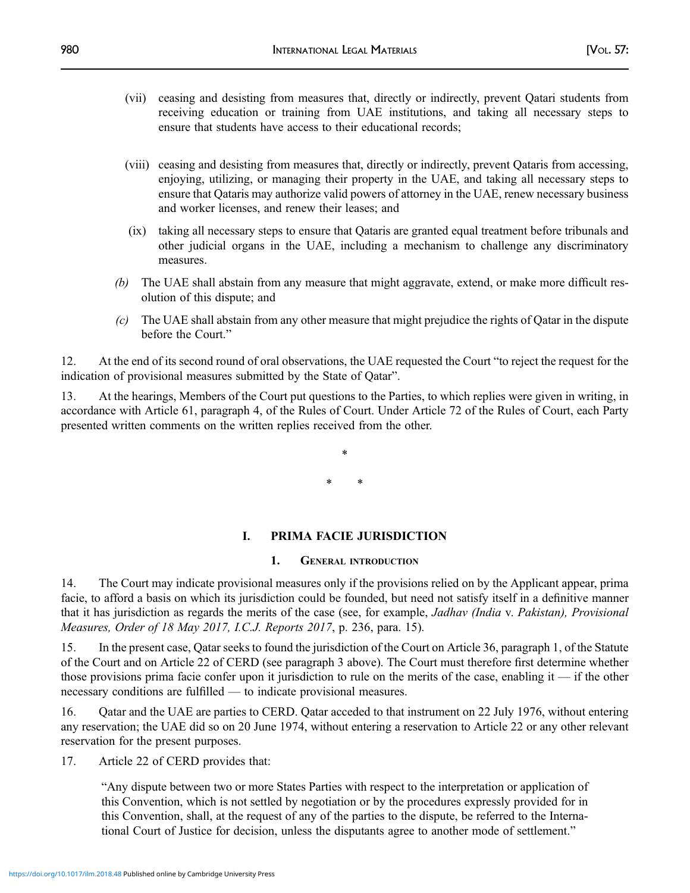- (vii) ceasing and desisting from measures that, directly or indirectly, prevent Qatari students from receiving education or training from UAE institutions, and taking all necessary steps to ensure that students have access to their educational records;
- (viii) ceasing and desisting from measures that, directly or indirectly, prevent Qataris from accessing, enjoying, utilizing, or managing their property in the UAE, and taking all necessary steps to ensure that Qataris may authorize valid powers of attorney in the UAE, renew necessary business and worker licenses, and renew their leases; and
- (ix) taking all necessary steps to ensure that Qataris are granted equal treatment before tribunals and other judicial organs in the UAE, including a mechanism to challenge any discriminatory measures.
- (b) The UAE shall abstain from any measure that might aggravate, extend, or make more difficult resolution of this dispute; and
- $(c)$  The UAE shall abstain from any other measure that might prejudice the rights of Qatar in the dispute before the Court."

12. At the end of its second round of oral observations, the UAE requested the Court "to reject the request for the indication of provisional measures submitted by the State of Qatar".

13. At the hearings, Members of the Court put questions to the Parties, to which replies were given in writing, in accordance with Article 61, paragraph 4, of the Rules of Court. Under Article 72 of the Rules of Court, each Party presented written comments on the written replies received from the other.

> \* \* \*

# I. PRIMA FACIE JURISDICTION

## 1. GENERAL INTRODUCTION

14. The Court may indicate provisional measures only if the provisions relied on by the Applicant appear, prima facie, to afford a basis on which its jurisdiction could be founded, but need not satisfy itself in a definitive manner that it has jurisdiction as regards the merits of the case (see, for example, Jadhav (India v. Pakistan), Provisional Measures, Order of 18 May 2017, I.C.J. Reports 2017, p. 236, para. 15).

15. In the present case, Qatar seeks to found the jurisdiction of the Court on Article 36, paragraph 1, of the Statute of the Court and on Article 22 of CERD (see paragraph 3 above). The Court must therefore first determine whether those provisions prima facie confer upon it jurisdiction to rule on the merits of the case, enabling it — if the other necessary conditions are fulfilled — to indicate provisional measures.

16. Qatar and the UAE are parties to CERD. Qatar acceded to that instrument on 22 July 1976, without entering any reservation; the UAE did so on 20 June 1974, without entering a reservation to Article 22 or any other relevant reservation for the present purposes.

17. Article 22 of CERD provides that:

"Any dispute between two or more States Parties with respect to the interpretation or application of this Convention, which is not settled by negotiation or by the procedures expressly provided for in this Convention, shall, at the request of any of the parties to the dispute, be referred to the International Court of Justice for decision, unless the disputants agree to another mode of settlement."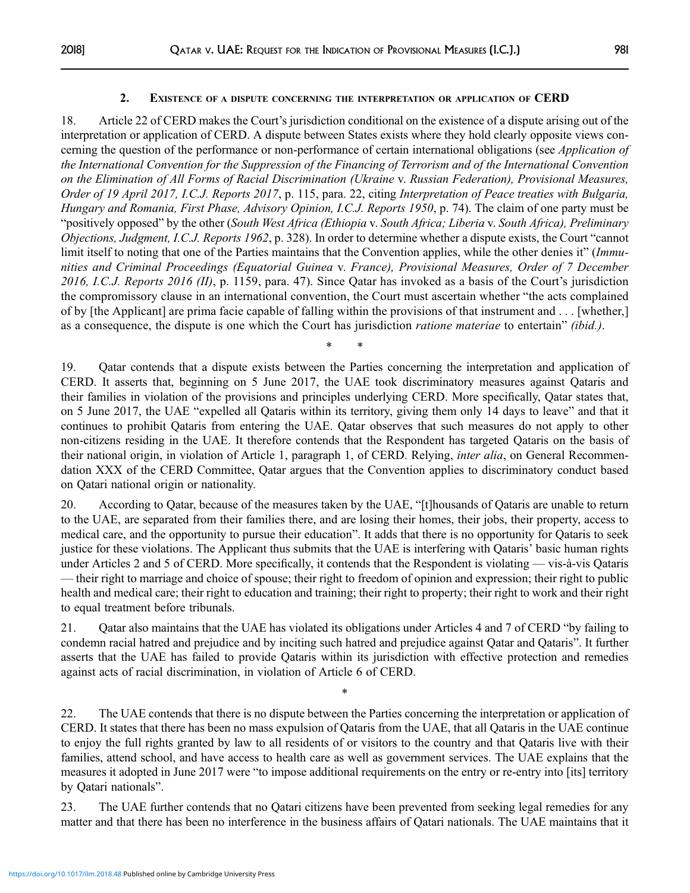### 2. EXISTENCE OF A DISPUTE CONCERNING THE INTERPRETATION OR APPLICATION OF CERD

18. Article 22 of CERD makes the Court's jurisdiction conditional on the existence of a dispute arising out of the interpretation or application of CERD. A dispute between States exists where they hold clearly opposite views concerning the question of the performance or non-performance of certain international obligations (see *Application of* the International Convention for the Suppression of the Financing of Terrorism and of the International Convention on the Elimination of All Forms of Racial Discrimination (Ukraine v. Russian Federation), Provisional Measures, Order of 19 April 2017, I.C.J. Reports 2017, p. 115, para. 22, citing Interpretation of Peace treaties with Bulgaria, Hungary and Romania, First Phase, Advisory Opinion, I.C.J. Reports 1950, p. 74). The claim of one party must be "positively opposed" by the other (South West Africa (Ethiopia v. South Africa; Liberia v. South Africa), Preliminary Objections, Judgment, I.C.J. Reports 1962, p. 328). In order to determine whether a dispute exists, the Court "cannot limit itself to noting that one of the Parties maintains that the Convention applies, while the other denies it" (Immunities and Criminal Proceedings (Equatorial Guinea v. France), Provisional Measures, Order of 7 December 2016, I.C.J. Reports 2016 (II), p. 1159, para. 47). Since Qatar has invoked as a basis of the Court's jurisdiction the compromissory clause in an international convention, the Court must ascertain whether "the acts complained of by [the Applicant] are prima facie capable of falling within the provisions of that instrument and . . . [whether,] as a consequence, the dispute is one which the Court has jurisdiction *ratione materiae* to entertain" (ibid.).

\* \*

19. Qatar contends that a dispute exists between the Parties concerning the interpretation and application of CERD. It asserts that, beginning on 5 June 2017, the UAE took discriminatory measures against Qataris and their families in violation of the provisions and principles underlying CERD. More specifically, Qatar states that, on 5 June 2017, the UAE "expelled all Qataris within its territory, giving them only 14 days to leave" and that it continues to prohibit Qataris from entering the UAE. Qatar observes that such measures do not apply to other non-citizens residing in the UAE. It therefore contends that the Respondent has targeted Qataris on the basis of their national origin, in violation of Article 1, paragraph 1, of CERD. Relying, *inter alia*, on General Recommendation XXX of the CERD Committee, Qatar argues that the Convention applies to discriminatory conduct based on Qatari national origin or nationality.

20. According to Qatar, because of the measures taken by the UAE, "[t]housands of Qataris are unable to return to the UAE, are separated from their families there, and are losing their homes, their jobs, their property, access to medical care, and the opportunity to pursue their education". It adds that there is no opportunity for Qataris to seek justice for these violations. The Applicant thus submits that the UAE is interfering with Qataris' basic human rights under Articles 2 and 5 of CERD. More specifically, it contends that the Respondent is violating — vis-à-vis Qataris — their right to marriage and choice of spouse; their right to freedom of opinion and expression; their right to public health and medical care; their right to education and training; their right to property; their right to work and their right to equal treatment before tribunals.

21. Qatar also maintains that the UAE has violated its obligations under Articles 4 and 7 of CERD "by failing to condemn racial hatred and prejudice and by inciting such hatred and prejudice against Qatar and Qataris". It further asserts that the UAE has failed to provide Qataris within its jurisdiction with effective protection and remedies against acts of racial discrimination, in violation of Article 6 of CERD.

\*

22. The UAE contends that there is no dispute between the Parties concerning the interpretation or application of CERD. It states that there has been no mass expulsion of Qataris from the UAE, that all Qataris in the UAE continue to enjoy the full rights granted by law to all residents of or visitors to the country and that Qataris live with their families, attend school, and have access to health care as well as government services. The UAE explains that the measures it adopted in June 2017 were "to impose additional requirements on the entry or re-entry into [its] territory by Qatari nationals".

23. The UAE further contends that no Qatari citizens have been prevented from seeking legal remedies for any matter and that there has been no interference in the business affairs of Qatari nationals. The UAE maintains that it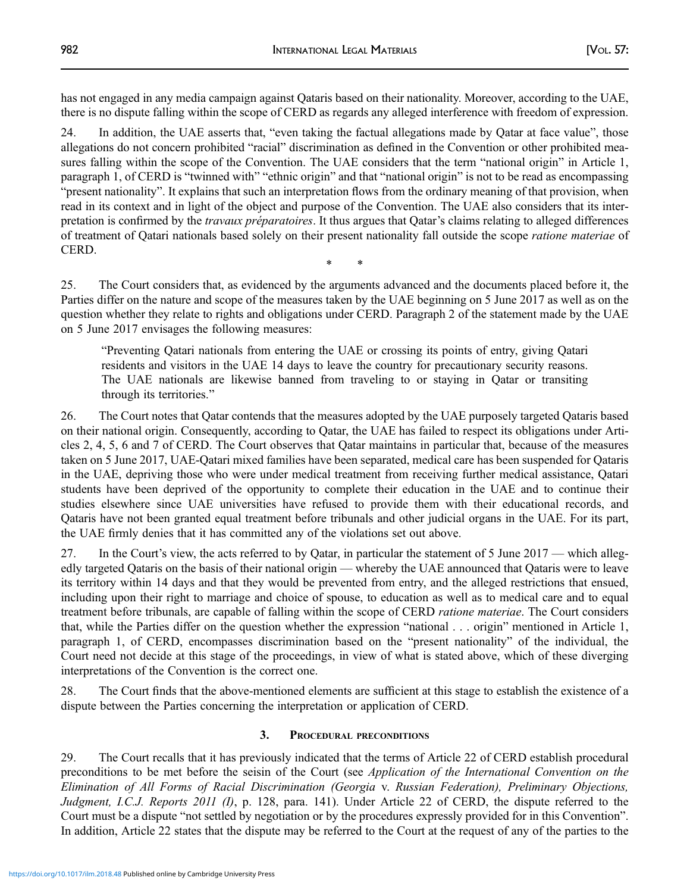has not engaged in any media campaign against Qataris based on their nationality. Moreover, according to the UAE, there is no dispute falling within the scope of CERD as regards any alleged interference with freedom of expression.

24. In addition, the UAE asserts that, "even taking the factual allegations made by Qatar at face value", those allegations do not concern prohibited "racial" discrimination as defined in the Convention or other prohibited measures falling within the scope of the Convention. The UAE considers that the term "national origin" in Article 1, paragraph 1, of CERD is "twinned with" "ethnic origin" and that "national origin" is not to be read as encompassing "present nationality". It explains that such an interpretation flows from the ordinary meaning of that provision, when read in its context and in light of the object and purpose of the Convention. The UAE also considers that its interpretation is confirmed by the *travaux préparatoires*. It thus argues that Qatar's claims relating to alleged differences of treatment of Qatari nationals based solely on their present nationality fall outside the scope ratione materiae of CERD.

25. The Court considers that, as evidenced by the arguments advanced and the documents placed before it, the Parties differ on the nature and scope of the measures taken by the UAE beginning on 5 June 2017 as well as on the question whether they relate to rights and obligations under CERD. Paragraph 2 of the statement made by the UAE on 5 June 2017 envisages the following measures:

\* \*

"Preventing Qatari nationals from entering the UAE or crossing its points of entry, giving Qatari residents and visitors in the UAE 14 days to leave the country for precautionary security reasons. The UAE nationals are likewise banned from traveling to or staying in Qatar or transiting through its territories."

26. The Court notes that Qatar contends that the measures adopted by the UAE purposely targeted Qataris based on their national origin. Consequently, according to Qatar, the UAE has failed to respect its obligations under Articles 2, 4, 5, 6 and 7 of CERD. The Court observes that Qatar maintains in particular that, because of the measures taken on 5 June 2017, UAE-Qatari mixed families have been separated, medical care has been suspended for Qataris in the UAE, depriving those who were under medical treatment from receiving further medical assistance, Qatari students have been deprived of the opportunity to complete their education in the UAE and to continue their studies elsewhere since UAE universities have refused to provide them with their educational records, and Qataris have not been granted equal treatment before tribunals and other judicial organs in the UAE. For its part, the UAE firmly denies that it has committed any of the violations set out above.

27. In the Court's view, the acts referred to by Qatar, in particular the statement of 5 June 2017 — which allegedly targeted Qataris on the basis of their national origin — whereby the UAE announced that Qataris were to leave its territory within 14 days and that they would be prevented from entry, and the alleged restrictions that ensued, including upon their right to marriage and choice of spouse, to education as well as to medical care and to equal treatment before tribunals, are capable of falling within the scope of CERD ratione materiae. The Court considers that, while the Parties differ on the question whether the expression "national . . . origin" mentioned in Article 1, paragraph 1, of CERD, encompasses discrimination based on the "present nationality" of the individual, the Court need not decide at this stage of the proceedings, in view of what is stated above, which of these diverging interpretations of the Convention is the correct one.

28. The Court finds that the above-mentioned elements are sufficient at this stage to establish the existence of a dispute between the Parties concerning the interpretation or application of CERD.

## 3. PROCEDURAL PRECONDITIONS

29. The Court recalls that it has previously indicated that the terms of Article 22 of CERD establish procedural preconditions to be met before the seisin of the Court (see Application of the International Convention on the Elimination of All Forms of Racial Discrimination (Georgia v. Russian Federation), Preliminary Objections, Judgment, I.C.J. Reports 2011 (I), p. 128, para. 141). Under Article 22 of CERD, the dispute referred to the Court must be a dispute "not settled by negotiation or by the procedures expressly provided for in this Convention". In addition, Article 22 states that the dispute may be referred to the Court at the request of any of the parties to the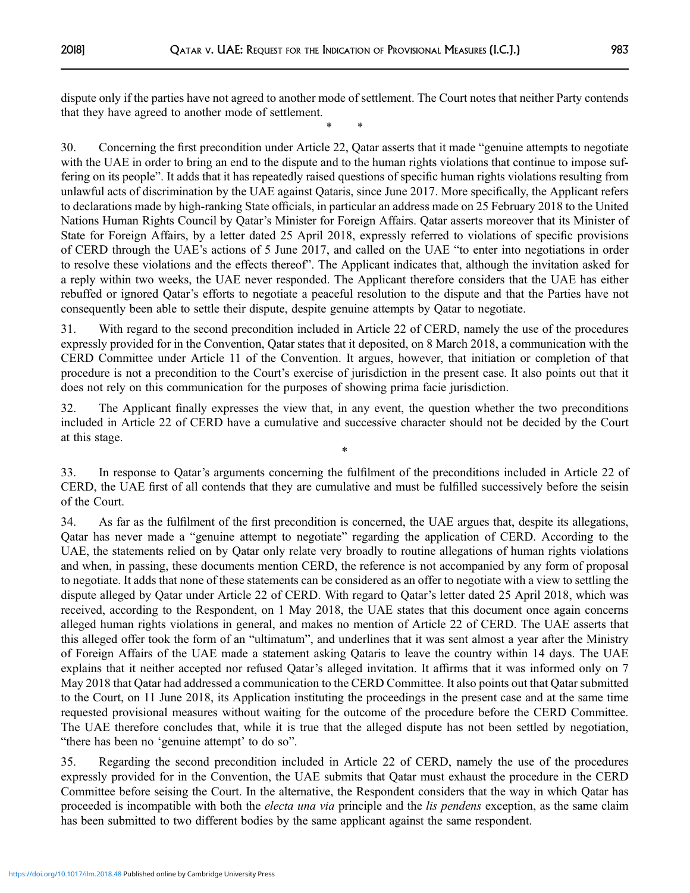dispute only if the parties have not agreed to another mode of settlement. The Court notes that neither Party contends that they have agreed to another mode of settlement. \* \*

30. Concerning the first precondition under Article 22, Qatar asserts that it made "genuine attempts to negotiate with the UAE in order to bring an end to the dispute and to the human rights violations that continue to impose suffering on its people". It adds that it has repeatedly raised questions of specific human rights violations resulting from unlawful acts of discrimination by the UAE against Qataris, since June 2017. More specifically, the Applicant refers to declarations made by high-ranking State officials, in particular an address made on 25 February 2018 to the United Nations Human Rights Council by Qatar's Minister for Foreign Affairs. Qatar asserts moreover that its Minister of State for Foreign Affairs, by a letter dated 25 April 2018, expressly referred to violations of specific provisions of CERD through the UAE's actions of 5 June 2017, and called on the UAE "to enter into negotiations in order to resolve these violations and the effects thereof". The Applicant indicates that, although the invitation asked for a reply within two weeks, the UAE never responded. The Applicant therefore considers that the UAE has either rebuffed or ignored Qatar's efforts to negotiate a peaceful resolution to the dispute and that the Parties have not consequently been able to settle their dispute, despite genuine attempts by Qatar to negotiate.

31. With regard to the second precondition included in Article 22 of CERD, namely the use of the procedures expressly provided for in the Convention, Qatar states that it deposited, on 8 March 2018, a communication with the CERD Committee under Article 11 of the Convention. It argues, however, that initiation or completion of that procedure is not a precondition to the Court's exercise of jurisdiction in the present case. It also points out that it does not rely on this communication for the purposes of showing prima facie jurisdiction.

32. The Applicant finally expresses the view that, in any event, the question whether the two preconditions included in Article 22 of CERD have a cumulative and successive character should not be decided by the Court at this stage.

\*

33. In response to Qatar's arguments concerning the fulfilment of the preconditions included in Article 22 of CERD, the UAE first of all contends that they are cumulative and must be fulfilled successively before the seisin of the Court.

34. As far as the fulfilment of the first precondition is concerned, the UAE argues that, despite its allegations, Qatar has never made a "genuine attempt to negotiate" regarding the application of CERD. According to the UAE, the statements relied on by Qatar only relate very broadly to routine allegations of human rights violations and when, in passing, these documents mention CERD, the reference is not accompanied by any form of proposal to negotiate. It adds that none of these statements can be considered as an offer to negotiate with a view to settling the dispute alleged by Qatar under Article 22 of CERD. With regard to Qatar's letter dated 25 April 2018, which was received, according to the Respondent, on 1 May 2018, the UAE states that this document once again concerns alleged human rights violations in general, and makes no mention of Article 22 of CERD. The UAE asserts that this alleged offer took the form of an "ultimatum", and underlines that it was sent almost a year after the Ministry of Foreign Affairs of the UAE made a statement asking Qataris to leave the country within 14 days. The UAE explains that it neither accepted nor refused Qatar's alleged invitation. It affirms that it was informed only on 7 May 2018 that Qatar had addressed a communication to the CERD Committee. It also points out that Qatar submitted to the Court, on 11 June 2018, its Application instituting the proceedings in the present case and at the same time requested provisional measures without waiting for the outcome of the procedure before the CERD Committee. The UAE therefore concludes that, while it is true that the alleged dispute has not been settled by negotiation, "there has been no 'genuine attempt' to do so".

35. Regarding the second precondition included in Article 22 of CERD, namely the use of the procedures expressly provided for in the Convention, the UAE submits that Qatar must exhaust the procedure in the CERD Committee before seising the Court. In the alternative, the Respondent considers that the way in which Qatar has proceeded is incompatible with both the *electa una via* principle and the *lis pendens* exception, as the same claim has been submitted to two different bodies by the same applicant against the same respondent.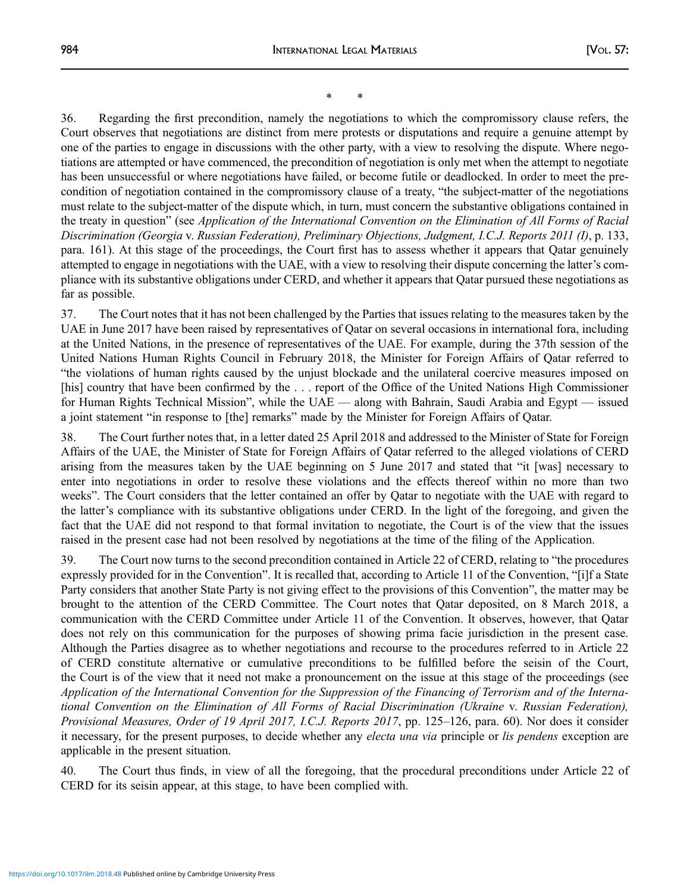\* \*

36. Regarding the first precondition, namely the negotiations to which the compromissory clause refers, the Court observes that negotiations are distinct from mere protests or disputations and require a genuine attempt by one of the parties to engage in discussions with the other party, with a view to resolving the dispute. Where negotiations are attempted or have commenced, the precondition of negotiation is only met when the attempt to negotiate has been unsuccessful or where negotiations have failed, or become futile or deadlocked. In order to meet the precondition of negotiation contained in the compromissory clause of a treaty, "the subject-matter of the negotiations must relate to the subject-matter of the dispute which, in turn, must concern the substantive obligations contained in the treaty in question" (see Application of the International Convention on the Elimination of All Forms of Racial Discrimination (Georgia v. Russian Federation), Preliminary Objections, Judgment, I.C.J. Reports 2011 (I), p. 133, para. 161). At this stage of the proceedings, the Court first has to assess whether it appears that Qatar genuinely attempted to engage in negotiations with the UAE, with a view to resolving their dispute concerning the latter's compliance with its substantive obligations under CERD, and whether it appears that Qatar pursued these negotiations as far as possible.

37. The Court notes that it has not been challenged by the Parties that issues relating to the measures taken by the UAE in June 2017 have been raised by representatives of Qatar on several occasions in international fora, including at the United Nations, in the presence of representatives of the UAE. For example, during the 37th session of the United Nations Human Rights Council in February 2018, the Minister for Foreign Affairs of Qatar referred to "the violations of human rights caused by the unjust blockade and the unilateral coercive measures imposed on [his] country that have been confirmed by the . . . report of the Office of the United Nations High Commissioner for Human Rights Technical Mission", while the UAE — along with Bahrain, Saudi Arabia and Egypt — issued a joint statement "in response to [the] remarks" made by the Minister for Foreign Affairs of Qatar.

38. The Court further notes that, in a letter dated 25 April 2018 and addressed to the Minister of State for Foreign Affairs of the UAE, the Minister of State for Foreign Affairs of Qatar referred to the alleged violations of CERD arising from the measures taken by the UAE beginning on 5 June 2017 and stated that "it [was] necessary to enter into negotiations in order to resolve these violations and the effects thereof within no more than two weeks". The Court considers that the letter contained an offer by Qatar to negotiate with the UAE with regard to the latter's compliance with its substantive obligations under CERD. In the light of the foregoing, and given the fact that the UAE did not respond to that formal invitation to negotiate, the Court is of the view that the issues raised in the present case had not been resolved by negotiations at the time of the filing of the Application.

39. The Court now turns to the second precondition contained in Article 22 of CERD, relating to "the procedures expressly provided for in the Convention". It is recalled that, according to Article 11 of the Convention, "[i]f a State Party considers that another State Party is not giving effect to the provisions of this Convention", the matter may be brought to the attention of the CERD Committee. The Court notes that Qatar deposited, on 8 March 2018, a communication with the CERD Committee under Article 11 of the Convention. It observes, however, that Qatar does not rely on this communication for the purposes of showing prima facie jurisdiction in the present case. Although the Parties disagree as to whether negotiations and recourse to the procedures referred to in Article 22 of CERD constitute alternative or cumulative preconditions to be fulfilled before the seisin of the Court, the Court is of the view that it need not make a pronouncement on the issue at this stage of the proceedings (see Application of the International Convention for the Suppression of the Financing of Terrorism and of the International Convention on the Elimination of All Forms of Racial Discrimination (Ukraine v. Russian Federation), Provisional Measures, Order of 19 April 2017, I.C.J. Reports 2017, pp. 125–126, para. 60). Nor does it consider it necessary, for the present purposes, to decide whether any *electa una via* principle or *lis pendens* exception are applicable in the present situation.

40. The Court thus finds, in view of all the foregoing, that the procedural preconditions under Article 22 of CERD for its seisin appear, at this stage, to have been complied with.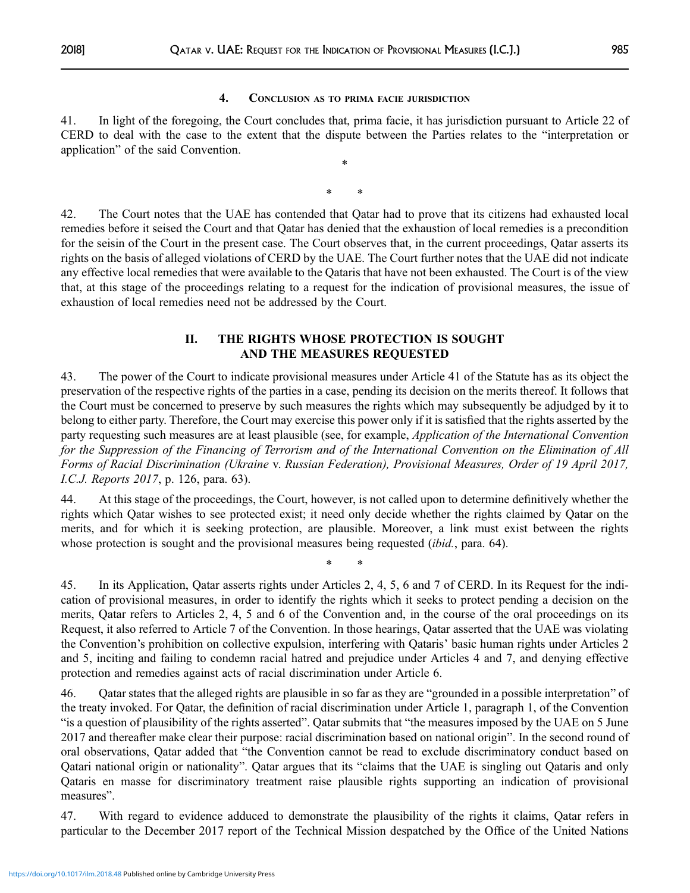### 4. CONCLUSION AS TO PRIMA FACIE JURISDICTION

41. In light of the foregoing, the Court concludes that, prima facie, it has jurisdiction pursuant to Article 22 of CERD to deal with the case to the extent that the dispute between the Parties relates to the "interpretation or application" of the said Convention.

\*

\* \*

42. The Court notes that the UAE has contended that Qatar had to prove that its citizens had exhausted local remedies before it seised the Court and that Qatar has denied that the exhaustion of local remedies is a precondition for the seisin of the Court in the present case. The Court observes that, in the current proceedings, Qatar asserts its rights on the basis of alleged violations of CERD by the UAE. The Court further notes that the UAE did not indicate any effective local remedies that were available to the Qataris that have not been exhausted. The Court is of the view that, at this stage of the proceedings relating to a request for the indication of provisional measures, the issue of exhaustion of local remedies need not be addressed by the Court.

### II. THE RIGHTS WHOSE PROTECTION IS SOUGHT AND THE MEASURES REQUESTED

43. The power of the Court to indicate provisional measures under Article 41 of the Statute has as its object the preservation of the respective rights of the parties in a case, pending its decision on the merits thereof. It follows that the Court must be concerned to preserve by such measures the rights which may subsequently be adjudged by it to belong to either party. Therefore, the Court may exercise this power only if it is satisfied that the rights asserted by the party requesting such measures are at least plausible (see, for example, Application of the International Convention for the Suppression of the Financing of Terrorism and of the International Convention on the Elimination of All Forms of Racial Discrimination (Ukraine v. Russian Federation), Provisional Measures, Order of 19 April 2017, I.C.J. Reports 2017, p. 126, para. 63).

44. At this stage of the proceedings, the Court, however, is not called upon to determine definitively whether the rights which Qatar wishes to see protected exist; it need only decide whether the rights claimed by Qatar on the merits, and for which it is seeking protection, are plausible. Moreover, a link must exist between the rights whose protection is sought and the provisional measures being requested *(ibid., para. 64).* 

\* \*

45. In its Application, Qatar asserts rights under Articles 2, 4, 5, 6 and 7 of CERD. In its Request for the indication of provisional measures, in order to identify the rights which it seeks to protect pending a decision on the merits, Qatar refers to Articles 2, 4, 5 and 6 of the Convention and, in the course of the oral proceedings on its Request, it also referred to Article 7 of the Convention. In those hearings, Qatar asserted that the UAE was violating the Convention's prohibition on collective expulsion, interfering with Qataris' basic human rights under Articles 2 and 5, inciting and failing to condemn racial hatred and prejudice under Articles 4 and 7, and denying effective protection and remedies against acts of racial discrimination under Article 6.

46. Qatar states that the alleged rights are plausible in so far as they are "grounded in a possible interpretation" of the treaty invoked. For Qatar, the definition of racial discrimination under Article 1, paragraph 1, of the Convention "is a question of plausibility of the rights asserted". Qatar submits that "the measures imposed by the UAE on 5 June 2017 and thereafter make clear their purpose: racial discrimination based on national origin". In the second round of oral observations, Qatar added that "the Convention cannot be read to exclude discriminatory conduct based on Qatari national origin or nationality". Qatar argues that its "claims that the UAE is singling out Qataris and only Qataris en masse for discriminatory treatment raise plausible rights supporting an indication of provisional measures".

47. With regard to evidence adduced to demonstrate the plausibility of the rights it claims, Qatar refers in particular to the December 2017 report of the Technical Mission despatched by the Office of the United Nations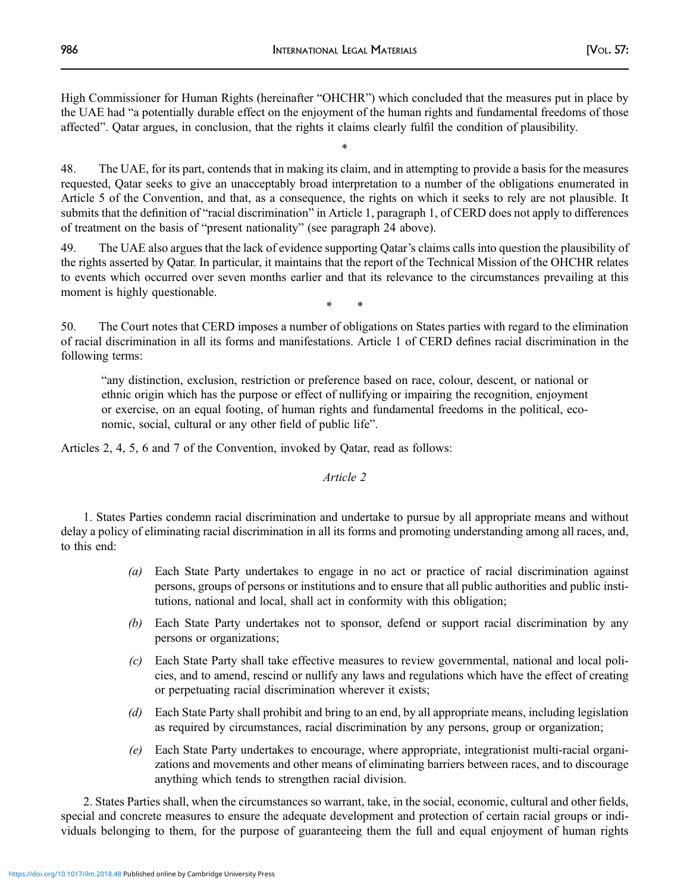High Commissioner for Human Rights (hereinafter "OHCHR") which concluded that the measures put in place by the UAE had "a potentially durable effect on the enjoyment of the human rights and fundamental freedoms of those affected". Qatar argues, in conclusion, that the rights it claims clearly fulfil the condition of plausibility.

\*

48. The UAE, for its part, contends that in making its claim, and in attempting to provide a basis for the measures requested, Qatar seeks to give an unacceptably broad interpretation to a number of the obligations enumerated in Article 5 of the Convention, and that, as a consequence, the rights on which it seeks to rely are not plausible. It submits that the definition of "racial discrimination" in Article 1, paragraph 1, of CERD does not apply to differences of treatment on the basis of "present nationality" (see paragraph 24 above).

49. The UAE also argues that the lack of evidence supporting Qatar's claims calls into question the plausibility of the rights asserted by Qatar. In particular, it maintains that the report of the Technical Mission of the OHCHR relates to events which occurred over seven months earlier and that its relevance to the circumstances prevailing at this moment is highly questionable.

\* \*

50. The Court notes that CERD imposes a number of obligations on States parties with regard to the elimination of racial discrimination in all its forms and manifestations. Article 1 of CERD defines racial discrimination in the following terms:

"any distinction, exclusion, restriction or preference based on race, colour, descent, or national or ethnic origin which has the purpose or effect of nullifying or impairing the recognition, enjoyment or exercise, on an equal footing, of human rights and fundamental freedoms in the political, economic, social, cultural or any other field of public life".

Articles 2, 4, 5, 6 and 7 of the Convention, invoked by Qatar, read as follows:

Article 2

1. States Parties condemn racial discrimination and undertake to pursue by all appropriate means and without delay a policy of eliminating racial discrimination in all its forms and promoting understanding among all races, and, to this end:

- (a) Each State Party undertakes to engage in no act or practice of racial discrimination against persons, groups of persons or institutions and to ensure that all public authorities and public institutions, national and local, shall act in conformity with this obligation;
- (b) Each State Party undertakes not to sponsor, defend or support racial discrimination by any persons or organizations;
- (c) Each State Party shall take effective measures to review governmental, national and local policies, and to amend, rescind or nullify any laws and regulations which have the effect of creating or perpetuating racial discrimination wherever it exists;
- (d) Each State Party shall prohibit and bring to an end, by all appropriate means, including legislation as required by circumstances, racial discrimination by any persons, group or organization;
- (e) Each State Party undertakes to encourage, where appropriate, integrationist multi-racial organizations and movements and other means of eliminating barriers between races, and to discourage anything which tends to strengthen racial division.

2. States Parties shall, when the circumstances so warrant, take, in the social, economic, cultural and other fields, special and concrete measures to ensure the adequate development and protection of certain racial groups or individuals belonging to them, for the purpose of guaranteeing them the full and equal enjoyment of human rights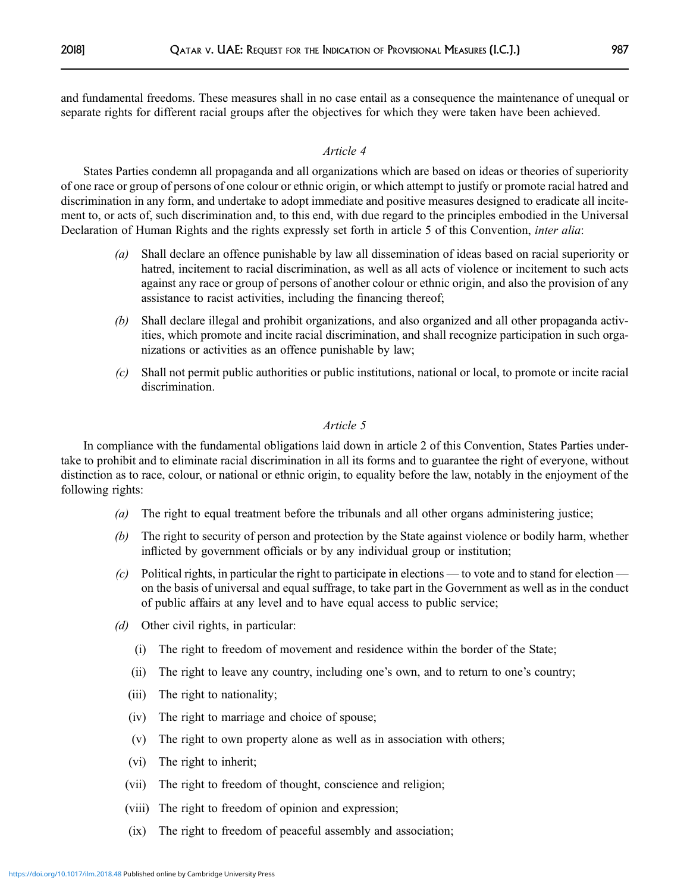and fundamental freedoms. These measures shall in no case entail as a consequence the maintenance of unequal or separate rights for different racial groups after the objectives for which they were taken have been achieved.

### Article 4

States Parties condemn all propaganda and all organizations which are based on ideas or theories of superiority of one race or group of persons of one colour or ethnic origin, or which attempt to justify or promote racial hatred and discrimination in any form, and undertake to adopt immediate and positive measures designed to eradicate all incitement to, or acts of, such discrimination and, to this end, with due regard to the principles embodied in the Universal Declaration of Human Rights and the rights expressly set forth in article 5 of this Convention, inter alia:

- (a) Shall declare an offence punishable by law all dissemination of ideas based on racial superiority or hatred, incitement to racial discrimination, as well as all acts of violence or incitement to such acts against any race or group of persons of another colour or ethnic origin, and also the provision of any assistance to racist activities, including the financing thereof;
- (b) Shall declare illegal and prohibit organizations, and also organized and all other propaganda activities, which promote and incite racial discrimination, and shall recognize participation in such organizations or activities as an offence punishable by law;
- (c) Shall not permit public authorities or public institutions, national or local, to promote or incite racial discrimination.

### Article 5

In compliance with the fundamental obligations laid down in article 2 of this Convention, States Parties undertake to prohibit and to eliminate racial discrimination in all its forms and to guarantee the right of everyone, without distinction as to race, colour, or national or ethnic origin, to equality before the law, notably in the enjoyment of the following rights:

- (a) The right to equal treatment before the tribunals and all other organs administering justice;
- (b) The right to security of person and protection by the State against violence or bodily harm, whether inflicted by government officials or by any individual group or institution;
- (c) Political rights, in particular the right to participate in elections to vote and to stand for election on the basis of universal and equal suffrage, to take part in the Government as well as in the conduct of public affairs at any level and to have equal access to public service;
- (d) Other civil rights, in particular:
	- (i) The right to freedom of movement and residence within the border of the State;
	- (ii) The right to leave any country, including one's own, and to return to one's country;
	- (iii) The right to nationality;
	- (iv) The right to marriage and choice of spouse;
	- (v) The right to own property alone as well as in association with others;
	- (vi) The right to inherit;
	- (vii) The right to freedom of thought, conscience and religion;
	- (viii) The right to freedom of opinion and expression;
	- (ix) The right to freedom of peaceful assembly and association;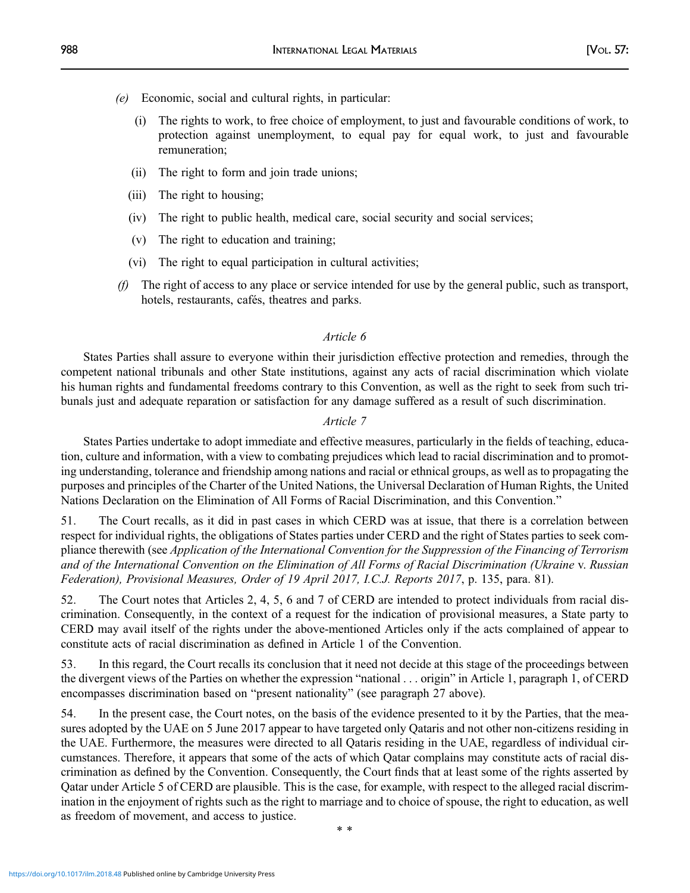- (e) Economic, social and cultural rights, in particular:
	- (i) The rights to work, to free choice of employment, to just and favourable conditions of work, to protection against unemployment, to equal pay for equal work, to just and favourable remuneration;
	- (ii) The right to form and join trade unions;
	- (iii) The right to housing;
	- (iv) The right to public health, medical care, social security and social services;
	- (v) The right to education and training;
	- (vi) The right to equal participation in cultural activities;
- (f) The right of access to any place or service intended for use by the general public, such as transport, hotels, restaurants, cafés, theatres and parks.

### Article 6

States Parties shall assure to everyone within their jurisdiction effective protection and remedies, through the competent national tribunals and other State institutions, against any acts of racial discrimination which violate his human rights and fundamental freedoms contrary to this Convention, as well as the right to seek from such tribunals just and adequate reparation or satisfaction for any damage suffered as a result of such discrimination.

### Article 7

States Parties undertake to adopt immediate and effective measures, particularly in the fields of teaching, education, culture and information, with a view to combating prejudices which lead to racial discrimination and to promoting understanding, tolerance and friendship among nations and racial or ethnical groups, as well as to propagating the purposes and principles of the Charter of the United Nations, the Universal Declaration of Human Rights, the United Nations Declaration on the Elimination of All Forms of Racial Discrimination, and this Convention."

51. The Court recalls, as it did in past cases in which CERD was at issue, that there is a correlation between respect for individual rights, the obligations of States parties under CERD and the right of States parties to seek compliance therewith (see Application of the International Convention for the Suppression of the Financing of Terrorism and of the International Convention on the Elimination of All Forms of Racial Discrimination (Ukraine v. Russian Federation), Provisional Measures, Order of 19 April 2017, I.C.J. Reports 2017, p. 135, para. 81).

52. The Court notes that Articles 2, 4, 5, 6 and 7 of CERD are intended to protect individuals from racial discrimination. Consequently, in the context of a request for the indication of provisional measures, a State party to CERD may avail itself of the rights under the above-mentioned Articles only if the acts complained of appear to constitute acts of racial discrimination as defined in Article 1 of the Convention.

53. In this regard, the Court recalls its conclusion that it need not decide at this stage of the proceedings between the divergent views of the Parties on whether the expression "national . . . origin" in Article 1, paragraph 1, of CERD encompasses discrimination based on "present nationality" (see paragraph 27 above).

54. In the present case, the Court notes, on the basis of the evidence presented to it by the Parties, that the measures adopted by the UAE on 5 June 2017 appear to have targeted only Qataris and not other non-citizens residing in the UAE. Furthermore, the measures were directed to all Qataris residing in the UAE, regardless of individual circumstances. Therefore, it appears that some of the acts of which Qatar complains may constitute acts of racial discrimination as defined by the Convention. Consequently, the Court finds that at least some of the rights asserted by Qatar under Article 5 of CERD are plausible. This is the case, for example, with respect to the alleged racial discrimination in the enjoyment of rights such as the right to marriage and to choice of spouse, the right to education, as well as freedom of movement, and access to justice.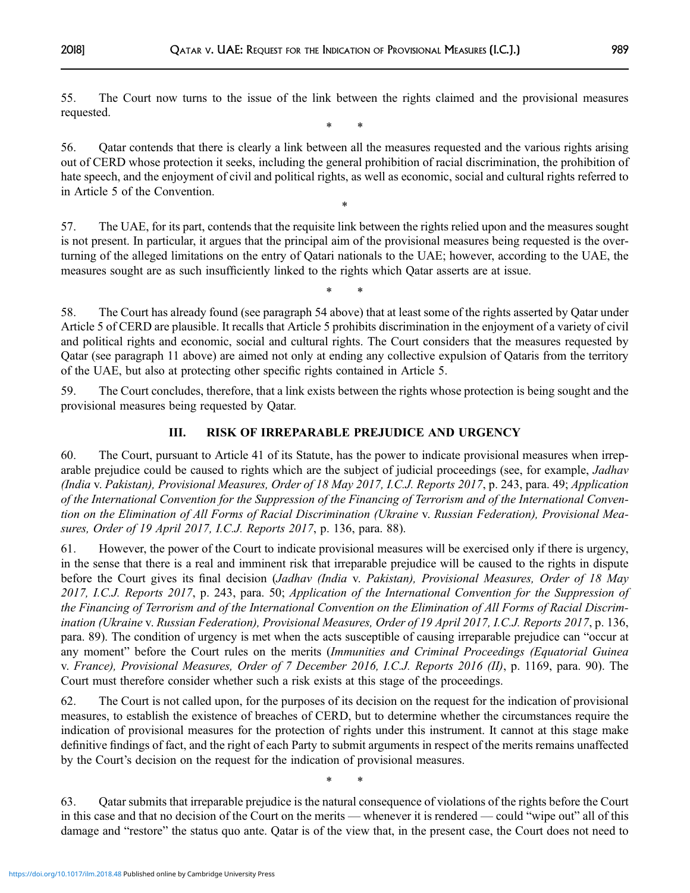55. The Court now turns to the issue of the link between the rights claimed and the provisional measures requested.

\* \*

56. Qatar contends that there is clearly a link between all the measures requested and the various rights arising out of CERD whose protection it seeks, including the general prohibition of racial discrimination, the prohibition of hate speech, and the enjoyment of civil and political rights, as well as economic, social and cultural rights referred to in Article 5 of the Convention.

\*

57. The UAE, for its part, contends that the requisite link between the rights relied upon and the measures sought is not present. In particular, it argues that the principal aim of the provisional measures being requested is the overturning of the alleged limitations on the entry of Qatari nationals to the UAE; however, according to the UAE, the measures sought are as such insufficiently linked to the rights which Qatar asserts are at issue.

\* \*

58. The Court has already found (see paragraph 54 above) that at least some of the rights asserted by Qatar under Article 5 of CERD are plausible. It recalls that Article 5 prohibits discrimination in the enjoyment of a variety of civil and political rights and economic, social and cultural rights. The Court considers that the measures requested by Qatar (see paragraph 11 above) are aimed not only at ending any collective expulsion of Qataris from the territory of the UAE, but also at protecting other specific rights contained in Article 5.

59. The Court concludes, therefore, that a link exists between the rights whose protection is being sought and the provisional measures being requested by Qatar.

# III. RISK OF IRREPARABLE PREJUDICE AND URGENCY

60. The Court, pursuant to Article 41 of its Statute, has the power to indicate provisional measures when irreparable prejudice could be caused to rights which are the subject of judicial proceedings (see, for example, *Jadhav* (India v. Pakistan), Provisional Measures, Order of 18 May 2017, I.C.J. Reports 2017, p. 243, para. 49; Application of the International Convention for the Suppression of the Financing of Terrorism and of the International Convention on the Elimination of All Forms of Racial Discrimination (Ukraine v. Russian Federation), Provisional Measures, Order of 19 April 2017, I.C.J. Reports 2017, p. 136, para. 88).

61. However, the power of the Court to indicate provisional measures will be exercised only if there is urgency, in the sense that there is a real and imminent risk that irreparable prejudice will be caused to the rights in dispute before the Court gives its final decision (Jadhav (India v. Pakistan), Provisional Measures, Order of 18 May 2017, I.C.J. Reports 2017, p. 243, para. 50; Application of the International Convention for the Suppression of the Financing of Terrorism and of the International Convention on the Elimination of All Forms of Racial Discrimination (Ukraine v. Russian Federation), Provisional Measures, Order of 19 April 2017, I.C.J. Reports 2017, p. 136, para. 89). The condition of urgency is met when the acts susceptible of causing irreparable prejudice can "occur at any moment" before the Court rules on the merits (Immunities and Criminal Proceedings (Equatorial Guinea v. France), Provisional Measures, Order of 7 December 2016, I.C.J. Reports 2016 (II), p. 1169, para. 90). The Court must therefore consider whether such a risk exists at this stage of the proceedings.

62. The Court is not called upon, for the purposes of its decision on the request for the indication of provisional measures, to establish the existence of breaches of CERD, but to determine whether the circumstances require the indication of provisional measures for the protection of rights under this instrument. It cannot at this stage make definitive findings of fact, and the right of each Party to submit arguments in respect of the merits remains unaffected by the Court's decision on the request for the indication of provisional measures.

\* \*

63. Qatar submits that irreparable prejudice is the natural consequence of violations of the rights before the Court in this case and that no decision of the Court on the merits — whenever it is rendered — could "wipe out" all of this damage and "restore" the status quo ante. Qatar is of the view that, in the present case, the Court does not need to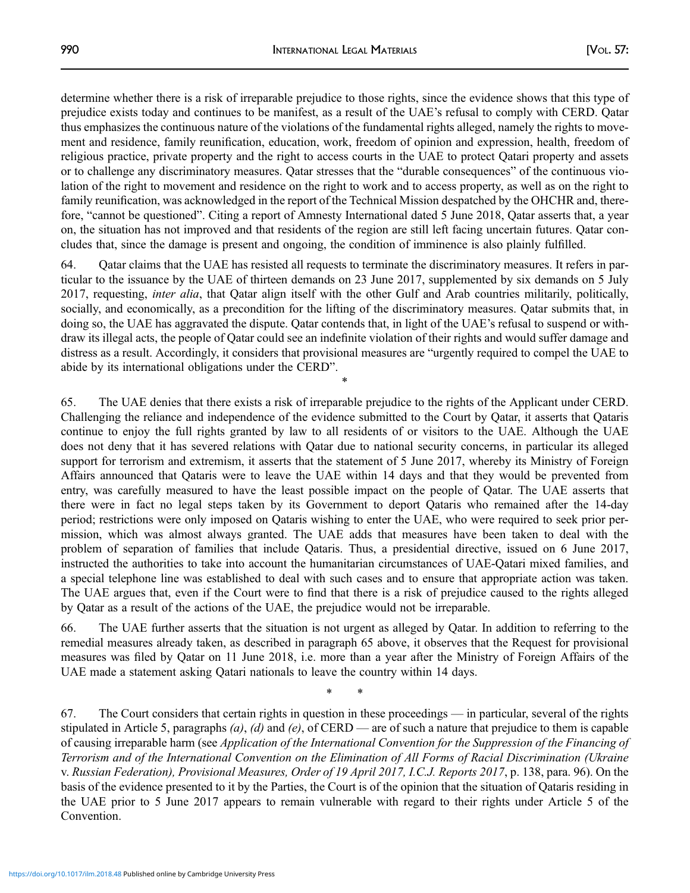determine whether there is a risk of irreparable prejudice to those rights, since the evidence shows that this type of prejudice exists today and continues to be manifest, as a result of the UAE's refusal to comply with CERD. Qatar thus emphasizes the continuous nature of the violations of the fundamental rights alleged, namely the rights to movement and residence, family reunification, education, work, freedom of opinion and expression, health, freedom of religious practice, private property and the right to access courts in the UAE to protect Qatari property and assets or to challenge any discriminatory measures. Qatar stresses that the "durable consequences" of the continuous violation of the right to movement and residence on the right to work and to access property, as well as on the right to family reunification, was acknowledged in the report of the Technical Mission despatched by the OHCHR and, therefore, "cannot be questioned". Citing a report of Amnesty International dated 5 June 2018, Qatar asserts that, a year on, the situation has not improved and that residents of the region are still left facing uncertain futures. Qatar concludes that, since the damage is present and ongoing, the condition of imminence is also plainly fulfilled.

64. Qatar claims that the UAE has resisted all requests to terminate the discriminatory measures. It refers in particular to the issuance by the UAE of thirteen demands on 23 June 2017, supplemented by six demands on 5 July 2017, requesting, inter alia, that Qatar align itself with the other Gulf and Arab countries militarily, politically, socially, and economically, as a precondition for the lifting of the discriminatory measures. Qatar submits that, in doing so, the UAE has aggravated the dispute. Qatar contends that, in light of the UAE's refusal to suspend or withdraw its illegal acts, the people of Qatar could see an indefinite violation of their rights and would suffer damage and distress as a result. Accordingly, it considers that provisional measures are "urgently required to compel the UAE to abide by its international obligations under the CERD".

\*

65. The UAE denies that there exists a risk of irreparable prejudice to the rights of the Applicant under CERD. Challenging the reliance and independence of the evidence submitted to the Court by Qatar, it asserts that Qataris continue to enjoy the full rights granted by law to all residents of or visitors to the UAE. Although the UAE does not deny that it has severed relations with Qatar due to national security concerns, in particular its alleged support for terrorism and extremism, it asserts that the statement of 5 June 2017, whereby its Ministry of Foreign Affairs announced that Qataris were to leave the UAE within 14 days and that they would be prevented from entry, was carefully measured to have the least possible impact on the people of Qatar. The UAE asserts that there were in fact no legal steps taken by its Government to deport Qataris who remained after the 14-day period; restrictions were only imposed on Qataris wishing to enter the UAE, who were required to seek prior permission, which was almost always granted. The UAE adds that measures have been taken to deal with the problem of separation of families that include Qataris. Thus, a presidential directive, issued on 6 June 2017, instructed the authorities to take into account the humanitarian circumstances of UAE-Qatari mixed families, and a special telephone line was established to deal with such cases and to ensure that appropriate action was taken. The UAE argues that, even if the Court were to find that there is a risk of prejudice caused to the rights alleged by Qatar as a result of the actions of the UAE, the prejudice would not be irreparable.

66. The UAE further asserts that the situation is not urgent as alleged by Qatar. In addition to referring to the remedial measures already taken, as described in paragraph 65 above, it observes that the Request for provisional measures was filed by Qatar on 11 June 2018, i.e. more than a year after the Ministry of Foreign Affairs of the UAE made a statement asking Qatari nationals to leave the country within 14 days.

\* \*

67. The Court considers that certain rights in question in these proceedings — in particular, several of the rights stipulated in Article 5, paragraphs  $(a)$ ,  $(d)$  and  $(e)$ , of CERD — are of such a nature that prejudice to them is capable of causing irreparable harm (see Application of the International Convention for the Suppression of the Financing of Terrorism and of the International Convention on the Elimination of All Forms of Racial Discrimination (Ukraine v. Russian Federation), Provisional Measures, Order of 19 April 2017, I.C.J. Reports 2017, p. 138, para. 96). On the basis of the evidence presented to it by the Parties, the Court is of the opinion that the situation of Qataris residing in the UAE prior to 5 June 2017 appears to remain vulnerable with regard to their rights under Article 5 of the Convention.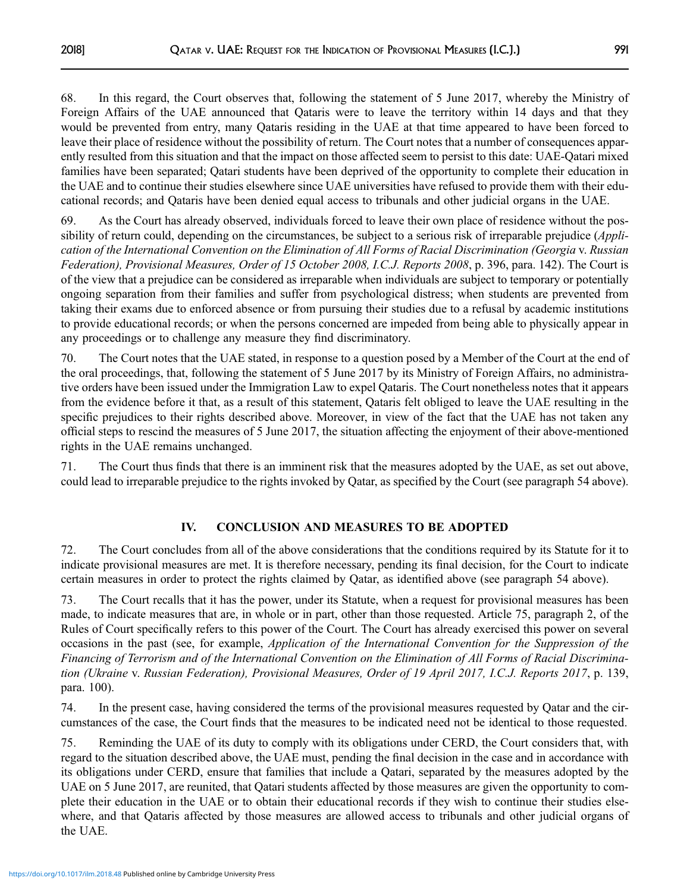68. In this regard, the Court observes that, following the statement of 5 June 2017, whereby the Ministry of Foreign Affairs of the UAE announced that Qataris were to leave the territory within 14 days and that they would be prevented from entry, many Qataris residing in the UAE at that time appeared to have been forced to leave their place of residence without the possibility of return. The Court notes that a number of consequences apparently resulted from this situation and that the impact on those affected seem to persist to this date: UAE-Qatari mixed families have been separated; Qatari students have been deprived of the opportunity to complete their education in the UAE and to continue their studies elsewhere since UAE universities have refused to provide them with their educational records; and Qataris have been denied equal access to tribunals and other judicial organs in the UAE.

69. As the Court has already observed, individuals forced to leave their own place of residence without the possibility of return could, depending on the circumstances, be subject to a serious risk of irreparable prejudice (Application of the International Convention on the Elimination of All Forms of Racial Discrimination (Georgia v. Russian Federation), Provisional Measures, Order of 15 October 2008, I.C.J. Reports 2008, p. 396, para. 142). The Court is of the view that a prejudice can be considered as irreparable when individuals are subject to temporary or potentially ongoing separation from their families and suffer from psychological distress; when students are prevented from taking their exams due to enforced absence or from pursuing their studies due to a refusal by academic institutions to provide educational records; or when the persons concerned are impeded from being able to physically appear in any proceedings or to challenge any measure they find discriminatory.

70. The Court notes that the UAE stated, in response to a question posed by a Member of the Court at the end of the oral proceedings, that, following the statement of 5 June 2017 by its Ministry of Foreign Affairs, no administrative orders have been issued under the Immigration Law to expel Qataris. The Court nonetheless notes that it appears from the evidence before it that, as a result of this statement, Qataris felt obliged to leave the UAE resulting in the specific prejudices to their rights described above. Moreover, in view of the fact that the UAE has not taken any official steps to rescind the measures of 5 June 2017, the situation affecting the enjoyment of their above-mentioned rights in the UAE remains unchanged.

71. The Court thus finds that there is an imminent risk that the measures adopted by the UAE, as set out above, could lead to irreparable prejudice to the rights invoked by Qatar, as specified by the Court (see paragraph 54 above).

## IV. CONCLUSION AND MEASURES TO BE ADOPTED

72. The Court concludes from all of the above considerations that the conditions required by its Statute for it to indicate provisional measures are met. It is therefore necessary, pending its final decision, for the Court to indicate certain measures in order to protect the rights claimed by Qatar, as identified above (see paragraph 54 above).

73. The Court recalls that it has the power, under its Statute, when a request for provisional measures has been made, to indicate measures that are, in whole or in part, other than those requested. Article 75, paragraph 2, of the Rules of Court specifically refers to this power of the Court. The Court has already exercised this power on several occasions in the past (see, for example, Application of the International Convention for the Suppression of the Financing of Terrorism and of the International Convention on the Elimination of All Forms of Racial Discrimination (Ukraine v. Russian Federation), Provisional Measures, Order of 19 April 2017, I.C.J. Reports 2017, p. 139, para. 100).

74. In the present case, having considered the terms of the provisional measures requested by Qatar and the circumstances of the case, the Court finds that the measures to be indicated need not be identical to those requested.

75. Reminding the UAE of its duty to comply with its obligations under CERD, the Court considers that, with regard to the situation described above, the UAE must, pending the final decision in the case and in accordance with its obligations under CERD, ensure that families that include a Qatari, separated by the measures adopted by the UAE on 5 June 2017, are reunited, that Qatari students affected by those measures are given the opportunity to complete their education in the UAE or to obtain their educational records if they wish to continue their studies elsewhere, and that Qataris affected by those measures are allowed access to tribunals and other judicial organs of the UAE.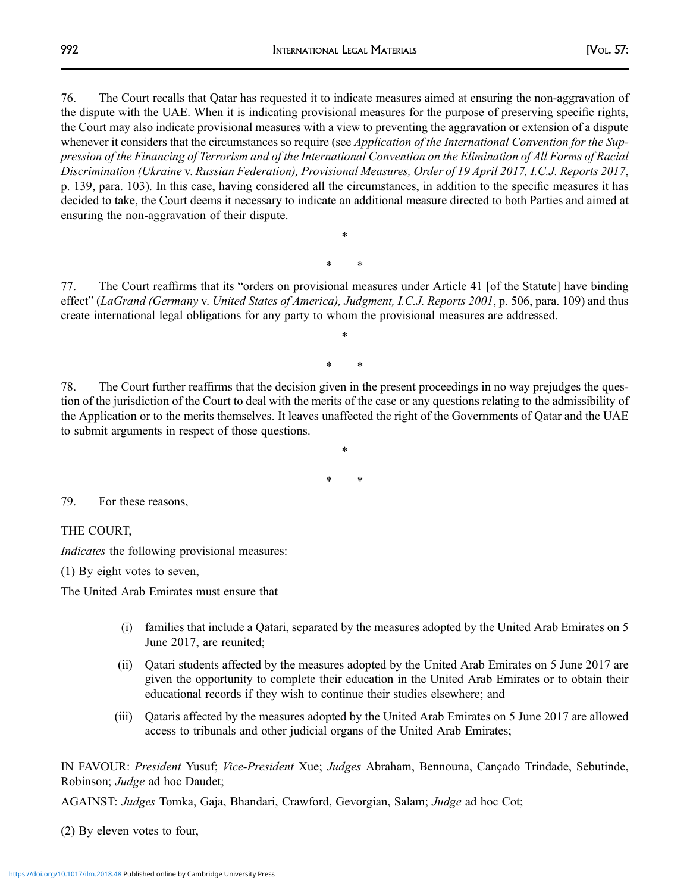76. The Court recalls that Qatar has requested it to indicate measures aimed at ensuring the non-aggravation of the dispute with the UAE. When it is indicating provisional measures for the purpose of preserving specific rights, the Court may also indicate provisional measures with a view to preventing the aggravation or extension of a dispute whenever it considers that the circumstances so require (see Application of the International Convention for the Suppression of the Financing of Terrorism and of the International Convention on the Elimination of All Forms of Racial Discrimination (Ukraine v. Russian Federation), Provisional Measures, Order of 19 April 2017, I.C.J. Reports 2017, p. 139, para. 103). In this case, having considered all the circumstances, in addition to the specific measures it has decided to take, the Court deems it necessary to indicate an additional measure directed to both Parties and aimed at ensuring the non-aggravation of their dispute.

77. The Court reaffirms that its "orders on provisional measures under Article 41 [of the Statute] have binding effect" (LaGrand (Germany v. United States of America), Judgment, I.C.J. Reports 2001, p. 506, para. 109) and thus create international legal obligations for any party to whom the provisional measures are addressed.

\*

\* \*

\*

\* \*

78. The Court further reaffirms that the decision given in the present proceedings in no way prejudges the question of the jurisdiction of the Court to deal with the merits of the case or any questions relating to the admissibility of the Application or to the merits themselves. It leaves unaffected the right of the Governments of Qatar and the UAE to submit arguments in respect of those questions.

\* \*

\*

79. For these reasons,

THE COURT,

Indicates the following provisional measures:

(1) By eight votes to seven,

The United Arab Emirates must ensure that

- (i) families that include a Qatari, separated by the measures adopted by the United Arab Emirates on 5 June 2017, are reunited;
- (ii) Qatari students affected by the measures adopted by the United Arab Emirates on 5 June 2017 are given the opportunity to complete their education in the United Arab Emirates or to obtain their educational records if they wish to continue their studies elsewhere; and
- (iii) Qataris affected by the measures adopted by the United Arab Emirates on 5 June 2017 are allowed access to tribunals and other judicial organs of the United Arab Emirates;

IN FAVOUR: President Yusuf; Vice-President Xue; Judges Abraham, Bennouna, Cançado Trindade, Sebutinde, Robinson; Judge ad hoc Daudet;

AGAINST: Judges Tomka, Gaja, Bhandari, Crawford, Gevorgian, Salam; Judge ad hoc Cot;

(2) By eleven votes to four,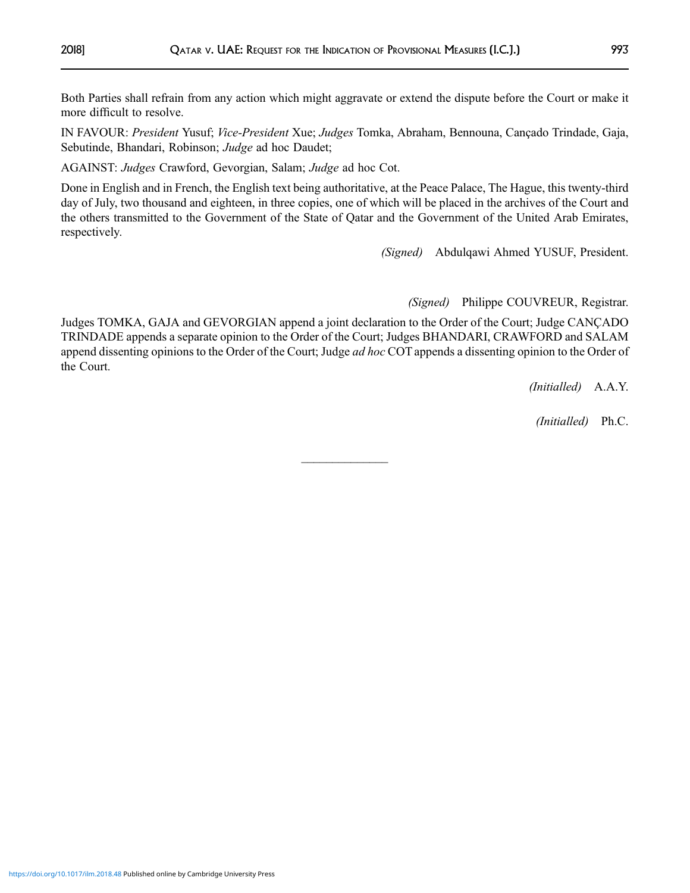Both Parties shall refrain from any action which might aggravate or extend the dispute before the Court or make it more difficult to resolve.

IN FAVOUR: President Yusuf; Vice-President Xue; Judges Tomka, Abraham, Bennouna, Cançado Trindade, Gaja, Sebutinde, Bhandari, Robinson; Judge ad hoc Daudet;

AGAINST: Judges Crawford, Gevorgian, Salam; Judge ad hoc Cot.

Done in English and in French, the English text being authoritative, at the Peace Palace, The Hague, this twenty-third day of July, two thousand and eighteen, in three copies, one of which will be placed in the archives of the Court and the others transmitted to the Government of the State of Qatar and the Government of the United Arab Emirates, respectively.

(Signed) Abdulqawi Ahmed YUSUF, President.

(Signed) Philippe COUVREUR, Registrar.

Judges TOMKA, GAJA and GEVORGIAN append a joint declaration to the Order of the Court; Judge CANÇADO TRINDADE appends a separate opinion to the Order of the Court; Judges BHANDARI, CRAWFORD and SALAM append dissenting opinions to the Order of the Court; Judge *ad hoc* COT appends a dissenting opinion to the Order of the Court.

 $\frac{1}{2}$ 

(Initialled) A.A.Y.

(Initialled) Ph.C.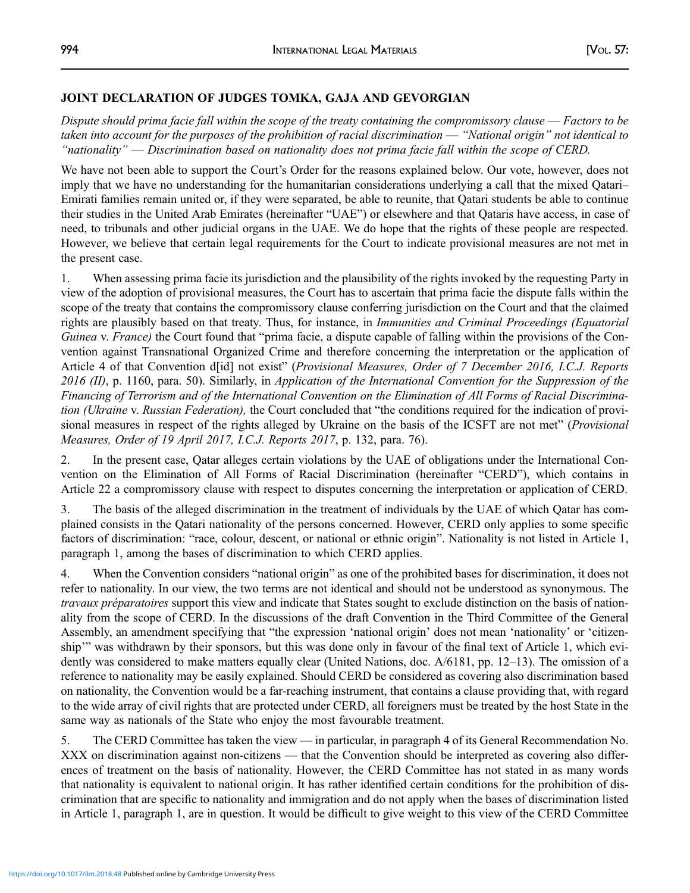### JOINT DECLARATION OF JUDGES TOMKA, GAJA AND GEVORGIAN

Dispute should prima facie fall within the scope of the treaty containing the compromissory clause — Factors to be taken into account for the purposes of the prohibition of racial discrimination — "National origin" not identical to "nationality" — Discrimination based on nationality does not prima facie fall within the scope of CERD.

We have not been able to support the Court's Order for the reasons explained below. Our vote, however, does not imply that we have no understanding for the humanitarian considerations underlying a call that the mixed Qatari– Emirati families remain united or, if they were separated, be able to reunite, that Qatari students be able to continue their studies in the United Arab Emirates (hereinafter "UAE") or elsewhere and that Qataris have access, in case of need, to tribunals and other judicial organs in the UAE. We do hope that the rights of these people are respected. However, we believe that certain legal requirements for the Court to indicate provisional measures are not met in the present case.

1. When assessing prima facie its jurisdiction and the plausibility of the rights invoked by the requesting Party in view of the adoption of provisional measures, the Court has to ascertain that prima facie the dispute falls within the scope of the treaty that contains the compromissory clause conferring jurisdiction on the Court and that the claimed rights are plausibly based on that treaty. Thus, for instance, in *Immunities and Criminal Proceedings (Equatorial* Guinea v. France) the Court found that "prima facie, a dispute capable of falling within the provisions of the Convention against Transnational Organized Crime and therefore concerning the interpretation or the application of Article 4 of that Convention d[id] not exist" (Provisional Measures, Order of 7 December 2016, I.C.J. Reports 2016 (II), p. 1160, para. 50). Similarly, in Application of the International Convention for the Suppression of the Financing of Terrorism and of the International Convention on the Elimination of All Forms of Racial Discrimination (Ukraine v. Russian Federation), the Court concluded that "the conditions required for the indication of provisional measures in respect of the rights alleged by Ukraine on the basis of the ICSFT are not met" (Provisional Measures, Order of 19 April 2017, I.C.J. Reports 2017, p. 132, para. 76).

2. In the present case, Qatar alleges certain violations by the UAE of obligations under the International Convention on the Elimination of All Forms of Racial Discrimination (hereinafter "CERD"), which contains in Article 22 a compromissory clause with respect to disputes concerning the interpretation or application of CERD.

3. The basis of the alleged discrimination in the treatment of individuals by the UAE of which Qatar has complained consists in the Qatari nationality of the persons concerned. However, CERD only applies to some specific factors of discrimination: "race, colour, descent, or national or ethnic origin". Nationality is not listed in Article 1, paragraph 1, among the bases of discrimination to which CERD applies.

4. When the Convention considers "national origin" as one of the prohibited bases for discrimination, it does not refer to nationality. In our view, the two terms are not identical and should not be understood as synonymous. The travaux préparatoires support this view and indicate that States sought to exclude distinction on the basis of nationality from the scope of CERD. In the discussions of the draft Convention in the Third Committee of the General Assembly, an amendment specifying that "the expression 'national origin' does not mean 'nationality' or 'citizenship'" was withdrawn by their sponsors, but this was done only in favour of the final text of Article 1, which evidently was considered to make matters equally clear (United Nations, doc. A/6181, pp. 12–13). The omission of a reference to nationality may be easily explained. Should CERD be considered as covering also discrimination based on nationality, the Convention would be a far-reaching instrument, that contains a clause providing that, with regard to the wide array of civil rights that are protected under CERD, all foreigners must be treated by the host State in the same way as nationals of the State who enjoy the most favourable treatment.

5. The CERD Committee has taken the view — in particular, in paragraph 4 of its General Recommendation No. XXX on discrimination against non-citizens — that the Convention should be interpreted as covering also differences of treatment on the basis of nationality. However, the CERD Committee has not stated in as many words that nationality is equivalent to national origin. It has rather identified certain conditions for the prohibition of discrimination that are specific to nationality and immigration and do not apply when the bases of discrimination listed in Article 1, paragraph 1, are in question. It would be difficult to give weight to this view of the CERD Committee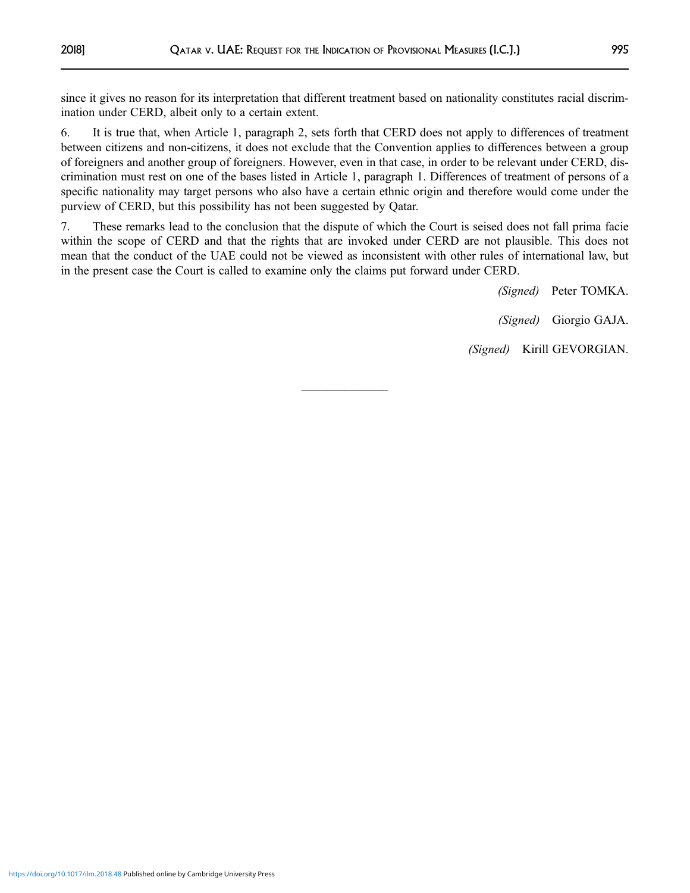since it gives no reason for its interpretation that different treatment based on nationality constitutes racial discrimination under CERD, albeit only to a certain extent.

6. It is true that, when Article 1, paragraph 2, sets forth that CERD does not apply to differences of treatment between citizens and non-citizens, it does not exclude that the Convention applies to differences between a group of foreigners and another group of foreigners. However, even in that case, in order to be relevant under CERD, discrimination must rest on one of the bases listed in Article 1, paragraph 1. Differences of treatment of persons of a specific nationality may target persons who also have a certain ethnic origin and therefore would come under the purview of CERD, but this possibility has not been suggested by Qatar.

7. These remarks lead to the conclusion that the dispute of which the Court is seised does not fall prima facie within the scope of CERD and that the rights that are invoked under CERD are not plausible. This does not mean that the conduct of the UAE could not be viewed as inconsistent with other rules of international law, but in the present case the Court is called to examine only the claims put forward under CERD.

 $\overline{\phantom{a}}$ 

(Signed) Peter TOMKA. (Signed) Giorgio GAJA. (Signed) Kirill GEVORGIAN.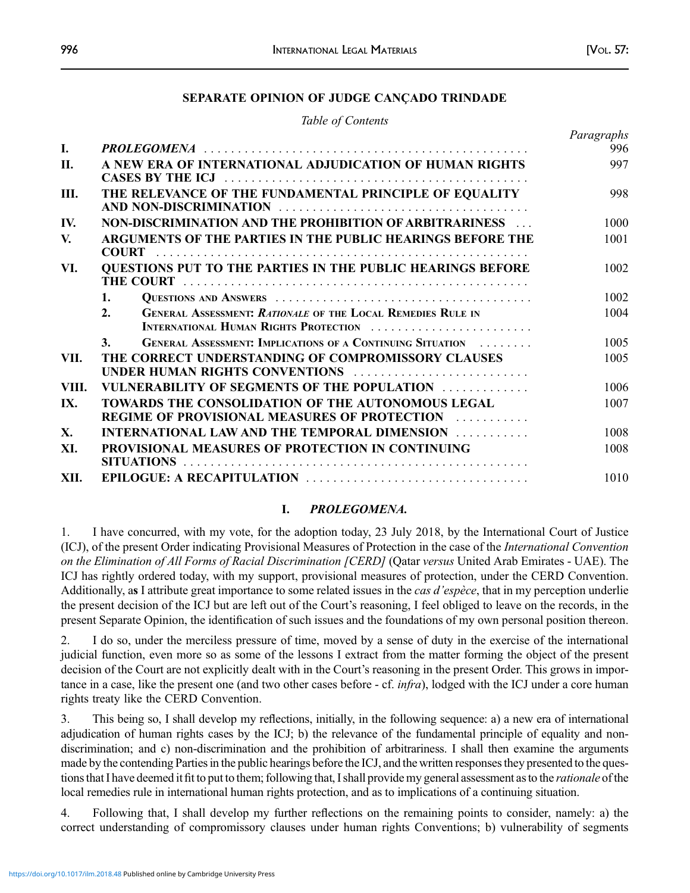### SEPARATE OPINION OF JUDGE CANÇADO TRINDADE

### Table of Contents

| L.    | <b>PROLEGOMENA</b>                                                                                                | Paragraphs<br>996 |
|-------|-------------------------------------------------------------------------------------------------------------------|-------------------|
| II.   | A NEW ERA OF INTERNATIONAL ADJUDICATION OF HUMAN RIGHTS                                                           |                   |
| Ш.    | THE RELEVANCE OF THE FUNDAMENTAL PRINCIPLE OF EQUALITY                                                            |                   |
| IV.   | NON-DISCRIMINATION AND THE PROHIBITION OF ARBITRARINESS                                                           | 1000              |
| V.    | ARGUMENTS OF THE PARTIES IN THE PUBLIC HEARINGS BEFORE THE                                                        |                   |
| VI.   | <b>QUESTIONS PUT TO THE PARTIES IN THE PUBLIC HEARINGS BEFORE</b>                                                 | 1002              |
|       | 1.                                                                                                                | 1002              |
|       | <b>GENERAL ASSESSMENT: RATIONALE OF THE LOCAL REMEDIES RULE IN</b><br>2.<br>INTERNATIONAL HUMAN RIGHTS PROTECTION | 1004              |
|       | <b>3.</b><br><b>GENERAL ASSESSMENT: IMPLICATIONS OF A CONTINUING SITUATION</b>                                    | 1005              |
| VII.  | THE CORRECT UNDERSTANDING OF COMPROMISSORY CLAUSES<br>UNDER HUMAN RIGHTS CONVENTIONS                              | 1005              |
| VIII. | VULNERABILITY OF SEGMENTS OF THE POPULATION                                                                       | 1006              |
| IX.   | TOWARDS THE CONSOLIDATION OF THE AUTONOMOUS LEGAL<br><b>REGIME OF PROVISIONAL MEASURES OF PROTECTION ACCOUNCE</b> | 1007              |
| X.    | <b>INTERNATIONAL LAW AND THE TEMPORAL DIMENSION </b>                                                              | 1008              |
| XI.   | PROVISIONAL MEASURES OF PROTECTION IN CONTINUING                                                                  | 1008              |
| XII.  |                                                                                                                   | 1010              |

## I. PROLEGOMENA.

1. I have concurred, with my vote, for the adoption today, 23 July 2018, by the International Court of Justice (ICJ), of the present Order indicating Provisional Measures of Protection in the case of the International Convention on the Elimination of All Forms of Racial Discrimination [CERD] (Qatar versus United Arab Emirates - UAE). The ICJ has rightly ordered today, with my support, provisional measures of protection, under the CERD Convention. Additionally, as I attribute great importance to some related issues in the *cas d'espèce*, that in my perception underlie the present decision of the ICJ but are left out of the Court's reasoning, I feel obliged to leave on the records, in the present Separate Opinion, the identification of such issues and the foundations of my own personal position thereon.

2. I do so, under the merciless pressure of time, moved by a sense of duty in the exercise of the international judicial function, even more so as some of the lessons I extract from the matter forming the object of the present decision of the Court are not explicitly dealt with in the Court's reasoning in the present Order. This grows in importance in a case, like the present one (and two other cases before - cf. *infra*), lodged with the ICJ under a core human rights treaty like the CERD Convention.

3. This being so, I shall develop my reflections, initially, in the following sequence: a) a new era of international adjudication of human rights cases by the ICJ; b) the relevance of the fundamental principle of equality and nondiscrimination; and c) non-discrimination and the prohibition of arbitrariness. I shall then examine the arguments made by the contending Parties in the public hearings before the ICJ, and the written responses they presented to the questions that I have deemed it fit to put to them; following that, I shall provide my general assessment as to the *rationale* of the local remedies rule in international human rights protection, and as to implications of a continuing situation.

4. Following that, I shall develop my further reflections on the remaining points to consider, namely: a) the correct understanding of compromissory clauses under human rights Conventions; b) vulnerability of segments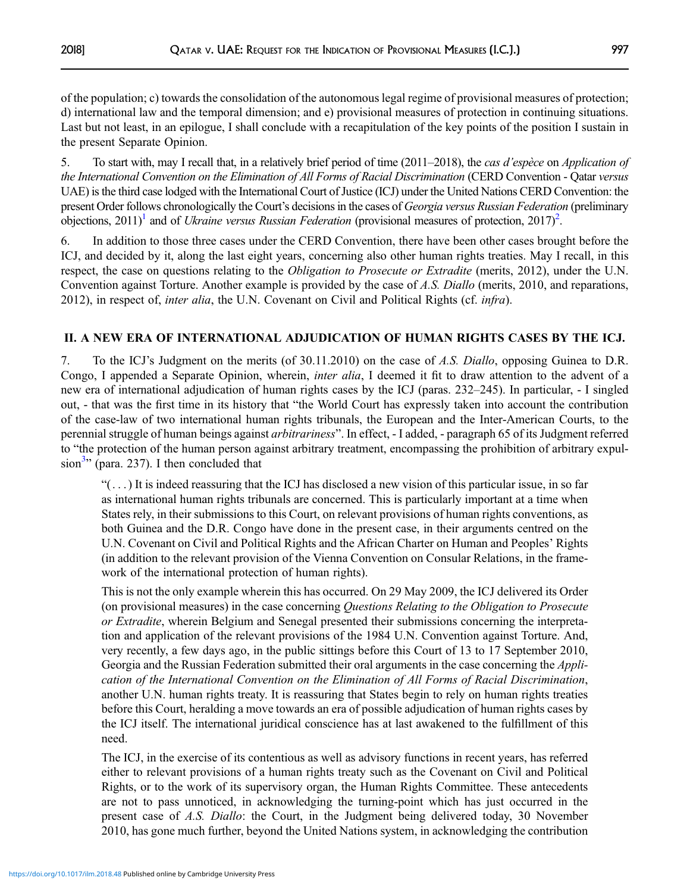of the population; c) towards the consolidation of the autonomous legal regime of provisional measures of protection; d) international law and the temporal dimension; and e) provisional measures of protection in continuing situations. Last but not least, in an epilogue, I shall conclude with a recapitulation of the key points of the position I sustain in the present Separate Opinion.

5. To start with, may I recall that, in a relatively brief period of time (2011–2018), the cas d'espèce on Application of the International Convention on the Elimination of All Forms of Racial Discrimination (CERD Convention - Qatar versus UAE) is the third case lodged with the International Court of Justice (ICJ) under the United Nations CERD Convention: the present Order follows chronologically the Court's decisions in the cases of Georgia versus Russian Federation (preliminary objections, [2](#page-38-0)011)<sup>1</sup> and of Ukraine versus Russian Federation (provisional measures of protection, 2017)<sup>2</sup>.

6. In addition to those three cases under the CERD Convention, there have been other cases brought before the ICJ, and decided by it, along the last eight years, concerning also other human rights treaties. May I recall, in this respect, the case on questions relating to the *Obligation to Prosecute or Extradite* (merits, 2012), under the U.N. Convention against Torture. Another example is provided by the case of A.S. Diallo (merits, 2010, and reparations, 2012), in respect of, inter alia, the U.N. Covenant on Civil and Political Rights (cf. infra).

# II. A NEW ERA OF INTERNATIONAL ADJUDICATION OF HUMAN RIGHTS CASES BY THE ICJ.

7. To the ICJ's Judgment on the merits (of 30.11.2010) on the case of A.S. Diallo, opposing Guinea to D.R. Congo, I appended a Separate Opinion, wherein, *inter alia*, I deemed it fit to draw attention to the advent of a new era of international adjudication of human rights cases by the ICJ (paras. 232–245). In particular, - I singled out, - that was the first time in its history that "the World Court has expressly taken into account the contribution of the case-law of two international human rights tribunals, the European and the Inter-American Courts, to the perennial struggle of human beings against *arbitrariness*". In effect, - I added, - paragraph 65 of its Judgment referred to "the protection of the human person against arbitrary treatment, encompassing the prohibition of arbitrary expul $sion<sup>3</sup>$  (para. 237). I then concluded that

 $\cdots$ ) It is indeed reassuring that the ICJ has disclosed a new vision of this particular issue, in so far as international human rights tribunals are concerned. This is particularly important at a time when States rely, in their submissions to this Court, on relevant provisions of human rights conventions, as both Guinea and the D.R. Congo have done in the present case, in their arguments centred on the U.N. Covenant on Civil and Political Rights and the African Charter on Human and Peoples' Rights (in addition to the relevant provision of the Vienna Convention on Consular Relations, in the framework of the international protection of human rights).

This is not the only example wherein this has occurred. On 29 May 2009, the ICJ delivered its Order (on provisional measures) in the case concerning Questions Relating to the Obligation to Prosecute or Extradite, wherein Belgium and Senegal presented their submissions concerning the interpretation and application of the relevant provisions of the 1984 U.N. Convention against Torture. And, very recently, a few days ago, in the public sittings before this Court of 13 to 17 September 2010, Georgia and the Russian Federation submitted their oral arguments in the case concerning the *Appli*cation of the International Convention on the Elimination of All Forms of Racial Discrimination, another U.N. human rights treaty. It is reassuring that States begin to rely on human rights treaties before this Court, heralding a move towards an era of possible adjudication of human rights cases by the ICJ itself. The international juridical conscience has at last awakened to the fulfillment of this need.

The ICJ, in the exercise of its contentious as well as advisory functions in recent years, has referred either to relevant provisions of a human rights treaty such as the Covenant on Civil and Political Rights, or to the work of its supervisory organ, the Human Rights Committee. These antecedents are not to pass unnoticed, in acknowledging the turning-point which has just occurred in the present case of A.S. Diallo: the Court, in the Judgment being delivered today, 30 November 2010, has gone much further, beyond the United Nations system, in acknowledging the contribution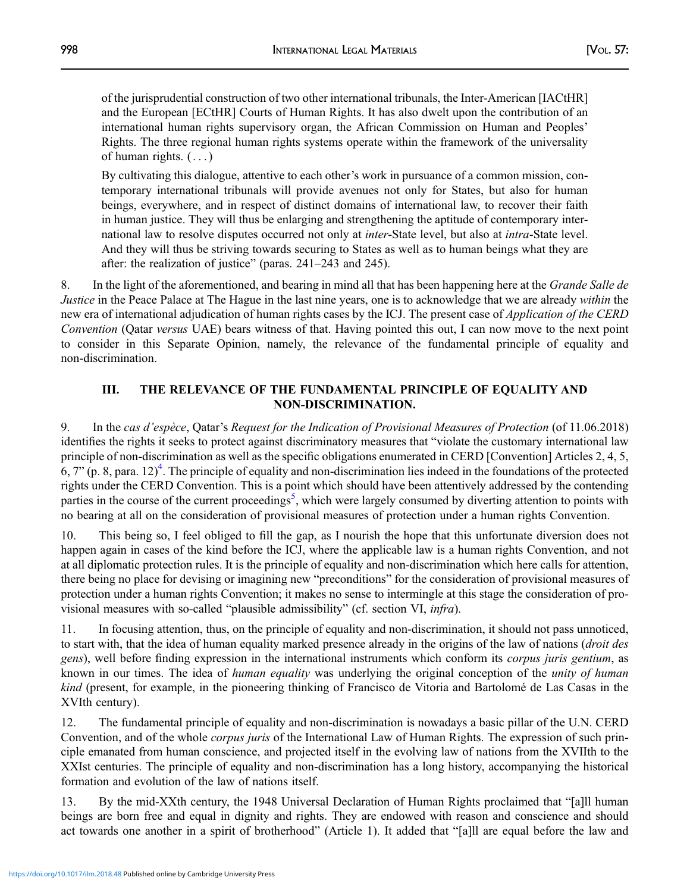of the jurisprudential construction of two other international tribunals, the Inter-American [IACtHR] and the European [ECtHR] Courts of Human Rights. It has also dwelt upon the contribution of an international human rights supervisory organ, the African Commission on Human and Peoples' Rights. The three regional human rights systems operate within the framework of the universality of human rights.  $( \ldots )$ 

By cultivating this dialogue, attentive to each other's work in pursuance of a common mission, contemporary international tribunals will provide avenues not only for States, but also for human beings, everywhere, and in respect of distinct domains of international law, to recover their faith in human justice. They will thus be enlarging and strengthening the aptitude of contemporary international law to resolve disputes occurred not only at *inter*-State level, but also at *intra*-State level. And they will thus be striving towards securing to States as well as to human beings what they are after: the realization of justice" (paras. 241–243 and 245).

8. In the light of the aforementioned, and bearing in mind all that has been happening here at the *Grande Salle de* Justice in the Peace Palace at The Hague in the last nine years, one is to acknowledge that we are already within the new era of international adjudication of human rights cases by the ICJ. The present case of *Application of the CERD* Convention (Qatar versus UAE) bears witness of that. Having pointed this out, I can now move to the next point to consider in this Separate Opinion, namely, the relevance of the fundamental principle of equality and non-discrimination.

### III. THE RELEVANCE OF THE FUNDAMENTAL PRINCIPLE OF EQUALITY AND NON-DISCRIMINATION.

9. In the cas d'espèce, Qatar's Request for the Indication of Provisional Measures of Protection (of 11.06.2018) identifies the rights it seeks to protect against discriminatory measures that "violate the customary international law principle of non-discrimination as well as the specific obligations enumerated in CERD [Convention] Articles 2, 4, 5,  $6, 7$ " (p. 8, para. 12)<sup>4</sup>. The principle of equality and non-discrimination lies indeed in the foundations of the protected rights under the CERD Convention. This is a point which should have been attentively addressed by the contending parties in the course of the current proceedings<sup>[5](#page-39-0)</sup>, which were largely consumed by diverting attention to points with no bearing at all on the consideration of provisional measures of protection under a human rights Convention.

10. This being so, I feel obliged to fill the gap, as I nourish the hope that this unfortunate diversion does not happen again in cases of the kind before the ICJ, where the applicable law is a human rights Convention, and not at all diplomatic protection rules. It is the principle of equality and non-discrimination which here calls for attention, there being no place for devising or imagining new "preconditions" for the consideration of provisional measures of protection under a human rights Convention; it makes no sense to intermingle at this stage the consideration of provisional measures with so-called "plausible admissibility" (cf. section VI, infra).

11. In focusing attention, thus, on the principle of equality and non-discrimination, it should not pass unnoticed, to start with, that the idea of human equality marked presence already in the origins of the law of nations (droit des gens), well before finding expression in the international instruments which conform its *corpus juris gentium*, as known in our times. The idea of *human equality* was underlying the original conception of the *unity of human* kind (present, for example, in the pioneering thinking of Francisco de Vitoria and Bartolomé de Las Casas in the XVIth century).

12. The fundamental principle of equality and non-discrimination is nowadays a basic pillar of the U.N. CERD Convention, and of the whole *corpus juris* of the International Law of Human Rights. The expression of such principle emanated from human conscience, and projected itself in the evolving law of nations from the XVIIth to the XXIst centuries. The principle of equality and non-discrimination has a long history, accompanying the historical formation and evolution of the law of nations itself.

13. By the mid-XXth century, the 1948 Universal Declaration of Human Rights proclaimed that "[a]ll human beings are born free and equal in dignity and rights. They are endowed with reason and conscience and should act towards one another in a spirit of brotherhood" (Article 1). It added that "[a]ll are equal before the law and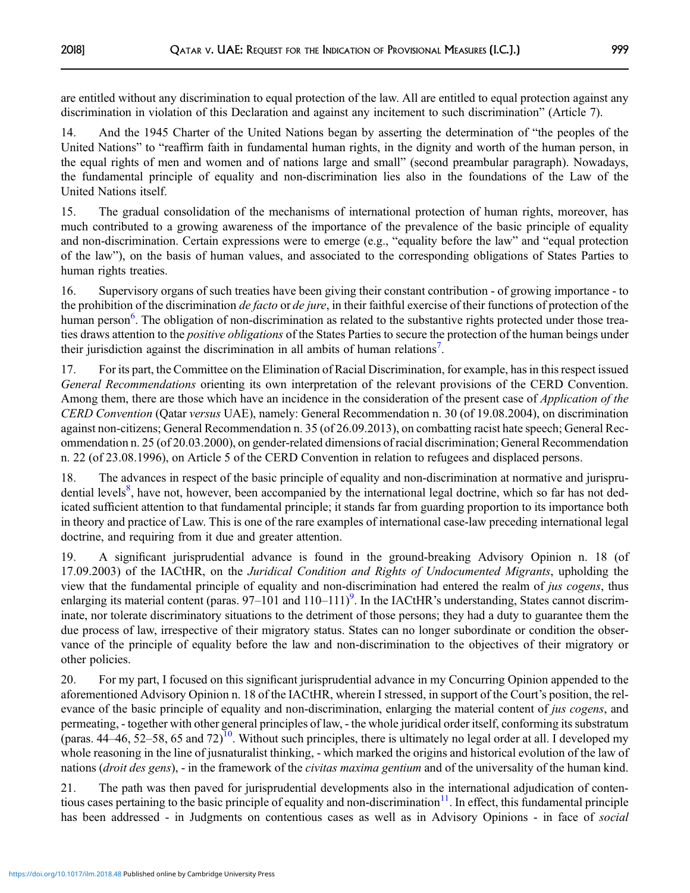are entitled without any discrimination to equal protection of the law. All are entitled to equal protection against any discrimination in violation of this Declaration and against any incitement to such discrimination" (Article 7).

14. And the 1945 Charter of the United Nations began by asserting the determination of "the peoples of the United Nations" to "reaffirm faith in fundamental human rights, in the dignity and worth of the human person, in the equal rights of men and women and of nations large and small" (second preambular paragraph). Nowadays, the fundamental principle of equality and non-discrimination lies also in the foundations of the Law of the United Nations itself.

15. The gradual consolidation of the mechanisms of international protection of human rights, moreover, has much contributed to a growing awareness of the importance of the prevalence of the basic principle of equality and non-discrimination. Certain expressions were to emerge (e.g., "equality before the law" and "equal protection of the law"), on the basis of human values, and associated to the corresponding obligations of States Parties to human rights treaties.

16. Supervisory organs of such treaties have been giving their constant contribution - of growing importance - to the prohibition of the discrimination *de facto* or *de jure*, in their faithful exercise of their functions of protection of the human person<sup>[6](#page-39-0)</sup>. The obligation of non-discrimination as related to the substantive rights protected under those treaties draws attention to the *positive obligations* of the States Parties to secure the protection of the human beings under their jurisdiction against the discrimination in all ambits of human relations<sup>[7](#page-39-0)</sup>.

17. For its part, the Committee on the Elimination of Racial Discrimination, for example, has in this respect issued General Recommendations orienting its own interpretation of the relevant provisions of the CERD Convention. Among them, there are those which have an incidence in the consideration of the present case of *Application of the* CERD Convention (Qatar versus UAE), namely: General Recommendation n. 30 (of 19.08.2004), on discrimination against non-citizens; General Recommendation n. 35 (of 26.09.2013), on combatting racist hate speech; General Recommendation n. 25 (of 20.03.2000), on gender-related dimensions of racial discrimination; General Recommendation n. 22 (of 23.08.1996), on Article 5 of the CERD Convention in relation to refugees and displaced persons.

18. The advances in respect of the basic principle of equality and non-discrimination at normative and jurispru-dential levels<sup>[8](#page-39-0)</sup>, have not, however, been accompanied by the international legal doctrine, which so far has not dedicated sufficient attention to that fundamental principle; it stands far from guarding proportion to its importance both in theory and practice of Law. This is one of the rare examples of international case-law preceding international legal doctrine, and requiring from it due and greater attention.

19. A significant jurisprudential advance is found in the ground-breaking Advisory Opinion n. 18 (of 17.09.2003) of the IACtHR, on the Juridical Condition and Rights of Undocumented Migrants, upholding the view that the fundamental principle of equality and non-discrimination had entered the realm of *jus cogens*, thus enlarging its material content (paras. 97–101 and 110–111)<sup>9</sup>. In the IACtHR's understanding, States cannot discriminate, nor tolerate discriminatory situations to the detriment of those persons; they had a duty to guarantee them the due process of law, irrespective of their migratory status. States can no longer subordinate or condition the observance of the principle of equality before the law and non-discrimination to the objectives of their migratory or other policies.

20. For my part, I focused on this significant jurisprudential advance in my Concurring Opinion appended to the aforementioned Advisory Opinion n. 18 of the IACtHR, wherein I stressed, in support of the Court's position, the relevance of the basic principle of equality and non-discrimination, enlarging the material content of *jus cogens*, and permeating, - together with other general principles of law, - the whole juridical order itself, conforming its substratum (paras.  $44-46$ ,  $52-58$ , 65 and  $72$ )<sup>[10](#page-39-0)</sup>. Without such principles, there is ultimately no legal order at all. I developed my whole reasoning in the line of jusnaturalist thinking, - which marked the origins and historical evolution of the law of nations (droit des gens), - in the framework of the *civitas maxima gentium* and of the universality of the human kind.

21. The path was then paved for jurisprudential developments also in the international adjudication of contentious cases pertaining to the basic principle of equality and non-discrimination $11$ . In effect, this fundamental principle has been addressed - in Judgments on contentious cases as well as in Advisory Opinions - in face of *social*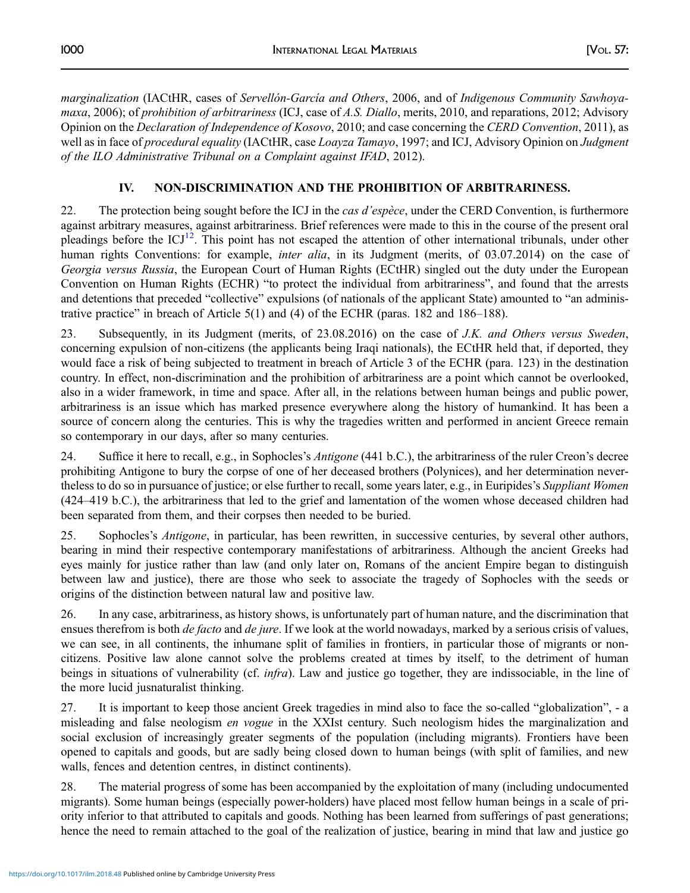marginalization (IACtHR, cases of Servellón-García and Others, 2006, and of Indigenous Community Sawhoyamaxa, 2006); of prohibition of arbitrariness (ICJ, case of A.S. Diallo, merits, 2010, and reparations, 2012; Advisory Opinion on the Declaration of Independence of Kosovo, 2010; and case concerning the CERD Convention, 2011), as well as in face of procedural equality (IACtHR, case Loayza Tamayo, 1997; and ICJ, Advisory Opinion on Judgment of the ILO Administrative Tribunal on a Complaint against IFAD, 2012).

# IV. NON-DISCRIMINATION AND THE PROHIBITION OF ARBITRARINESS.

22. The protection being sought before the ICJ in the *cas d'espèce*, under the CERD Convention, is furthermore against arbitrary measures, against arbitrariness. Brief references were made to this in the course of the present oral pleadings before the  $\text{ICJ}^{12}$  $\text{ICJ}^{12}$  $\text{ICJ}^{12}$ . This point has not escaped the attention of other international tribunals, under other human rights Conventions: for example, *inter alia*, in its Judgment (merits, of 03.07.2014) on the case of Georgia versus Russia, the European Court of Human Rights (ECtHR) singled out the duty under the European Convention on Human Rights (ECHR) "to protect the individual from arbitrariness", and found that the arrests and detentions that preceded "collective" expulsions (of nationals of the applicant State) amounted to "an administrative practice" in breach of Article 5(1) and (4) of the ECHR (paras. 182 and 186–188).

23. Subsequently, in its Judgment (merits, of 23.08.2016) on the case of J.K. and Others versus Sweden, concerning expulsion of non-citizens (the applicants being Iraqi nationals), the ECtHR held that, if deported, they would face a risk of being subjected to treatment in breach of Article 3 of the ECHR (para. 123) in the destination country. In effect, non-discrimination and the prohibition of arbitrariness are a point which cannot be overlooked, also in a wider framework, in time and space. After all, in the relations between human beings and public power, arbitrariness is an issue which has marked presence everywhere along the history of humankind. It has been a source of concern along the centuries. This is why the tragedies written and performed in ancient Greece remain so contemporary in our days, after so many centuries.

24. Suffice it here to recall, e.g., in Sophocles's *Antigone* (441 b.C.), the arbitrariness of the ruler Creon's decree prohibiting Antigone to bury the corpse of one of her deceased brothers (Polynices), and her determination nevertheless to do so in pursuance of justice; or else further to recall, some years later, e.g., in Euripides's Suppliant Women (424–419 b.C.), the arbitrariness that led to the grief and lamentation of the women whose deceased children had been separated from them, and their corpses then needed to be buried.

25. Sophocles's Antigone, in particular, has been rewritten, in successive centuries, by several other authors, bearing in mind their respective contemporary manifestations of arbitrariness. Although the ancient Greeks had eyes mainly for justice rather than law (and only later on, Romans of the ancient Empire began to distinguish between law and justice), there are those who seek to associate the tragedy of Sophocles with the seeds or origins of the distinction between natural law and positive law.

26. In any case, arbitrariness, as history shows, is unfortunately part of human nature, and the discrimination that ensues therefrom is both *de facto* and *de jure*. If we look at the world nowadays, marked by a serious crisis of values, we can see, in all continents, the inhumane split of families in frontiers, in particular those of migrants or noncitizens. Positive law alone cannot solve the problems created at times by itself, to the detriment of human beings in situations of vulnerability (cf. infra). Law and justice go together, they are indissociable, in the line of the more lucid jusnaturalist thinking.

27. It is important to keep those ancient Greek tragedies in mind also to face the so-called "globalization",-a misleading and false neologism en vogue in the XXIst century. Such neologism hides the marginalization and social exclusion of increasingly greater segments of the population (including migrants). Frontiers have been opened to capitals and goods, but are sadly being closed down to human beings (with split of families, and new walls, fences and detention centres, in distinct continents).

28. The material progress of some has been accompanied by the exploitation of many (including undocumented migrants). Some human beings (especially power-holders) have placed most fellow human beings in a scale of priority inferior to that attributed to capitals and goods. Nothing has been learned from sufferings of past generations; hence the need to remain attached to the goal of the realization of justice, bearing in mind that law and justice go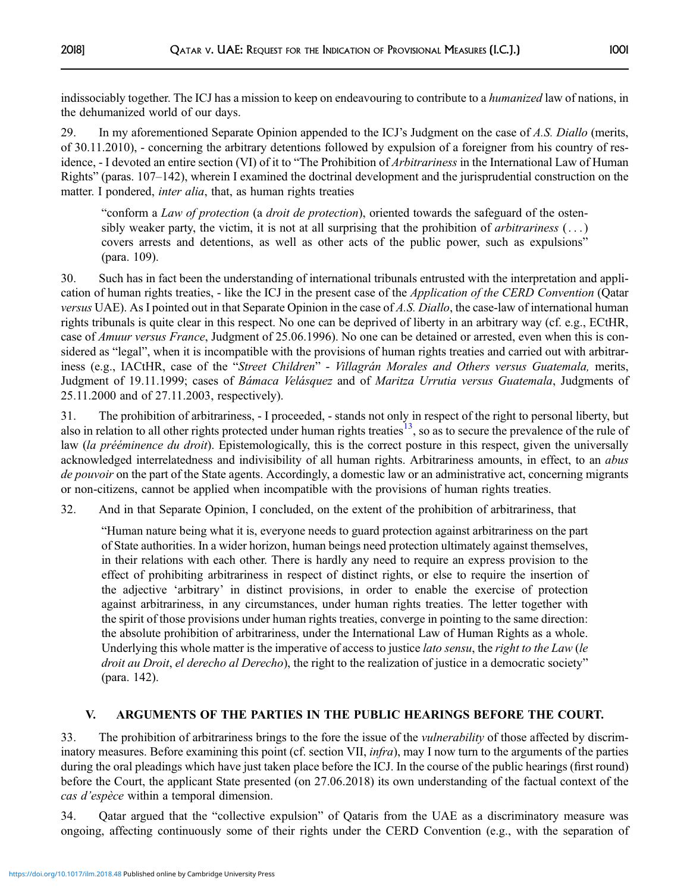indissociably together. The ICJ has a mission to keep on endeavouring to contribute to a *humanized* law of nations, in the dehumanized world of our days.

29. In my aforementioned Separate Opinion appended to the ICJ's Judgment on the case of A.S. Diallo (merits, of 30.11.2010), - concerning the arbitrary detentions followed by expulsion of a foreigner from his country of residence, - I devoted an entire section (VI) of it to "The Prohibition of *Arbitrariness* in the International Law of Human Rights" (paras. 107–142), wherein I examined the doctrinal development and the jurisprudential construction on the matter. I pondered, *inter alia*, that, as human rights treaties

"conform a Law of protection (a droit de protection), oriented towards the safeguard of the ostensibly weaker party, the victim, it is not at all surprising that the prohibition of *arbitrariness*  $(\ldots)$ covers arrests and detentions, as well as other acts of the public power, such as expulsions" (para. 109).

30. Such has in fact been the understanding of international tribunals entrusted with the interpretation and application of human rights treaties, - like the ICJ in the present case of the Application of the CERD Convention (Qatar versus UAE). As I pointed out in that Separate Opinion in the case of A.S. Diallo, the case-law of international human rights tribunals is quite clear in this respect. No one can be deprived of liberty in an arbitrary way (cf. e.g., ECtHR, case of Amuur versus France, Judgment of 25.06.1996). No one can be detained or arrested, even when this is considered as "legal", when it is incompatible with the provisions of human rights treaties and carried out with arbitrariness (e.g., IACtHR, case of the "Street Children" - Villagrán Morales and Others versus Guatemala, merits, Judgment of 19.11.1999; cases of Bámaca Velásquez and of Maritza Urrutia versus Guatemala, Judgments of 25.11.2000 and of 27.11.2003, respectively).

31. The prohibition of arbitrariness, - I proceeded, - stands not only in respect of the right to personal liberty, but also in relation to all other rights protected under human rights treaties<sup>[13](#page-39-0)</sup>, so as to secure the prevalence of the rule of law (la prééminence du droit). Epistemologically, this is the correct posture in this respect, given the universally acknowledged interrelatedness and indivisibility of all human rights. Arbitrariness amounts, in effect, to an abus de pouvoir on the part of the State agents. Accordingly, a domestic law or an administrative act, concerning migrants or non-citizens, cannot be applied when incompatible with the provisions of human rights treaties.

32. And in that Separate Opinion, I concluded, on the extent of the prohibition of arbitrariness, that

"Human nature being what it is, everyone needs to guard protection against arbitrariness on the part of State authorities. In a wider horizon, human beings need protection ultimately against themselves, in their relations with each other. There is hardly any need to require an express provision to the effect of prohibiting arbitrariness in respect of distinct rights, or else to require the insertion of the adjective 'arbitrary' in distinct provisions, in order to enable the exercise of protection against arbitrariness, in any circumstances, under human rights treaties. The letter together with the spirit of those provisions under human rights treaties, converge in pointing to the same direction: the absolute prohibition of arbitrariness, under the International Law of Human Rights as a whole. Underlying this whole matter is the imperative of access to justice *lato sensu*, the *right to the Law* (le droit au Droit, el derecho al Derecho), the right to the realization of justice in a democratic society" (para. 142).

# V. ARGUMENTS OF THE PARTIES IN THE PUBLIC HEARINGS BEFORE THE COURT.

33. The prohibition of arbitrariness brings to the fore the issue of the vulnerability of those affected by discriminatory measures. Before examining this point (cf. section VII, *infra*), may I now turn to the arguments of the parties during the oral pleadings which have just taken place before the ICJ. In the course of the public hearings (first round) before the Court, the applicant State presented (on 27.06.2018) its own understanding of the factual context of the cas d'espèce within a temporal dimension.

34. Qatar argued that the "collective expulsion" of Qataris from the UAE as a discriminatory measure was ongoing, affecting continuously some of their rights under the CERD Convention (e.g., with the separation of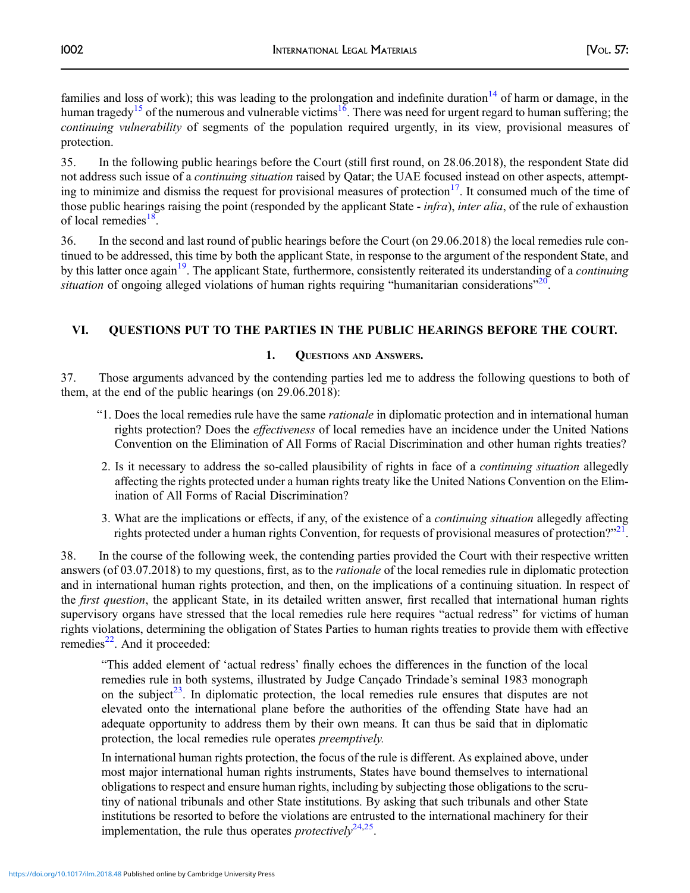families and loss of work); this was leading to the prolongation and indefinite duration<sup>[14](#page-39-0)</sup> of harm or damage, in the human tragedy<sup>[15](#page-39-0)</sup> of the numerous and vulnerable victims<sup>16</sup>. There was need for urgent regard to human suffering; the continuing vulnerability of segments of the population required urgently, in its view, provisional measures of protection.

35. In the following public hearings before the Court (still first round, on 28.06.2018), the respondent State did not address such issue of a continuing situation raised by Qatar; the UAE focused instead on other aspects, attempting to minimize and dismiss the request for provisional measures of protection $17$ . It consumed much of the time of those public hearings raising the point (responded by the applicant State - *infra*), *inter alia*, of the rule of exhaustion of local remedies $^{18}$  $^{18}$  $^{18}$ .

36. In the second and last round of public hearings before the Court (on 29.06.2018) the local remedies rule continued to be addressed, this time by both the applicant State, in response to the argument of the respondent State, and by this latter once again<sup>19</sup>. The applicant State, furthermore, consistently reiterated its understanding of a *continuing* situation of ongoing alleged violations of human rights requiring "humanitarian considerations"<sup>[20](#page-39-0)</sup>.

# VI. QUESTIONS PUT TO THE PARTIES IN THE PUBLIC HEARINGS BEFORE THE COURT.

## 1. QUESTIONS AND ANSWERS.

37. Those arguments advanced by the contending parties led me to address the following questions to both of them, at the end of the public hearings (on 29.06.2018):

- "1. Does the local remedies rule have the same rationale in diplomatic protection and in international human rights protection? Does the effectiveness of local remedies have an incidence under the United Nations Convention on the Elimination of All Forms of Racial Discrimination and other human rights treaties?
- 2. Is it necessary to address the so-called plausibility of rights in face of a *continuing situation* allegedly affecting the rights protected under a human rights treaty like the United Nations Convention on the Elimination of All Forms of Racial Discrimination?
- 3. What are the implications or effects, if any, of the existence of a continuing situation allegedly affecting rights protected under a human rights Convention, for requests of provisional measures of protection?"<sup>[21](#page-39-0)</sup>.

38. In the course of the following week, the contending parties provided the Court with their respective written answers (of 03.07.2018) to my questions, first, as to the *rationale* of the local remedies rule in diplomatic protection and in international human rights protection, and then, on the implications of a continuing situation. In respect of the *first question*, the applicant State, in its detailed written answer, first recalled that international human rights supervisory organs have stressed that the local remedies rule here requires "actual redress" for victims of human rights violations, determining the obligation of States Parties to human rights treaties to provide them with effective remedies<sup>[22](#page-39-0)</sup>. And it proceeded:

"This added element of 'actual redress' finally echoes the differences in the function of the local remedies rule in both systems, illustrated by Judge Cançado Trindade's seminal 1983 monograph on the subject<sup>[23](#page-39-0)</sup>. In diplomatic protection, the local remedies rule ensures that disputes are not elevated onto the international plane before the authorities of the offending State have had an adequate opportunity to address them by their own means. It can thus be said that in diplomatic protection, the local remedies rule operates preemptively.

In international human rights protection, the focus of the rule is different. As explained above, under most major international human rights instruments, States have bound themselves to international obligations to respect and ensure human rights, including by subjecting those obligations to the scrutiny of national tribunals and other State institutions. By asking that such tribunals and other State institutions be resorted to before the violations are entrusted to the international machinery for their implementation, the rule thus operates *protectivel* $v^{24,25}$ .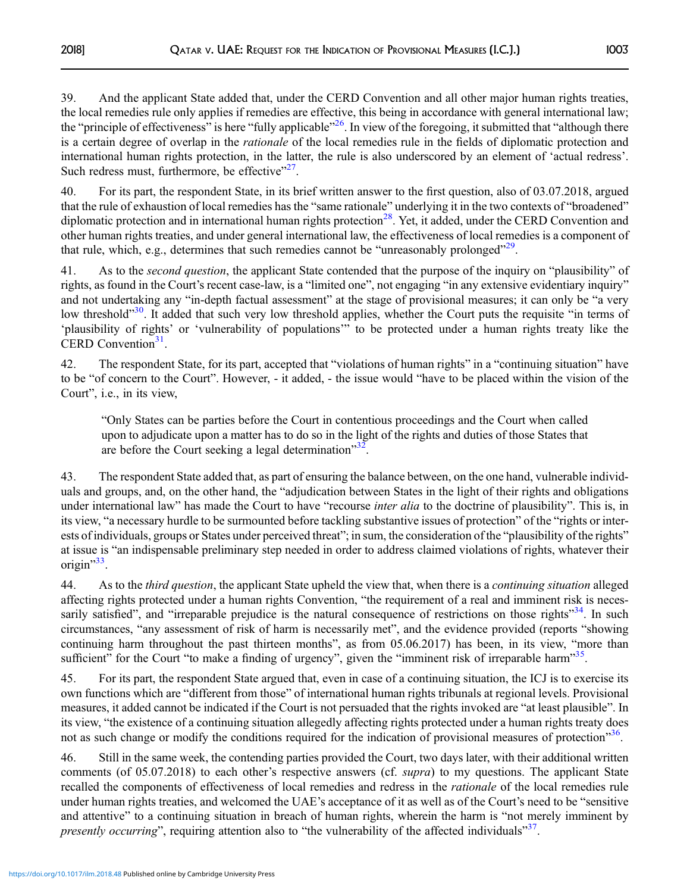39. And the applicant State added that, under the CERD Convention and all other major human rights treaties, the local remedies rule only applies if remedies are effective, this being in accordance with general international law; the "principle of effectiveness" is here "fully applicable"<sup>26</sup>. In view of the foregoing, it submitted that "although there is a certain degree of overlap in the *rationale* of the local remedies rule in the fields of diplomatic protection and international human rights protection, in the latter, the rule is also underscored by an element of 'actual redress'. Such redress must, furthermore, be effective $"^{27}$ .

40. For its part, the respondent State, in its brief written answer to the first question, also of 03.07.2018, argued that the rule of exhaustion of local remedies has the "same rationale" underlying it in the two contexts of "broadened" diplomatic protection and in international human rights protection<sup>[28](#page-39-0)</sup>. Yet, it added, under the CERD Convention and other human rights treaties, and under general international law, the effectiveness of local remedies is a component of that rule, which, e.g., determines that such remedies cannot be "unreasonably prolonged"<sup>[29](#page-39-0)</sup>.

41. As to the *second question*, the applicant State contended that the purpose of the inquiry on "plausibility" of rights, as found in the Court's recent case-law, is a "limited one", not engaging "in any extensive evidentiary inquiry" and not undertaking any "in-depth factual assessment" at the stage of provisional measures; it can only be "a very low threshold"<sup>30</sup>. It added that such very low threshold applies, whether the Court puts the requisite "in terms of 'plausibility of rights' or 'vulnerability of populations'" to be protected under a human rights treaty like the CERD Convention $31$ .

42. The respondent State, for its part, accepted that "violations of human rights" in a "continuing situation" have to be "of concern to the Court". However, - it added, - the issue would "have to be placed within the vision of the Court", i.e., in its view,

"Only States can be parties before the Court in contentious proceedings and the Court when called upon to adjudicate upon a matter has to do so in the light of the rights and duties of those States that are before the Court seeking a legal determination"<sup>32</sup>.

43. The respondent State added that, as part of ensuring the balance between, on the one hand, vulnerable individuals and groups, and, on the other hand, the "adjudication between States in the light of their rights and obligations under international law" has made the Court to have "recourse *inter alia* to the doctrine of plausibility". This is, in its view, "a necessary hurdle to be surmounted before tackling substantive issues of protection" of the "rights or interests of individuals, groups or States under perceived threat"; in sum, the consideration of the "plausibility of the rights" at issue is "an indispensable preliminary step needed in order to address claimed violations of rights, whatever their origin"<sup>[33](#page-39-0)</sup>.

44. As to the *third question*, the applicant State upheld the view that, when there is a *continuing situation* alleged affecting rights protected under a human rights Convention, "the requirement of a real and imminent risk is necessarily satisfied", and "irreparable prejudice is the natural consequence of restrictions on those rights"<sup>34</sup>. In such circumstances, "any assessment of risk of harm is necessarily met", and the evidence provided (reports "showing continuing harm throughout the past thirteen months", as from 05.06.2017) has been, in its view, "more than sufficient" for the Court "to make a finding of urgency", given the "imminent risk of irreparable harm"<sup>35</sup>.

45. For its part, the respondent State argued that, even in case of a continuing situation, the ICJ is to exercise its own functions which are "different from those" of international human rights tribunals at regional levels. Provisional measures, it added cannot be indicated if the Court is not persuaded that the rights invoked are "at least plausible". In its view, "the existence of a continuing situation allegedly affecting rights protected under a human rights treaty does not as such change or modify the conditions required for the indication of provisional measures of protection"[36.](#page-39-0)

46. Still in the same week, the contending parties provided the Court, two days later, with their additional written comments (of 05.07.2018) to each other's respective answers (cf. supra) to my questions. The applicant State recalled the components of effectiveness of local remedies and redress in the rationale of the local remedies rule under human rights treaties, and welcomed the UAE's acceptance of it as well as of the Court's need to be "sensitive and attentive" to a continuing situation in breach of human rights, wherein the harm is "not merely imminent by presently occurring", requiring attention also to "the vulnerability of the affected individuals"<sup>37</sup>.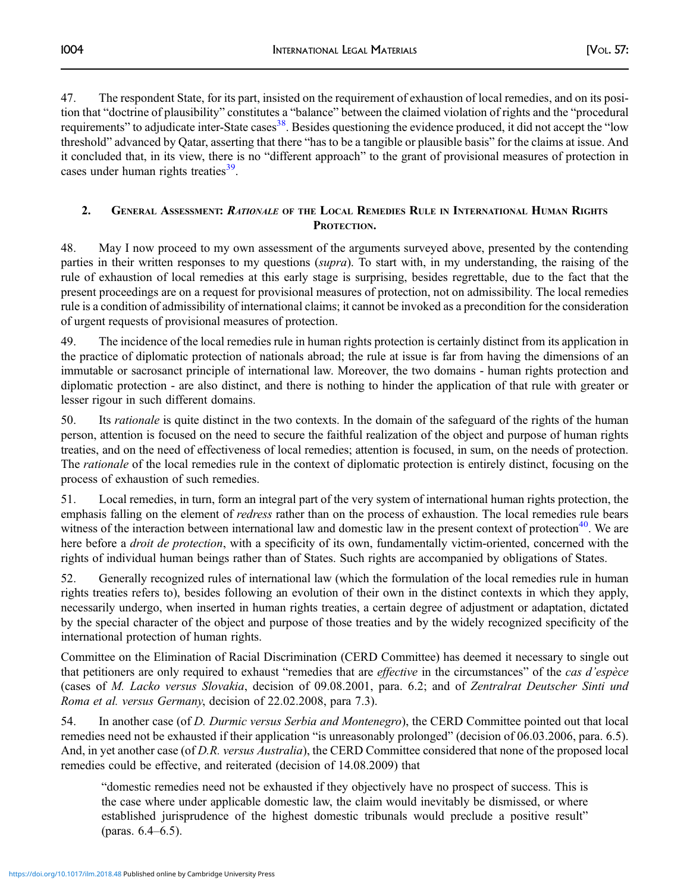47. The respondent State, for its part, insisted on the requirement of exhaustion of local remedies, and on its position that "doctrine of plausibility" constitutes a "balance" between the claimed violation of rights and the "procedural requirements" to adjudicate inter-State cases<sup>38</sup>. Besides questioning the evidence produced, it did not accept the "low threshold" advanced by Qatar, asserting that there "has to be a tangible or plausible basis" for the claims at issue. And it concluded that, in its view, there is no "different approach" to the grant of provisional measures of protection in cases under human rights treaties $39$ .

## 2. GENERAL ASSESSMENT: RATIONALE OF THE LOCAL REMEDIES RULE IN INTERNATIONAL HUMAN RIGHTS PROTECTION.

48. May I now proceed to my own assessment of the arguments surveyed above, presented by the contending parties in their written responses to my questions (supra). To start with, in my understanding, the raising of the rule of exhaustion of local remedies at this early stage is surprising, besides regrettable, due to the fact that the present proceedings are on a request for provisional measures of protection, not on admissibility. The local remedies rule is a condition of admissibility of international claims; it cannot be invoked as a precondition for the consideration of urgent requests of provisional measures of protection.

49. The incidence of the local remedies rule in human rights protection is certainly distinct from its application in the practice of diplomatic protection of nationals abroad; the rule at issue is far from having the dimensions of an immutable or sacrosanct principle of international law. Moreover, the two domains - human rights protection and diplomatic protection - are also distinct, and there is nothing to hinder the application of that rule with greater or lesser rigour in such different domains.

50. Its *rationale* is quite distinct in the two contexts. In the domain of the safeguard of the rights of the human person, attention is focused on the need to secure the faithful realization of the object and purpose of human rights treaties, and on the need of effectiveness of local remedies; attention is focused, in sum, on the needs of protection. The *rationale* of the local remedies rule in the context of diplomatic protection is entirely distinct, focusing on the process of exhaustion of such remedies.

51. Local remedies, in turn, form an integral part of the very system of international human rights protection, the emphasis falling on the element of *redress* rather than on the process of exhaustion. The local remedies rule bears witness of the interaction between international law and domestic law in the present context of protection $40$ . We are here before a *droit de protection*, with a specificity of its own, fundamentally victim-oriented, concerned with the rights of individual human beings rather than of States. Such rights are accompanied by obligations of States.

52. Generally recognized rules of international law (which the formulation of the local remedies rule in human rights treaties refers to), besides following an evolution of their own in the distinct contexts in which they apply, necessarily undergo, when inserted in human rights treaties, a certain degree of adjustment or adaptation, dictated by the special character of the object and purpose of those treaties and by the widely recognized specificity of the international protection of human rights.

Committee on the Elimination of Racial Discrimination (CERD Committee) has deemed it necessary to single out that petitioners are only required to exhaust "remedies that are *effective* in the circumstances" of the *cas d'espèce* (cases of M. Lacko versus Slovakia, decision of 09.08.2001, para. 6.2; and of Zentralrat Deutscher Sinti und Roma et al. versus Germany, decision of 22.02.2008, para 7.3).

54. In another case (of D. Durmic versus Serbia and Montenegro), the CERD Committee pointed out that local remedies need not be exhausted if their application "is unreasonably prolonged" (decision of 06.03.2006, para. 6.5). And, in yet another case (of D.R. versus Australia), the CERD Committee considered that none of the proposed local remedies could be effective, and reiterated (decision of 14.08.2009) that

"domestic remedies need not be exhausted if they objectively have no prospect of success. This is the case where under applicable domestic law, the claim would inevitably be dismissed, or where established jurisprudence of the highest domestic tribunals would preclude a positive result" (paras. 6.4–6.5).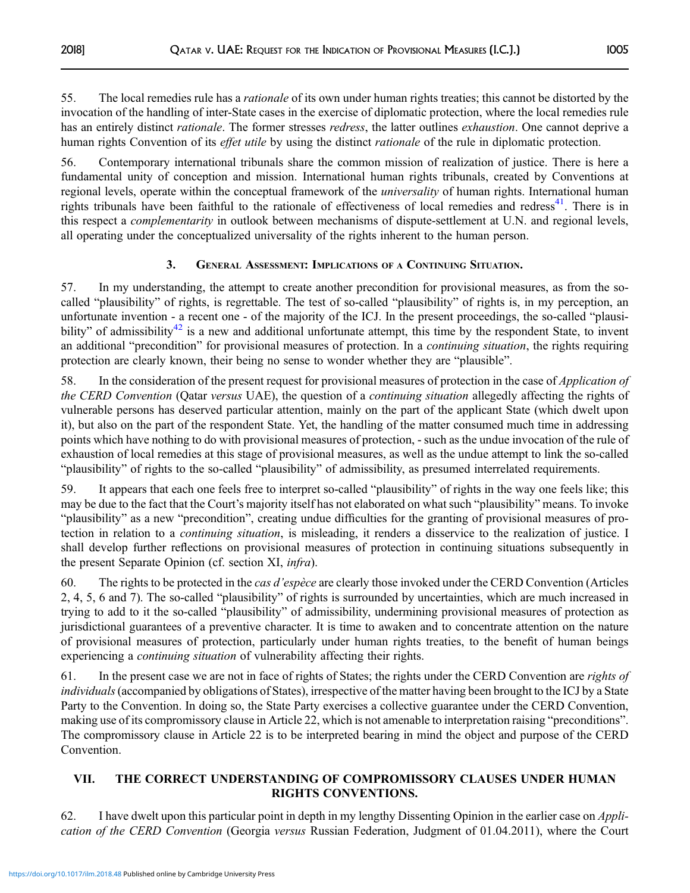55. The local remedies rule has a *rationale* of its own under human rights treaties; this cannot be distorted by the invocation of the handling of inter-State cases in the exercise of diplomatic protection, where the local remedies rule has an entirely distinct *rationale*. The former stresses *redress*, the latter outlines *exhaustion*. One cannot deprive a human rights Convention of its *effet utile* by using the distinct *rationale* of the rule in diplomatic protection.

56. Contemporary international tribunals share the common mission of realization of justice. There is here a fundamental unity of conception and mission. International human rights tribunals, created by Conventions at regional levels, operate within the conceptual framework of the *universality* of human rights. International human rights tribunals have been faithful to the rationale of effectiveness of local remedies and redress<sup>41</sup>. There is in this respect a complementarity in outlook between mechanisms of dispute-settlement at U.N. and regional levels, all operating under the conceptualized universality of the rights inherent to the human person.

# 3. GENERAL ASSESSMENT: IMPLICATIONS OF A CONTINUING SITUATION.

57. In my understanding, the attempt to create another precondition for provisional measures, as from the socalled "plausibility" of rights, is regrettable. The test of so-called "plausibility" of rights is, in my perception, an unfortunate invention - a recent one - of the majority of the ICJ. In the present proceedings, the so-called "plausi-bility" of admissibility<sup>[42](#page-40-0)</sup> is a new and additional unfortunate attempt, this time by the respondent State, to invent an additional "precondition" for provisional measures of protection. In a *continuing situation*, the rights requiring protection are clearly known, their being no sense to wonder whether they are "plausible".

58. In the consideration of the present request for provisional measures of protection in the case of *Application of* the CERD Convention (Qatar versus UAE), the question of a continuing situation allegedly affecting the rights of vulnerable persons has deserved particular attention, mainly on the part of the applicant State (which dwelt upon it), but also on the part of the respondent State. Yet, the handling of the matter consumed much time in addressing points which have nothing to do with provisional measures of protection, - such as the undue invocation of the rule of exhaustion of local remedies at this stage of provisional measures, as well as the undue attempt to link the so-called "plausibility" of rights to the so-called "plausibility" of admissibility, as presumed interrelated requirements.

59. It appears that each one feels free to interpret so-called "plausibility" of rights in the way one feels like; this may be due to the fact that the Court's majority itself has not elaborated on what such "plausibility" means. To invoke "plausibility" as a new "precondition", creating undue difficulties for the granting of provisional measures of protection in relation to a *continuing situation*, is misleading, it renders a disservice to the realization of justice. I shall develop further reflections on provisional measures of protection in continuing situations subsequently in the present Separate Opinion (cf. section XI, infra).

60. The rights to be protected in the *cas d'espèce* are clearly those invoked under the CERD Convention (Articles 2, 4, 5, 6 and 7). The so-called "plausibility" of rights is surrounded by uncertainties, which are much increased in trying to add to it the so-called "plausibility" of admissibility, undermining provisional measures of protection as jurisdictional guarantees of a preventive character. It is time to awaken and to concentrate attention on the nature of provisional measures of protection, particularly under human rights treaties, to the benefit of human beings experiencing a continuing situation of vulnerability affecting their rights.

61. In the present case we are not in face of rights of States; the rights under the CERD Convention are rights of individuals (accompanied by obligations of States), irrespective of the matter having been brought to the ICJ by a State Party to the Convention. In doing so, the State Party exercises a collective guarantee under the CERD Convention, making use of its compromissory clause in Article 22, which is not amenable to interpretation raising "preconditions". The compromissory clause in Article 22 is to be interpreted bearing in mind the object and purpose of the CERD Convention.

# VII. THE CORRECT UNDERSTANDING OF COMPROMISSORY CLAUSES UNDER HUMAN RIGHTS CONVENTIONS.

62. I have dwelt upon this particular point in depth in my lengthy Dissenting Opinion in the earlier case on Application of the CERD Convention (Georgia versus Russian Federation, Judgment of 01.04.2011), where the Court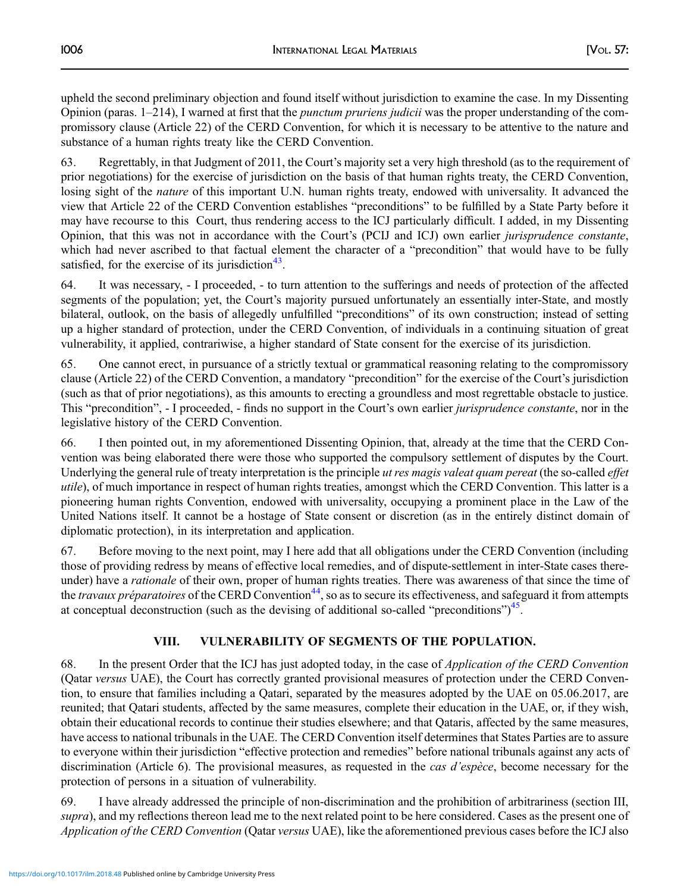upheld the second preliminary objection and found itself without jurisdiction to examine the case. In my Dissenting Opinion (paras. 1–214), I warned at first that the punctum pruriens judicii was the proper understanding of the compromissory clause (Article 22) of the CERD Convention, for which it is necessary to be attentive to the nature and substance of a human rights treaty like the CERD Convention.

63. Regrettably, in that Judgment of 2011, the Court's majority set a very high threshold (as to the requirement of prior negotiations) for the exercise of jurisdiction on the basis of that human rights treaty, the CERD Convention, losing sight of the *nature* of this important U.N. human rights treaty, endowed with universality. It advanced the view that Article 22 of the CERD Convention establishes "preconditions" to be fulfilled by a State Party before it may have recourse to this Court, thus rendering access to the ICJ particularly difficult. I added, in my Dissenting Opinion, that this was not in accordance with the Court's (PCIJ and ICJ) own earlier jurisprudence constante, which had never ascribed to that factual element the character of a "precondition" that would have to be fully satisfied, for the exercise of its jurisdiction<sup>43</sup>.

64. It was necessary, - I proceeded, - to turn attention to the sufferings and needs of protection of the affected segments of the population; yet, the Court's majority pursued unfortunately an essentially inter-State, and mostly bilateral, outlook, on the basis of allegedly unfulfilled "preconditions" of its own construction; instead of setting up a higher standard of protection, under the CERD Convention, of individuals in a continuing situation of great vulnerability, it applied, contrariwise, a higher standard of State consent for the exercise of its jurisdiction.

65. One cannot erect, in pursuance of a strictly textual or grammatical reasoning relating to the compromissory clause (Article 22) of the CERD Convention, a mandatory "precondition" for the exercise of the Court's jurisdiction (such as that of prior negotiations), as this amounts to erecting a groundless and most regrettable obstacle to justice. This "precondition", - I proceeded, - finds no support in the Court's own earlier *jurisprudence constante*, nor in the legislative history of the CERD Convention.

66. I then pointed out, in my aforementioned Dissenting Opinion, that, already at the time that the CERD Convention was being elaborated there were those who supported the compulsory settlement of disputes by the Court. Underlying the general rule of treaty interpretation is the principle ut res magis valeat quam pereat (the so-called effet utile), of much importance in respect of human rights treaties, amongst which the CERD Convention. This latter is a pioneering human rights Convention, endowed with universality, occupying a prominent place in the Law of the United Nations itself. It cannot be a hostage of State consent or discretion (as in the entirely distinct domain of diplomatic protection), in its interpretation and application.

67. Before moving to the next point, may I here add that all obligations under the CERD Convention (including those of providing redress by means of effective local remedies, and of dispute-settlement in inter-State cases thereunder) have a *rationale* of their own, proper of human rights treaties. There was awareness of that since the time of the travaux préparatoires of the CERD Convention<sup>44</sup>, so as to secure its effectiveness, and safeguard it from attempts at conceptual deconstruction (such as the devising of additional so-called "preconditions")<sup>45</sup>.

# VIII. VULNERABILITY OF SEGMENTS OF THE POPULATION.

68. In the present Order that the ICJ has just adopted today, in the case of *Application of the CERD Convention* (Qatar versus UAE), the Court has correctly granted provisional measures of protection under the CERD Convention, to ensure that families including a Qatari, separated by the measures adopted by the UAE on 05.06.2017, are reunited; that Qatari students, affected by the same measures, complete their education in the UAE, or, if they wish, obtain their educational records to continue their studies elsewhere; and that Qataris, affected by the same measures, have access to national tribunals in the UAE. The CERD Convention itself determines that States Parties are to assure to everyone within their jurisdiction "effective protection and remedies" before national tribunals against any acts of discrimination (Article 6). The provisional measures, as requested in the *cas d'espèce*, become necessary for the protection of persons in a situation of vulnerability.

69. I have already addressed the principle of non-discrimination and the prohibition of arbitrariness (section III, supra), and my reflections thereon lead me to the next related point to be here considered. Cases as the present one of Application of the CERD Convention (Qatar versus UAE), like the aforementioned previous cases before the ICJ also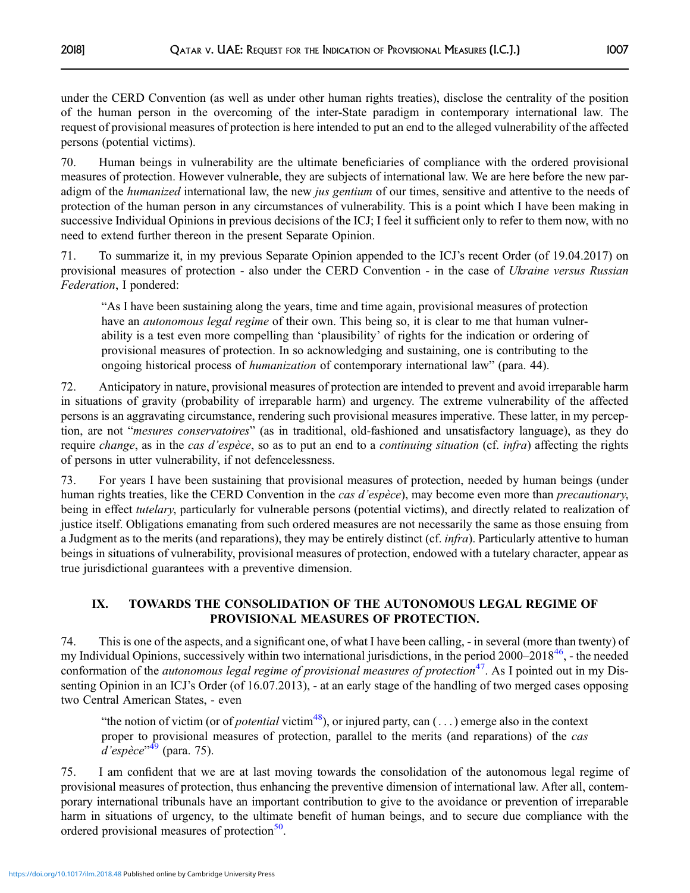under the CERD Convention (as well as under other human rights treaties), disclose the centrality of the position of the human person in the overcoming of the inter-State paradigm in contemporary international law. The request of provisional measures of protection is here intended to put an end to the alleged vulnerability of the affected persons (potential victims).

70. Human beings in vulnerability are the ultimate beneficiaries of compliance with the ordered provisional measures of protection. However vulnerable, they are subjects of international law. We are here before the new paradigm of the humanized international law, the new jus gentium of our times, sensitive and attentive to the needs of protection of the human person in any circumstances of vulnerability. This is a point which I have been making in successive Individual Opinions in previous decisions of the ICJ; I feel it sufficient only to refer to them now, with no need to extend further thereon in the present Separate Opinion.

71. To summarize it, in my previous Separate Opinion appended to the ICJ's recent Order (of 19.04.2017) on provisional measures of protection - also under the CERD Convention - in the case of Ukraine versus Russian Federation, I pondered:

"As I have been sustaining along the years, time and time again, provisional measures of protection have an *autonomous legal regime* of their own. This being so, it is clear to me that human vulnerability is a test even more compelling than 'plausibility' of rights for the indication or ordering of provisional measures of protection. In so acknowledging and sustaining, one is contributing to the ongoing historical process of *humanization* of contemporary international law" (para. 44).

72. Anticipatory in nature, provisional measures of protection are intended to prevent and avoid irreparable harm in situations of gravity (probability of irreparable harm) and urgency. The extreme vulnerability of the affected persons is an aggravating circumstance, rendering such provisional measures imperative. These latter, in my perception, are not "mesures conservatoires" (as in traditional, old-fashioned and unsatisfactory language), as they do require *change*, as in the *cas d'espèce*, so as to put an end to a *continuing situation* (cf. *infra*) affecting the rights of persons in utter vulnerability, if not defencelessness.

73. For years I have been sustaining that provisional measures of protection, needed by human beings (under human rights treaties, like the CERD Convention in the *cas d'espèce*), may become even more than *precautionary*, being in effect tutelary, particularly for vulnerable persons (potential victims), and directly related to realization of justice itself. Obligations emanating from such ordered measures are not necessarily the same as those ensuing from a Judgment as to the merits (and reparations), they may be entirely distinct (cf. *infra*). Particularly attentive to human beings in situations of vulnerability, provisional measures of protection, endowed with a tutelary character, appear as true jurisdictional guarantees with a preventive dimension.

# IX. TOWARDS THE CONSOLIDATION OF THE AUTONOMOUS LEGAL REGIME OF PROVISIONAL MEASURES OF PROTECTION.

74. This is one of the aspects, and a significant one, of what I have been calling, - in several (more than twenty) of my Individual Opinions, successively within two international jurisdictions, in the period 2000–2018<sup>[46](#page-40-0)</sup>, - the needed conformation of the *autonomous legal regime of provisional measures of protection*<sup>47</sup>. As I pointed out in my Dissenting Opinion in an ICJ's Order (of 16.07.2013), - at an early stage of the handling of two merged cases opposing two Central American States, - even

"the notion of victim (or of *potential* victim<sup>[48](#page-40-0)</sup>), or injured party, can  $(\ldots)$  emerge also in the context proper to provisional measures of protection, parallel to the merits (and reparations) of the cas .<br>*d'espèce*"<sup>[49](#page-40-0)</sup> (para. 75).

75. I am confident that we are at last moving towards the consolidation of the autonomous legal regime of provisional measures of protection, thus enhancing the preventive dimension of international law. After all, contemporary international tribunals have an important contribution to give to the avoidance or prevention of irreparable harm in situations of urgency, to the ultimate benefit of human beings, and to secure due compliance with the ordered provisional measures of protection<sup>[50](#page-40-0)</sup>.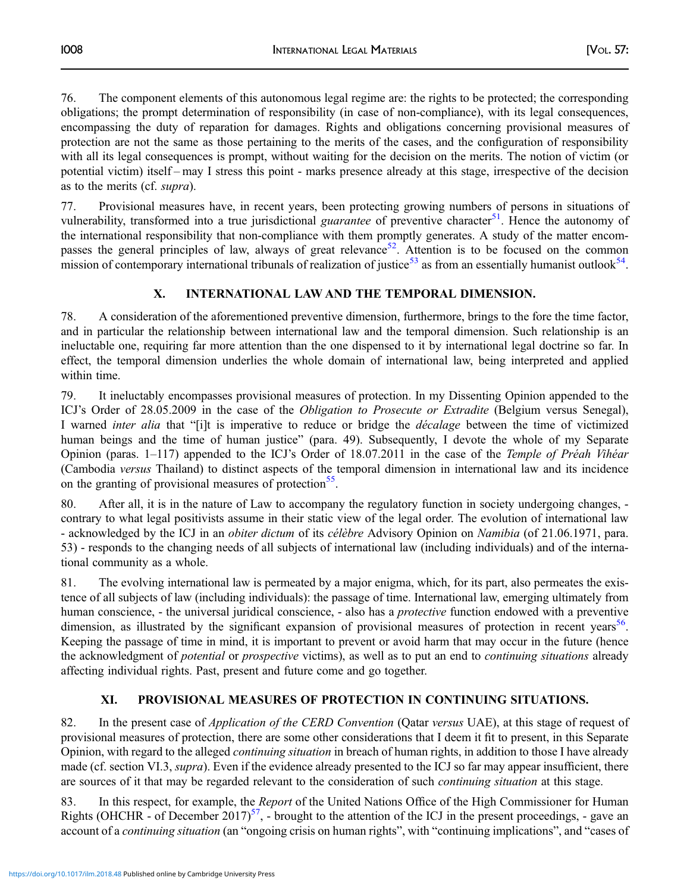76. The component elements of this autonomous legal regime are: the rights to be protected; the corresponding obligations; the prompt determination of responsibility (in case of non-compliance), with its legal consequences, encompassing the duty of reparation for damages. Rights and obligations concerning provisional measures of protection are not the same as those pertaining to the merits of the cases, and the configuration of responsibility with all its legal consequences is prompt, without waiting for the decision on the merits. The notion of victim (or potential victim) itself – may I stress this point - marks presence already at this stage, irrespective of the decision as to the merits (cf. supra).

77. Provisional measures have, in recent years, been protecting growing numbers of persons in situations of vulnerability, transformed into a true jurisdictional *guarantee* of preventive character<sup>51</sup>. Hence the autonomy of the international responsibility that non-compliance with them promptly generates. A study of the matter encom-passes the general principles of law, always of great relevance<sup>[52](#page-40-0)</sup>. Attention is to be focused on the common mission of contemporary international tribunals of realization of justice<sup>[53](#page-40-0)</sup> as from an essentially humanist outlook<sup>[54](#page-40-0)</sup>.

# X. INTERNATIONAL LAW AND THE TEMPORAL DIMENSION.

78. A consideration of the aforementioned preventive dimension, furthermore, brings to the fore the time factor, and in particular the relationship between international law and the temporal dimension. Such relationship is an ineluctable one, requiring far more attention than the one dispensed to it by international legal doctrine so far. In effect, the temporal dimension underlies the whole domain of international law, being interpreted and applied within time.

79. It ineluctably encompasses provisional measures of protection. In my Dissenting Opinion appended to the ICJ's Order of 28.05.2009 in the case of the *Obligation to Prosecute or Extradite* (Belgium versus Senegal), I warned inter alia that "[i]t is imperative to reduce or bridge the décalage between the time of victimized human beings and the time of human justice" (para. 49). Subsequently, I devote the whole of my Separate Opinion (paras.  $1-117$ ) appended to the ICJ's Order of 18.07.2011 in the case of the *Temple of Préah Vihéar* (Cambodia versus Thailand) to distinct aspects of the temporal dimension in international law and its incidence on the granting of provisional measures of protection<sup>55</sup>.

80. After all, it is in the nature of Law to accompany the regulatory function in society undergoing changes, contrary to what legal positivists assume in their static view of the legal order. The evolution of international law - acknowledged by the ICJ in an *obiter dictum* of its *célèbre* Advisory Opinion on *Namibia* (of 21.06.1971, para. 53) - responds to the changing needs of all subjects of international law (including individuals) and of the international community as a whole.

81. The evolving international law is permeated by a major enigma, which, for its part, also permeates the existence of all subjects of law (including individuals): the passage of time. International law, emerging ultimately from human conscience, - the universal juridical conscience, - also has a *protective* function endowed with a preventive dimension, as illustrated by the significant expansion of provisional measures of protection in recent years<sup>[56](#page-41-0)</sup>. Keeping the passage of time in mind, it is important to prevent or avoid harm that may occur in the future (hence the acknowledgment of *potential* or *prospective* victims), as well as to put an end to *continuing situations* already affecting individual rights. Past, present and future come and go together.

## XI. PROVISIONAL MEASURES OF PROTECTION IN CONTINUING SITUATIONS.

82. In the present case of *Application of the CERD Convention* (Oatar versus UAE), at this stage of request of provisional measures of protection, there are some other considerations that I deem it fit to present, in this Separate Opinion, with regard to the alleged continuing situation in breach of human rights, in addition to those I have already made (cf. section VI.3, *supra*). Even if the evidence already presented to the ICJ so far may appear insufficient, there are sources of it that may be regarded relevant to the consideration of such continuing situation at this stage.

83. In this respect, for example, the *Report* of the United Nations Office of the High Commissioner for Human Rights (OHCHR - of December 2017)<sup>57</sup>, - brought to the attention of the ICJ in the present proceedings, - gave an account of a continuing situation (an "ongoing crisis on human rights", with "continuing implications", and "cases of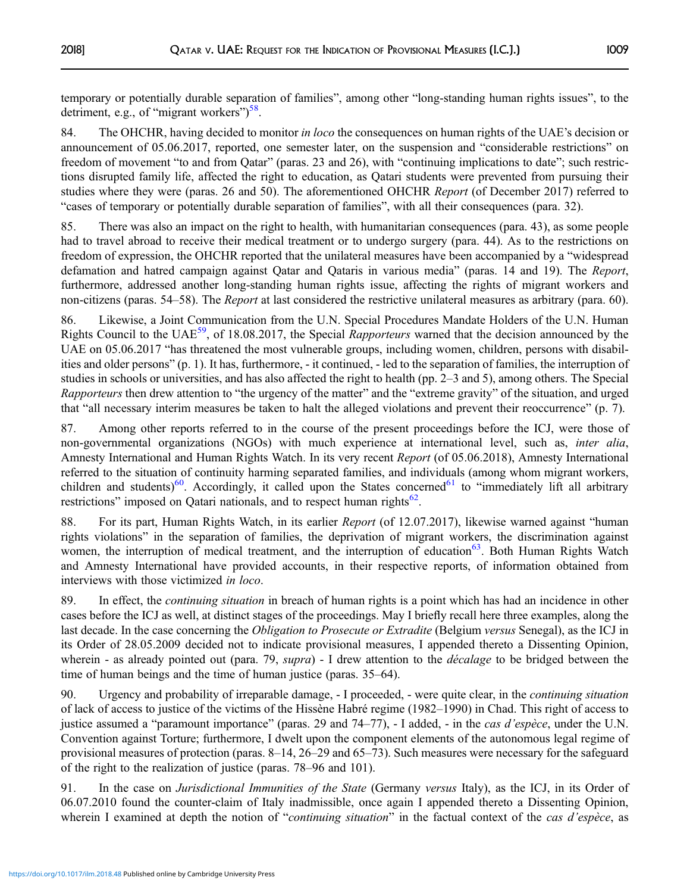temporary or potentially durable separation of families", among other "long-standing human rights issues", to the detriment, e.g., of "migrant workers")<sup>[58](#page-41-0)</sup>.

84. The OHCHR, having decided to monitor in loco the consequences on human rights of the UAE's decision or announcement of 05.06.2017, reported, one semester later, on the suspension and "considerable restrictions" on freedom of movement "to and from Qatar" (paras. 23 and 26), with "continuing implications to date"; such restrictions disrupted family life, affected the right to education, as Qatari students were prevented from pursuing their studies where they were (paras. 26 and 50). The aforementioned OHCHR Report (of December 2017) referred to "cases of temporary or potentially durable separation of families", with all their consequences (para. 32).

85. There was also an impact on the right to health, with humanitarian consequences (para. 43), as some people had to travel abroad to receive their medical treatment or to undergo surgery (para. 44). As to the restrictions on freedom of expression, the OHCHR reported that the unilateral measures have been accompanied by a "widespread defamation and hatred campaign against Qatar and Qataris in various media" (paras. 14 and 19). The Report, furthermore, addressed another long-standing human rights issue, affecting the rights of migrant workers and non-citizens (paras. 54–58). The *Report* at last considered the restrictive unilateral measures as arbitrary (para. 60).

86. Likewise, a Joint Communication from the U.N. Special Procedures Mandate Holders of the U.N. Human Rights Council to the UAE<sup>[59](#page-41-0)</sup>, of 18.08.2017, the Special Rapporteurs warned that the decision announced by the UAE on 05.06.2017 "has threatened the most vulnerable groups, including women, children, persons with disabilities and older persons" (p. 1). It has, furthermore, - it continued, - led to the separation of families, the interruption of studies in schools or universities, and has also affected the right to health (pp. 2–3 and 5), among others. The Special Rapporteurs then drew attention to "the urgency of the matter" and the "extreme gravity" of the situation, and urged that "all necessary interim measures be taken to halt the alleged violations and prevent their reoccurrence" (p. 7).

87. Among other reports referred to in the course of the present proceedings before the ICJ, were those of non-governmental organizations (NGOs) with much experience at international level, such as, inter alia, Amnesty International and Human Rights Watch. In its very recent Report (of 05.06.2018), Amnesty International referred to the situation of continuity harming separated families, and individuals (among whom migrant workers, children and students)<sup>[60](#page-41-0)</sup>. Accordingly, it called upon the States concerned<sup>61</sup> to "immediately lift all arbitrary restrictions" imposed on Qatari nationals, and to respect human rights $62$ .

88. For its part, Human Rights Watch, in its earlier *Report* (of 12.07.2017), likewise warned against "human rights violations" in the separation of families, the deprivation of migrant workers, the discrimination against women, the interruption of medical treatment, and the interruption of education $63$ . Both Human Rights Watch and Amnesty International have provided accounts, in their respective reports, of information obtained from interviews with those victimized in loco.

89. In effect, the *continuing situation* in breach of human rights is a point which has had an incidence in other cases before the ICJ as well, at distinct stages of the proceedings. May I briefly recall here three examples, along the last decade. In the case concerning the *Obligation to Prosecute or Extradite* (Belgium versus Senegal), as the ICJ in its Order of 28.05.2009 decided not to indicate provisional measures, I appended thereto a Dissenting Opinion, wherein - as already pointed out (para. 79, supra) - I drew attention to the *décalage* to be bridged between the time of human beings and the time of human justice (paras. 35–64).

90. Urgency and probability of irreparable damage, - I proceeded, - were quite clear, in the *continuing situation* of lack of access to justice of the victims of the Hissène Habré regime (1982–1990) in Chad. This right of access to justice assumed a "paramount importance" (paras. 29 and 74–77), - I added, - in the *cas d'espèce*, under the U.N. Convention against Torture; furthermore, I dwelt upon the component elements of the autonomous legal regime of provisional measures of protection (paras. 8–14, 26–29 and 65–73). Such measures were necessary for the safeguard of the right to the realization of justice (paras. 78–96 and 101).

91. In the case on Jurisdictional Immunities of the State (Germany versus Italy), as the ICJ, in its Order of 06.07.2010 found the counter-claim of Italy inadmissible, once again I appended thereto a Dissenting Opinion, wherein I examined at depth the notion of "continuing situation" in the factual context of the cas d'espèce, as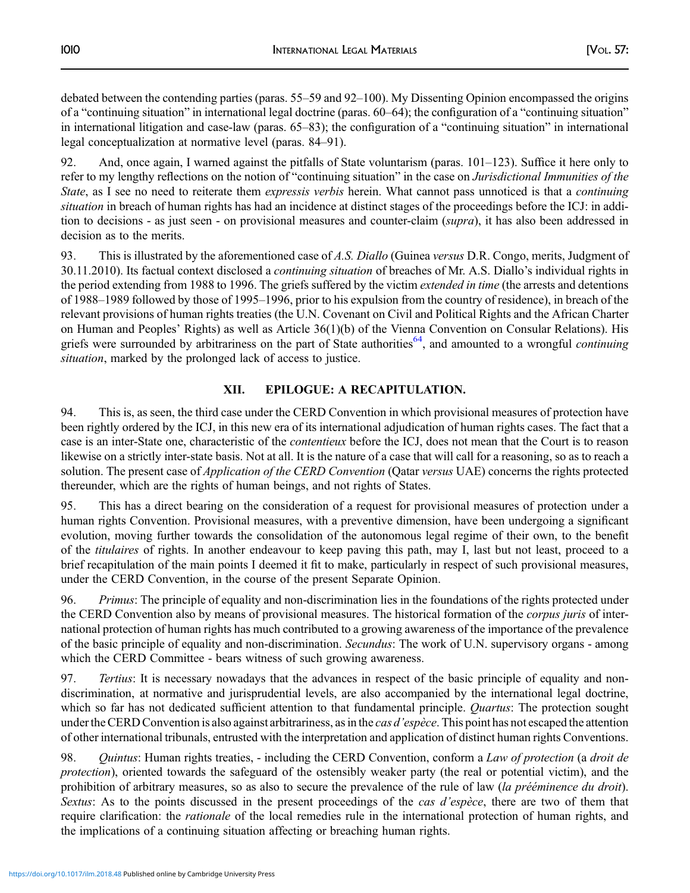debated between the contending parties (paras. 55–59 and 92–100). My Dissenting Opinion encompassed the origins of a "continuing situation" in international legal doctrine (paras. 60–64); the configuration of a "continuing situation" in international litigation and case-law (paras. 65–83); the configuration of a "continuing situation" in international legal conceptualization at normative level (paras. 84–91).

92. And, once again, I warned against the pitfalls of State voluntarism (paras. 101–123). Suffice it here only to refer to my lengthy reflections on the notion of "continuing situation" in the case on Jurisdictional Immunities of the State, as I see no need to reiterate them *expressis verbis* herein. What cannot pass unnoticed is that a *continuing* situation in breach of human rights has had an incidence at distinct stages of the proceedings before the ICJ: in addition to decisions - as just seen - on provisional measures and counter-claim (supra), it has also been addressed in decision as to the merits.

93. This is illustrated by the aforementioned case of A.S. Diallo (Guinea versus D.R. Congo, merits, Judgment of 30.11.2010). Its factual context disclosed a continuing situation of breaches of Mr. A.S. Diallo's individual rights in the period extending from 1988 to 1996. The griefs suffered by the victim extended in time (the arrests and detentions of 1988–1989 followed by those of 1995–1996, prior to his expulsion from the country of residence), in breach of the relevant provisions of human rights treaties (the U.N. Covenant on Civil and Political Rights and the African Charter on Human and Peoples' Rights) as well as Article 36(1)(b) of the Vienna Convention on Consular Relations). His griefs were surrounded by arbitrariness on the part of State authorities<sup>64</sup>, and amounted to a wrongful *continuing* situation, marked by the prolonged lack of access to justice.

# XII. EPILOGUE: A RECAPITULATION.

94. This is, as seen, the third case under the CERD Convention in which provisional measures of protection have been rightly ordered by the ICJ, in this new era of its international adjudication of human rights cases. The fact that a case is an inter-State one, characteristic of the contentieux before the ICJ, does not mean that the Court is to reason likewise on a strictly inter-state basis. Not at all. It is the nature of a case that will call for a reasoning, so as to reach a solution. The present case of *Application of the CERD Convention* (Qatar versus UAE) concerns the rights protected thereunder, which are the rights of human beings, and not rights of States.

95. This has a direct bearing on the consideration of a request for provisional measures of protection under a human rights Convention. Provisional measures, with a preventive dimension, have been undergoing a significant evolution, moving further towards the consolidation of the autonomous legal regime of their own, to the benefit of the titulaires of rights. In another endeavour to keep paving this path, may I, last but not least, proceed to a brief recapitulation of the main points I deemed it fit to make, particularly in respect of such provisional measures, under the CERD Convention, in the course of the present Separate Opinion.

96. Primus: The principle of equality and non-discrimination lies in the foundations of the rights protected under the CERD Convention also by means of provisional measures. The historical formation of the *corpus juris* of international protection of human rights has much contributed to a growing awareness of the importance of the prevalence of the basic principle of equality and non-discrimination. Secundus: The work of U.N. supervisory organs - among which the CERD Committee - bears witness of such growing awareness.

97. Tertius: It is necessary nowadays that the advances in respect of the basic principle of equality and nondiscrimination, at normative and jurisprudential levels, are also accompanied by the international legal doctrine, which so far has not dedicated sufficient attention to that fundamental principle. *Quartus*: The protection sought under the CERD Convention is also against arbitrariness, as in the *cas d'espèce*. This point has not escaped the attention of other international tribunals, entrusted with the interpretation and application of distinct human rights Conventions.

98. Quintus: Human rights treaties, - including the CERD Convention, conform a Law of protection (a droit de protection), oriented towards the safeguard of the ostensibly weaker party (the real or potential victim), and the prohibition of arbitrary measures, so as also to secure the prevalence of the rule of law (la prééminence du droit). Sextus: As to the points discussed in the present proceedings of the *cas d'espèce*, there are two of them that require clarification: the *rationale* of the local remedies rule in the international protection of human rights, and the implications of a continuing situation affecting or breaching human rights.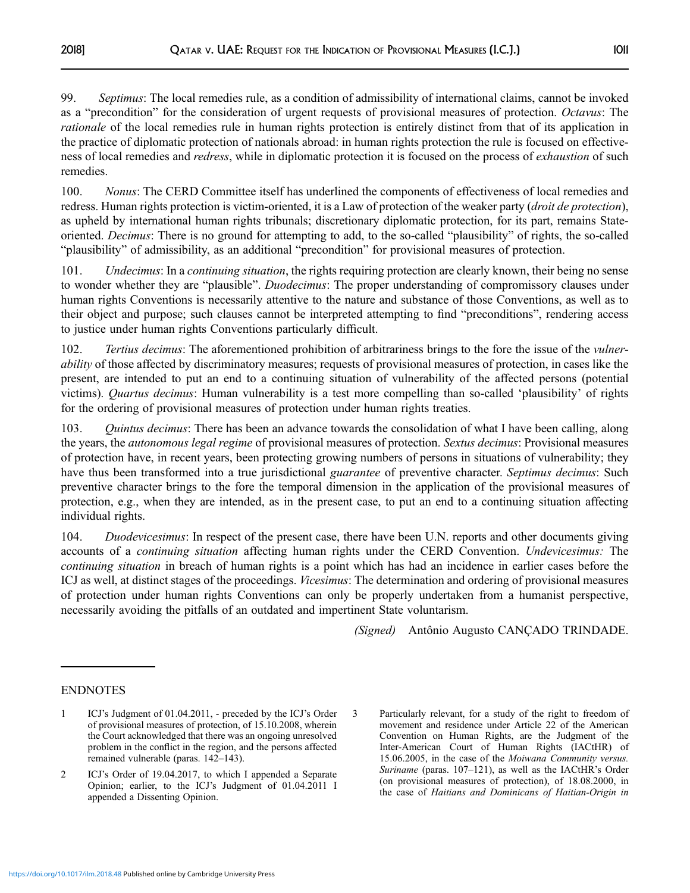<span id="page-38-0"></span>99. Septimus: The local remedies rule, as a condition of admissibility of international claims, cannot be invoked as a "precondition" for the consideration of urgent requests of provisional measures of protection. *Octavus*: The rationale of the local remedies rule in human rights protection is entirely distinct from that of its application in the practice of diplomatic protection of nationals abroad: in human rights protection the rule is focused on effectiveness of local remedies and *redress*, while in diplomatic protection it is focused on the process of *exhaustion* of such remedies.

100. Nonus: The CERD Committee itself has underlined the components of effectiveness of local remedies and redress. Human rights protection is victim-oriented, it is a Law of protection of the weaker party (*droit de protection*), as upheld by international human rights tribunals; discretionary diplomatic protection, for its part, remains Stateoriented. Decimus: There is no ground for attempting to add, to the so-called "plausibility" of rights, the so-called "plausibility" of admissibility, as an additional "precondition" for provisional measures of protection.

101. Undecimus: In a continuing situation, the rights requiring protection are clearly known, their being no sense to wonder whether they are "plausible". *Duodecimus*: The proper understanding of compromissory clauses under human rights Conventions is necessarily attentive to the nature and substance of those Conventions, as well as to their object and purpose; such clauses cannot be interpreted attempting to find "preconditions", rendering access to justice under human rights Conventions particularly difficult.

102. Tertius decimus: The aforementioned prohibition of arbitrariness brings to the fore the issue of the *vulner*ability of those affected by discriminatory measures; requests of provisional measures of protection, in cases like the present, are intended to put an end to a continuing situation of vulnerability of the affected persons (potential victims). Quartus decimus: Human vulnerability is a test more compelling than so-called 'plausibility' of rights for the ordering of provisional measures of protection under human rights treaties.

103. Quintus decimus: There has been an advance towards the consolidation of what I have been calling, along the years, the *autonomous legal regime* of provisional measures of protection. Sextus decimus: Provisional measures of protection have, in recent years, been protecting growing numbers of persons in situations of vulnerability; they have thus been transformed into a true jurisdictional *guarantee* of preventive character. Septimus decimus: Such preventive character brings to the fore the temporal dimension in the application of the provisional measures of protection, e.g., when they are intended, as in the present case, to put an end to a continuing situation affecting individual rights.

104. Duodevicesimus: In respect of the present case, there have been U.N. reports and other documents giving accounts of a continuing situation affecting human rights under the CERD Convention. Undevicesimus: The continuing situation in breach of human rights is a point which has had an incidence in earlier cases before the ICJ as well, at distinct stages of the proceedings. Vicesimus: The determination and ordering of provisional measures of protection under human rights Conventions can only be properly undertaken from a humanist perspective, necessarily avoiding the pitfalls of an outdated and impertinent State voluntarism.

(Signed) Antônio Augusto CANÇADO TRINDADE.

## ENDNOTES

<sup>1</sup> ICJ's Judgment of 01.04.2011, - preceded by the ICJ's Order of provisional measures of protection, of 15.10.2008, wherein the Court acknowledged that there was an ongoing unresolved problem in the conflict in the region, and the persons affected remained vulnerable (paras. 142–143).

<sup>2</sup> ICJ's Order of 19.04.2017, to which I appended a Separate Opinion; earlier, to the ICJ's Judgment of 01.04.2011 I appended a Dissenting Opinion.

<sup>3</sup> Particularly relevant, for a study of the right to freedom of movement and residence under Article 22 of the American Convention on Human Rights, are the Judgment of the Inter-American Court of Human Rights (IACtHR) of 15.06.2005, in the case of the Moiwana Community versus. Suriname (paras. 107–121), as well as the IACtHR's Order (on provisional measures of protection), of 18.08.2000, in the case of Haitians and Dominicans of Haitian-Origin in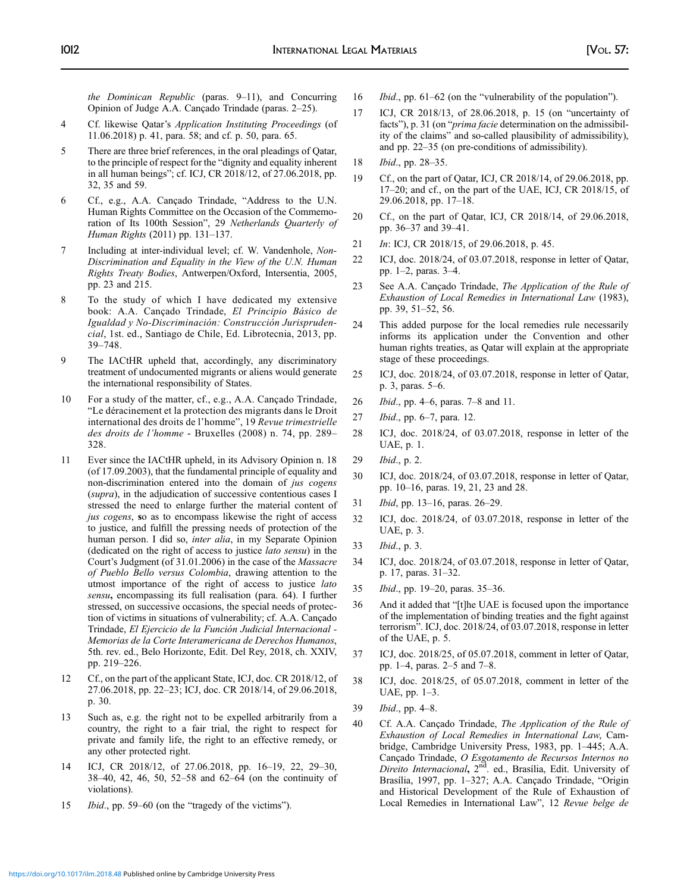<span id="page-39-0"></span>the Dominican Republic (paras. 9–11), and Concurring Opinion of Judge A.A. Cançado Trindade (paras. 2–25).

- 4 Cf. likewise Qatar's Application Instituting Proceedings (of 11.06.2018) p. 41, para. 58; and cf. p. 50, para. 65.
- 5 There are three brief references, in the oral pleadings of Qatar, to the principle of respect for the "dignity and equality inherent in all human beings"; cf. ICJ, CR 2018/12, of 27.06.2018, pp. 32, 35 and 59.
- 6 Cf., e.g., A.A. Cançado Trindade, "Address to the U.N. Human Rights Committee on the Occasion of the Commemoration of Its 100th Session", 29 Netherlands Quarterly of Human Rights (2011) pp. 131–137.
- 7 Including at inter-individual level; cf. W. Vandenhole, Non-Discrimination and Equality in the View of the U.N. Human Rights Treaty Bodies, Antwerpen/Oxford, Intersentia, 2005, pp. 23 and 215.
- 8 To the study of which I have dedicated my extensive book: A.A. Cançado Trindade, El Principio Básico de Igualdad y No-Discriminación: Construcción Jurisprudencial, 1st. ed., Santiago de Chile, Ed. Librotecnia, 2013, pp. 39–748.
- 9 The IACtHR upheld that, accordingly, any discriminatory treatment of undocumented migrants or aliens would generate the international responsibility of States.
- 10 For a study of the matter, cf., e.g., A.A. Cançado Trindade, "Le déracinement et la protection des migrants dans le Droit international des droits de l'homme", 19 Revue trimestrielle des droits de l'homme - Bruxelles (2008) n. 74, pp. 289– 328.
- 11 Ever since the IACtHR upheld, in its Advisory Opinion n. 18 (of 17.09.2003), that the fundamental principle of equality and non-discrimination entered into the domain of jus cogens (supra), in the adjudication of successive contentious cases I stressed the need to enlarge further the material content of jus cogens, so as to encompass likewise the right of access to justice, and fulfill the pressing needs of protection of the human person. I did so, inter alia, in my Separate Opinion (dedicated on the right of access to justice lato sensu) in the Court's Judgment (of 31.01.2006) in the case of the Massacre of Pueblo Bello versus Colombia, drawing attention to the utmost importance of the right of access to justice lato sensu, encompassing its full realisation (para. 64). I further stressed, on successive occasions, the special needs of protection of victims in situations of vulnerability; cf. A.A. Cançado Trindade, El Ejercicio de la Función Judicial Internacional - Memorias de la Corte Interamericana de Derechos Humanos, 5th. rev. ed., Belo Horizonte, Edit. Del Rey, 2018, ch. XXIV, pp. 219–226.
- 12 Cf., on the part of the applicant State, ICJ, doc. CR 2018/12, of 27.06.2018, pp. 22–23; ICJ, doc. CR 2018/14, of 29.06.2018, p. 30.
- 13 Such as, e.g. the right not to be expelled arbitrarily from a country, the right to a fair trial, the right to respect for private and family life, the right to an effective remedy, or any other protected right.
- 14 ICJ, CR 2018/12, of 27.06.2018, pp. 16–19, 22, 29–30, 38–40, 42, 46, 50, 52–58 and 62–64 (on the continuity of violations).
- 15 Ibid., pp. 59–60 (on the "tragedy of the victims").
- 16 *Ibid.*, pp. 61–62 (on the "vulnerability of the population").
- 17 ICJ, CR 2018/13, of 28.06.2018, p. 15 (on "uncertainty of facts"), p. 31 (on "*prima facie* determination on the admissibility of the claims" and so-called plausibility of admissibility), and pp. 22–35 (on pre-conditions of admissibility).
- 18 Ibid., pp. 28–35.
- 19 Cf., on the part of Qatar, ICJ, CR 2018/14, of 29.06.2018, pp. 17–20; and cf., on the part of the UAE, ICJ, CR 2018/15, of 29.06.2018, pp. 17–18.
- 20 Cf., on the part of Qatar, ICJ, CR 2018/14, of 29.06.2018, pp. 36–37 and 39–41.
- 21 *In*: ICJ, CR 2018/15, of 29.06.2018, p. 45.
- 22 ICJ, doc. 2018/24, of 03.07.2018, response in letter of Qatar, pp. 1–2, paras. 3–4.
- 23 See A.A. Cançado Trindade, The Application of the Rule of Exhaustion of Local Remedies in International Law (1983), pp. 39, 51–52, 56.
- 24 This added purpose for the local remedies rule necessarily informs its application under the Convention and other human rights treaties, as Qatar will explain at the appropriate stage of these proceedings.
- 25 ICJ, doc. 2018/24, of 03.07.2018, response in letter of Qatar, p. 3, paras. 5–6.
- 26 Ibid., pp. 4–6, paras. 7–8 and 11.
- 27 Ibid., pp. 6–7, para. 12.
- 28 ICJ, doc. 2018/24, of 03.07.2018, response in letter of the UAE, p. 1.
- 29 Ibid., p. 2.
- 30 ICJ, doc. 2018/24, of 03.07.2018, response in letter of Qatar, pp. 10–16, paras. 19, 21, 23 and 28.
- 31 Ibid, pp. 13–16, paras. 26–29.
- 32 ICJ, doc. 2018/24, of 03.07.2018, response in letter of the UAE, p. 3.
- 33 Ibid., p. 3.
- 34 ICJ, doc. 2018/24, of 03.07.2018, response in letter of Qatar, p. 17, paras. 31–32.
- 35 Ibid., pp. 19–20, paras. 35–36.
- 36 And it added that "[t]he UAE is focused upon the importance of the implementation of binding treaties and the fight against terrorism". ICJ, doc. 2018/24, of 03.07.2018, response in letter of the UAE, p. 5.
- 37 ICJ, doc. 2018/25, of 05.07.2018, comment in letter of Qatar, pp. 1–4, paras. 2–5 and 7–8.
- 38 ICJ, doc. 2018/25, of 05.07.2018, comment in letter of the UAE, pp. 1–3.
- 39 Ibid., pp. 4–8.
- 40 Cf. A.A. Cançado Trindade, The Application of the Rule of Exhaustion of Local Remedies in International Law, Cambridge, Cambridge University Press, 1983, pp. 1–445; A.A. Cançado Trindade, O Esgotamento de Recursos Internos no Direito Internacional, 2<sup>nd</sup>. ed., Brasília, Edit. University of Brasília, 1997, pp. 1–327; A.A. Cançado Trindade, "Origin and Historical Development of the Rule of Exhaustion of Local Remedies in International Law", 12 Revue belge de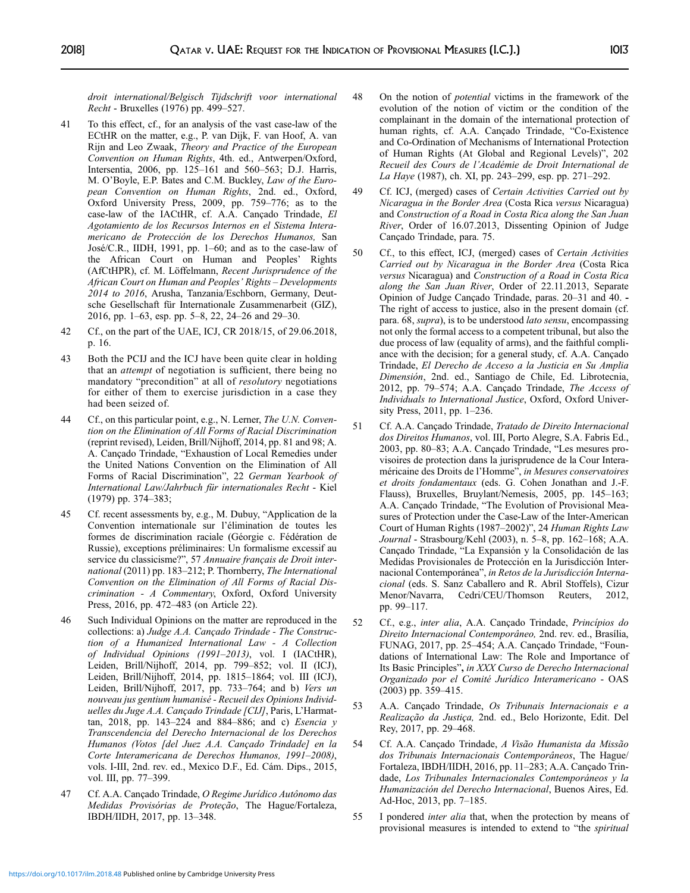<span id="page-40-0"></span>droit international/Belgisch Tijdschrift voor international Recht - Bruxelles (1976) pp. 499–527.

- 41 To this effect, cf., for an analysis of the vast case-law of the ECtHR on the matter, e.g., P. van Dijk, F. van Hoof, A. van Rijn and Leo Zwaak, Theory and Practice of the European Convention on Human Rights, 4th. ed., Antwerpen/Oxford, Intersentia, 2006, pp. 125–161 and 560–563; D.J. Harris, M. O'Boyle, E.P. Bates and C.M. Buckley, Law of the European Convention on Human Rights, 2nd. ed., Oxford, Oxford University Press, 2009, pp. 759–776; as to the case-law of the IACtHR, cf. A.A. Cançado Trindade, El Agotamiento de los Recursos Internos en el Sistema Interamericano de Protección de los Derechos Humanos, San José/C.R., IIDH, 1991, pp. 1–60; and as to the case-law of the African Court on Human and Peoples' Rights (AfCtHPR), cf. M. Löffelmann, Recent Jurisprudence of the African Court on Human and Peoples' Rights – Developments 2014 to 2016, Arusha, Tanzania/Eschborn, Germany, Deutsche Gesellschaft für Internationale Zusammenarbeit (GIZ), 2016, pp. 1–63, esp. pp. 5–8, 22, 24–26 and 29–30.
- 42 Cf., on the part of the UAE, ICJ, CR 2018/15, of 29.06.2018, p. 16.
- 43 Both the PCIJ and the ICJ have been quite clear in holding that an attempt of negotiation is sufficient, there being no mandatory "precondition" at all of resolutory negotiations for either of them to exercise jurisdiction in a case they had been seized of.
- 44 Cf., on this particular point, e.g., N. Lerner, The U.N. Convention on the Elimination of All Forms of Racial Discrimination (reprint revised), Leiden, Brill/Nijhoff, 2014, pp. 81 and 98; A. A. Cançado Trindade, "Exhaustion of Local Remedies under the United Nations Convention on the Elimination of All Forms of Racial Discrimination", 22 German Yearbook of International Law/Jahrbuch für internationales Recht - Kiel (1979) pp. 374–383;
- 45 Cf. recent assessments by, e.g., M. Dubuy, "Application de la Convention internationale sur l'élimination de toutes les formes de discrimination raciale (Géorgie c. Fédération de Russie), exceptions préliminaires: Un formalisme excessif au service du classicisme?", 57 Annuaire français de Droit international (2011) pp. 183–212; P. Thornberry, The International Convention on the Elimination of All Forms of Racial Discrimination - A Commentary, Oxford, Oxford University Press, 2016, pp. 472–483 (on Article 22).
- 46 Such Individual Opinions on the matter are reproduced in the collections: a) Judge A.A. Cançado Trindade - The Construction of a Humanized International Law - A Collection of Individual Opinions (1991–2013), vol. I (IACtHR), Leiden, Brill/Nijhoff, 2014, pp. 799–852; vol. II (ICJ), Leiden, Brill/Nijhoff, 2014, pp. 1815–1864; vol. III (ICJ), Leiden, Brill/Nijhoff, 2017, pp. 733–764; and b) Vers un nouveau jus gentium humanisé - Recueil des Opinions Individuelles du Juge A.A. Cançado Trindade [CIJ], Paris, L'Harmattan, 2018, pp. 143–224 and 884–886; and c) Esencia y Transcendencia del Derecho Internacional de los Derechos Humanos (Votos [del Juez A.A. Cançado Trindade] en la Corte Interamericana de Derechos Humanos, 1991–2008), vols. I-III, 2nd. rev. ed., Mexico D.F., Ed. Cám. Dips., 2015, vol. III, pp. 77–399.
- 47 Cf. A.A. Cançado Trindade, O Regime Jurídico Autônomo das Medidas Provisórias de Proteção, The Hague/Fortaleza, IBDH/IIDH, 2017, pp. 13–348.
- 48 On the notion of potential victims in the framework of the evolution of the notion of victim or the condition of the complainant in the domain of the international protection of human rights, cf. A.A. Cançado Trindade, "Co-Existence and Co-Ordination of Mechanisms of International Protection of Human Rights (At Global and Regional Levels)", 202 Recueil des Cours de l'Académie de Droit International de La Haye (1987), ch. XI, pp. 243–299, esp. pp. 271–292.
- 49 Cf. ICJ, (merged) cases of Certain Activities Carried out by Nicaragua in the Border Area (Costa Rica versus Nicaragua) and Construction of a Road in Costa Rica along the San Juan River, Order of 16.07.2013, Dissenting Opinion of Judge Cançado Trindade, para. 75.
- 50 Cf., to this effect, ICJ, (merged) cases of Certain Activities Carried out by Nicaragua in the Border Area (Costa Rica versus Nicaragua) and Construction of a Road in Costa Rica along the San Juan River, Order of 22.11.2013, Separate Opinion of Judge Cançado Trindade, paras. 20–31 and 40. - The right of access to justice, also in the present domain (cf. para. 68, supra), is to be understood lato sensu, encompassing not only the formal access to a competent tribunal, but also the due process of law (equality of arms), and the faithful compliance with the decision; for a general study, cf. A.A. Cançado Trindade, El Derecho de Acceso a la Justicia en Su Amplia Dimensión, 2nd. ed., Santiago de Chile, Ed. Librotecnia, 2012, pp. 79–574; A.A. Cançado Trindade, The Access of Individuals to International Justice, Oxford, Oxford University Press, 2011, pp. 1–236.
- 51 Cf. A.A. Cançado Trindade, Tratado de Direito Internacional dos Direitos Humanos, vol. III, Porto Alegre, S.A. Fabris Ed., 2003, pp. 80–83; A.A. Cançado Trindade, "Les mesures provisoires de protection dans la jurisprudence de la Cour Interaméricaine des Droits de l'Homme", in Mesures conservatoires et droits fondamentaux (eds. G. Cohen Jonathan and J.-F. Flauss), Bruxelles, Bruylant/Nemesis, 2005, pp. 145–163; A.A. Cançado Trindade, "The Evolution of Provisional Measures of Protection under the Case-Law of the Inter-American Court of Human Rights (1987–2002)", 24 Human Rights Law Journal - Strasbourg/Kehl (2003), n. 5–8, pp. 162–168; A.A. Cançado Trindade, "La Expansión y la Consolidación de las Medidas Provisionales de Protección en la Jurisdicción Internacional Contemporánea", in Retos de la Jurisdicción Internacional (eds. S. Sanz Caballero and R. Abril Stoffels), Cizur Menor/Navarra, Cedri/CEU/Thomson Reuters, 2012, pp. 99–117.
- 52 Cf., e.g., inter alia, A.A. Cançado Trindade, Princípios do Direito Internacional Contemporâneo, 2nd. rev. ed., Brasília, FUNAG, 2017, pp. 25–454; A.A. Cançado Trindade, "Foundations of International Law: The Role and Importance of Its Basic Principles", in XXX Curso de Derecho Internacional Organizado por el Comité Jurídico Interamericano - OAS (2003) pp. 359–415.
- 53 A.A. Cançado Trindade, Os Tribunais Internacionais e a Realização da Justiça, 2nd. ed., Belo Horizonte, Edit. Del Rey, 2017, pp. 29–468.
- 54 Cf. A.A. Cançado Trindade, A Visão Humanista da Missão dos Tribunais Internacionais Contemporâneos, The Hague/ Fortaleza, IBDH/IIDH, 2016, pp. 11–283; A.A. Cançado Trindade, Los Tribunales Internacionales Contemporáneos y la Humanización del Derecho Internacional, Buenos Aires, Ed. Ad-Hoc, 2013, pp. 7–185.
- 55 I pondered inter alia that, when the protection by means of provisional measures is intended to extend to "the spiritual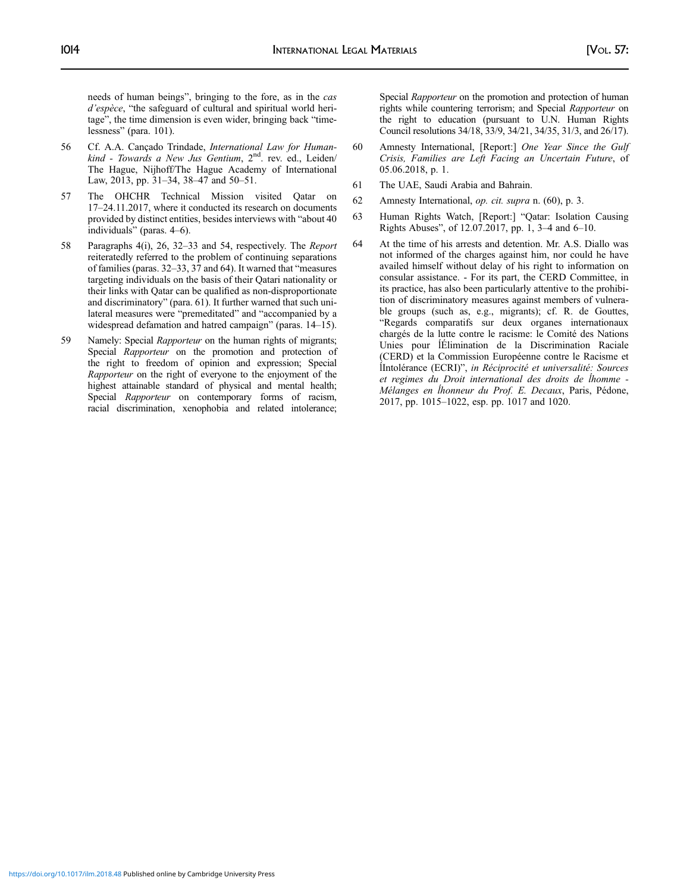<span id="page-41-0"></span>needs of human beings", bringing to the fore, as in the cas d'espèce, "the safeguard of cultural and spiritual world heritage", the time dimension is even wider, bringing back "timelessness" (para. 101).

- 56 Cf. A.A. Cançado Trindade, International Law for Humankind - Towards a New Jus Gentium, 2<sup>nd</sup>. rev. ed., Leiden/ The Hague, Nijhoff/The Hague Academy of International Law, 2013, pp. 31–34, 38–47 and 50–51.
- 57 The OHCHR Technical Mission visited Qatar on 17–24.11.2017, where it conducted its research on documents provided by distinct entities, besides interviews with "about 40 individuals" (paras. 4–6).
- 58 Paragraphs 4(i), 26, 32–33 and 54, respectively. The Report reiteratedly referred to the problem of continuing separations of families (paras. 32–33, 37 and 64). It warned that "measures targeting individuals on the basis of their Qatari nationality or their links with Qatar can be qualified as non-disproportionate and discriminatory" (para. 61). It further warned that such unilateral measures were "premeditated" and "accompanied by a widespread defamation and hatred campaign" (paras. 14–15).
- 59 Namely: Special Rapporteur on the human rights of migrants; Special Rapporteur on the promotion and protection of the right to freedom of opinion and expression; Special Rapporteur on the right of everyone to the enjoyment of the highest attainable standard of physical and mental health; Special Rapporteur on contemporary forms of racism, racial discrimination, xenophobia and related intolerance;

Special Rapporteur on the promotion and protection of human rights while countering terrorism; and Special Rapporteur on the right to education (pursuant to U.N. Human Rights Council resolutions 34/18, 33/9, 34/21, 34/35, 31/3, and 26/17).

- 60 Amnesty International, [Report:] One Year Since the Gulf Crisis, Families are Left Facing an Uncertain Future, of 05.06.2018, p. 1.
- 61 The UAE, Saudi Arabia and Bahrain.
- 62 Amnesty International, op. cit. supra n. (60), p. 3.
- 63 Human Rights Watch, [Report:] "Qatar: Isolation Causing Rights Abuses", of 12.07.2017, pp. 1, 3–4 and 6–10.
- 64 At the time of his arrests and detention. Mr. A.S. Diallo was not informed of the charges against him, nor could he have availed himself without delay of his right to information on consular assistance. - For its part, the CERD Committee, in its practice, has also been particularly attentive to the prohibition of discriminatory measures against members of vulnerable groups (such as, e.g., migrants); cf. R. de Gouttes, "Regards comparatifs sur deux organes internationaux chargés de la lutte contre le racisme: le Comité des Nations Unies pour ĺÉlimination de la Discrimination Raciale (CERD) et la Commission Européenne contre le Racisme et ĺIntolérance (ECRI)", in Réciprocité et universalité: Sources et regimes du Droit international des droits de ĺhomme - Mélanges en ĺhonneur du Prof. E. Decaux, Paris, Pédone, 2017, pp. 1015–1022, esp. pp. 1017 and 1020.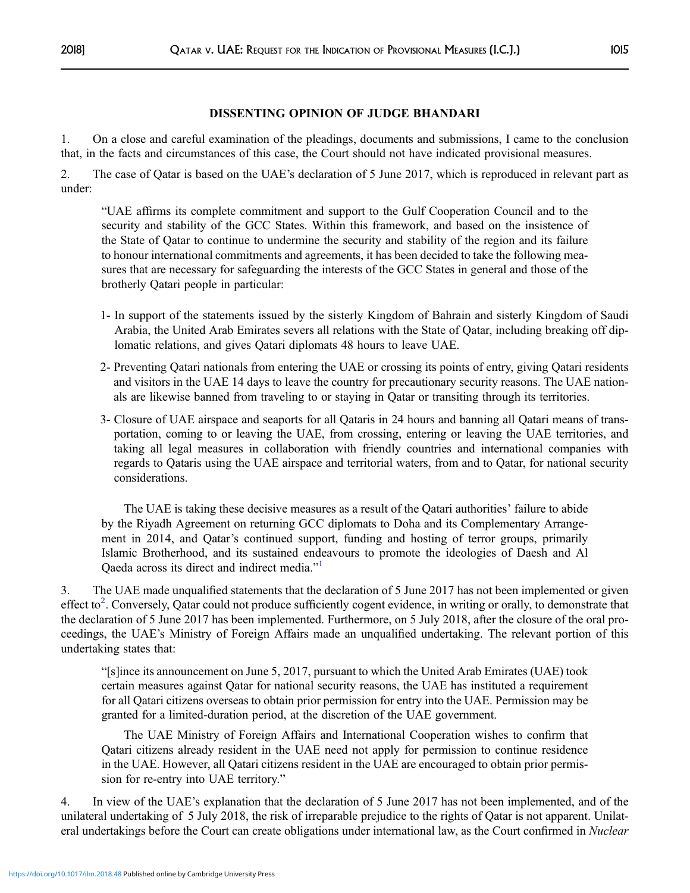1. On a close and careful examination of the pleadings, documents and submissions, I came to the conclusion that, in the facts and circumstances of this case, the Court should not have indicated provisional measures.

2. The case of Qatar is based on the UAE's declaration of 5 June 2017, which is reproduced in relevant part as under:

"UAE affirms its complete commitment and support to the Gulf Cooperation Council and to the security and stability of the GCC States. Within this framework, and based on the insistence of the State of Qatar to continue to undermine the security and stability of the region and its failure to honour international commitments and agreements, it has been decided to take the following measures that are necessary for safeguarding the interests of the GCC States in general and those of the brotherly Qatari people in particular:

- 1- In support of the statements issued by the sisterly Kingdom of Bahrain and sisterly Kingdom of Saudi Arabia, the United Arab Emirates severs all relations with the State of Qatar, including breaking off diplomatic relations, and gives Qatari diplomats 48 hours to leave UAE.
- 2- Preventing Qatari nationals from entering the UAE or crossing its points of entry, giving Qatari residents and visitors in the UAE 14 days to leave the country for precautionary security reasons. The UAE nationals are likewise banned from traveling to or staying in Qatar or transiting through its territories.
- 3- Closure of UAE airspace and seaports for all Qataris in 24 hours and banning all Qatari means of transportation, coming to or leaving the UAE, from crossing, entering or leaving the UAE territories, and taking all legal measures in collaboration with friendly countries and international companies with regards to Qataris using the UAE airspace and territorial waters, from and to Qatar, for national security considerations.

The UAE is taking these decisive measures as a result of the Qatari authorities' failure to abide by the Riyadh Agreement on returning GCC diplomats to Doha and its Complementary Arrangement in 2014, and Qatar's continued support, funding and hosting of terror groups, primarily Islamic Brotherhood, and its sustained endeavours to promote the ideologies of Daesh and Al Qaeda across its direct and indirect media."<sup>[1](#page-44-0)</sup>

3. The UAE made unqualified statements that the declaration of 5 June 2017 has not been implemented or given effect to<sup>[2](#page-44-0)</sup>. Conversely, Qatar could not produce sufficiently cogent evidence, in writing or orally, to demonstrate that the declaration of 5 June 2017 has been implemented. Furthermore, on 5 July 2018, after the closure of the oral proceedings, the UAE's Ministry of Foreign Affairs made an unqualified undertaking. The relevant portion of this undertaking states that:

"[s]ince its announcement on June 5, 2017, pursuant to which the United Arab Emirates (UAE) took certain measures against Qatar for national security reasons, the UAE has instituted a requirement for all Qatari citizens overseas to obtain prior permission for entry into the UAE. Permission may be granted for a limited-duration period, at the discretion of the UAE government.

The UAE Ministry of Foreign Affairs and International Cooperation wishes to confirm that Qatari citizens already resident in the UAE need not apply for permission to continue residence in the UAE. However, all Qatari citizens resident in the UAE are encouraged to obtain prior permission for re-entry into UAE territory."

4. In view of the UAE's explanation that the declaration of 5 June 2017 has not been implemented, and of the unilateral undertaking of 5 July 2018, the risk of irreparable prejudice to the rights of Qatar is not apparent. Unilateral undertakings before the Court can create obligations under international law, as the Court confirmed in Nuclear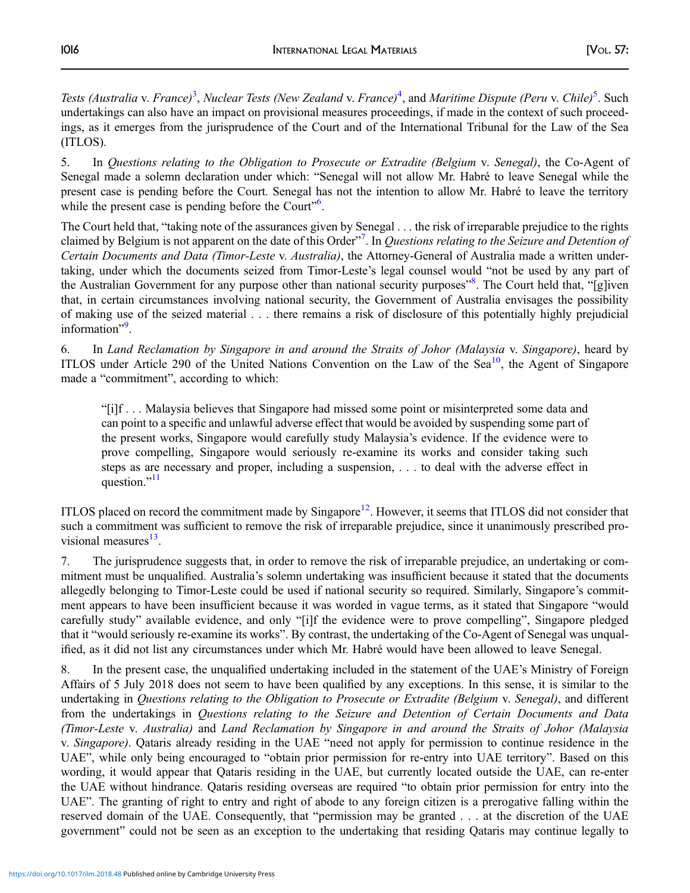Tests (Australia v. France)<sup>3</sup>, Nuclear Tests (New Zealand v. France)<sup>[4](#page-44-0)</sup>, and Maritime Dispute (Peru v. Chile)<sup>[5](#page-44-0)</sup>. Such undertakings can also have an impact on provisional measures proceedings, if made in the context of such proceedings, as it emerges from the jurisprudence of the Court and of the International Tribunal for the Law of the Sea (ITLOS).

5. In Questions relating to the Obligation to Prosecute or Extradite (Belgium v. Senegal), the Co-Agent of Senegal made a solemn declaration under which: "Senegal will not allow Mr. Habré to leave Senegal while the present case is pending before the Court. Senegal has not the intention to allow Mr. Habré to leave the territory while the present case is pending before the Court".

The Court held that, "taking note of the assurances given by Senegal . . . the risk of irreparable prejudice to the rights claimed by Belgium is not apparent on the date of this Order"<sup>[7](#page-44-0)</sup>. In Questions relating to the Seizure and Detention of Certain Documents and Data (Timor-Leste v. Australia), the Attorney-General of Australia made a written undertaking, under which the documents seized from Timor-Leste's legal counsel would "not be used by any part of the Australian Government for any purpose other than national security purposes"<sup>[8](#page-44-0)</sup>. The Court held that, "[g]iven that, in certain circumstances involving national security, the Government of Australia envisages the possibility of making use of the seized material . . . there remains a risk of disclosure of this potentially highly prejudicial information".

6. In Land Reclamation by Singapore in and around the Straits of Johor (Malaysia v. Singapore), heard by ITLOS under Article 290 of the United Nations Convention on the Law of the Sea<sup>[10](#page-44-0)</sup>, the Agent of Singapore made a "commitment", according to which:

"[i]f . . . Malaysia believes that Singapore had missed some point or misinterpreted some data and can point to a specific and unlawful adverse effect that would be avoided by suspending some part of the present works, Singapore would carefully study Malaysia's evidence. If the evidence were to prove compelling, Singapore would seriously re-examine its works and consider taking such steps as are necessary and proper, including a suspension, . . . to deal with the adverse effect in question."<sup>[11](#page-44-0)</sup>

ITLOS placed on record the commitment made by Singapore<sup>[12](#page-44-0)</sup>. However, it seems that ITLOS did not consider that such a commitment was sufficient to remove the risk of irreparable prejudice, since it unanimously prescribed provisional measures $^{13}$  $^{13}$  $^{13}$ .

7. The jurisprudence suggests that, in order to remove the risk of irreparable prejudice, an undertaking or commitment must be unqualified. Australia's solemn undertaking was insufficient because it stated that the documents allegedly belonging to Timor-Leste could be used if national security so required. Similarly, Singapore's commitment appears to have been insufficient because it was worded in vague terms, as it stated that Singapore "would carefully study" available evidence, and only "[i]f the evidence were to prove compelling", Singapore pledged that it "would seriously re-examine its works". By contrast, the undertaking of the Co-Agent of Senegal was unqualified, as it did not list any circumstances under which Mr. Habré would have been allowed to leave Senegal.

8. In the present case, the unqualified undertaking included in the statement of the UAE's Ministry of Foreign Affairs of 5 July 2018 does not seem to have been qualified by any exceptions. In this sense, it is similar to the undertaking in Questions relating to the Obligation to Prosecute or Extradite (Belgium v. Senegal), and different from the undertakings in Questions relating to the Seizure and Detention of Certain Documents and Data (Timor-Leste v. Australia) and Land Reclamation by Singapore in and around the Straits of Johor (Malaysia v. Singapore). Qataris already residing in the UAE "need not apply for permission to continue residence in the UAE", while only being encouraged to "obtain prior permission for re-entry into UAE territory". Based on this wording, it would appear that Qataris residing in the UAE, but currently located outside the UAE, can re-enter the UAE without hindrance. Qataris residing overseas are required "to obtain prior permission for entry into the UAE". The granting of right to entry and right of abode to any foreign citizen is a prerogative falling within the reserved domain of the UAE. Consequently, that "permission may be granted . . . at the discretion of the UAE government" could not be seen as an exception to the undertaking that residing Qataris may continue legally to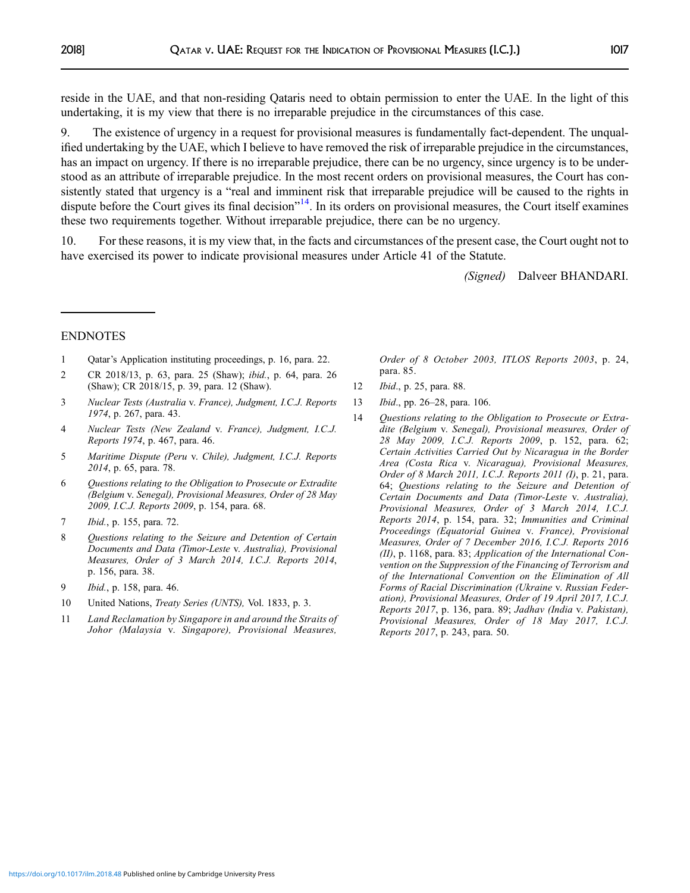<span id="page-44-0"></span>reside in the UAE, and that non-residing Qataris need to obtain permission to enter the UAE. In the light of this undertaking, it is my view that there is no irreparable prejudice in the circumstances of this case.

9. The existence of urgency in a request for provisional measures is fundamentally fact-dependent. The unqualified undertaking by the UAE, which I believe to have removed the risk of irreparable prejudice in the circumstances, has an impact on urgency. If there is no irreparable prejudice, there can be no urgency, since urgency is to be understood as an attribute of irreparable prejudice. In the most recent orders on provisional measures, the Court has consistently stated that urgency is a "real and imminent risk that irreparable prejudice will be caused to the rights in dispute before the Court gives its final decision"<sup>14</sup>. In its orders on provisional measures, the Court itself examines these two requirements together. Without irreparable prejudice, there can be no urgency.

10. For these reasons, it is my view that, in the facts and circumstances of the present case, the Court ought not to have exercised its power to indicate provisional measures under Article 41 of the Statute.

(Signed) Dalveer BHANDARI.

#### ENDNOTES

- 1 Qatar's Application instituting proceedings, p. 16, para. 22.
- 2 CR 2018/13, p. 63, para. 25 (Shaw); ibid., p. 64, para. 26 (Shaw); CR 2018/15, p. 39, para. 12 (Shaw).
- 3 Nuclear Tests (Australia v. France), Judgment, I.C.J. Reports 1974, p. 267, para. 43.
- 4 Nuclear Tests (New Zealand v. France), Judgment, I.C.J. Reports 1974, p. 467, para. 46.
- 5 Maritime Dispute (Peru v. Chile), Judgment, I.C.J. Reports 2014, p. 65, para. 78.
- 6 Questions relating to the Obligation to Prosecute or Extradite (Belgium v. Senegal), Provisional Measures, Order of 28 May 2009, I.C.J. Reports 2009, p. 154, para. 68.
- 7 Ibid., p. 155, para. 72.
- 8 Questions relating to the Seizure and Detention of Certain Documents and Data (Timor-Leste v. Australia), Provisional Measures, Order of 3 March 2014, I.C.J. Reports 2014, p. 156, para. 38.
- 9 Ibid., p. 158, para. 46.
- 10 United Nations, Treaty Series (UNTS), Vol. 1833, p. 3.
- 11 Land Reclamation by Singapore in and around the Straits of Johor (Malaysia v. Singapore), Provisional Measures,

Order of 8 October 2003, ITLOS Reports 2003, p. 24, para. 85.

- 12 Ibid., p. 25, para. 88.
- 13 Ibid., pp. 26–28, para. 106.
- 14 Questions relating to the Obligation to Prosecute or Extradite (Belgium v. Senegal), Provisional measures, Order of 28 May 2009, I.C.J. Reports 2009, p. 152, para. 62; Certain Activities Carried Out by Nicaragua in the Border Area (Costa Rica v. Nicaragua), Provisional Measures, Order of 8 March 2011, I.C.J. Reports 2011 (I), p. 21, para. 64; Questions relating to the Seizure and Detention of Certain Documents and Data (Timor-Leste v. Australia), Provisional Measures, Order of 3 March 2014, I.C.J. Reports 2014, p. 154, para. 32; Immunities and Criminal Proceedings (Equatorial Guinea v. France), Provisional Measures, Order of 7 December 2016, I.C.J. Reports 2016 (II), p. 1168, para. 83; Application of the International Convention on the Suppression of the Financing of Terrorism and of the International Convention on the Elimination of All Forms of Racial Discrimination (Ukraine v. Russian Federation), Provisional Measures, Order of 19 April 2017, I.C.J. Reports 2017, p. 136, para. 89; Jadhav (India v. Pakistan), Provisional Measures, Order of 18 May 2017, I.C.J. Reports 2017, p. 243, para. 50.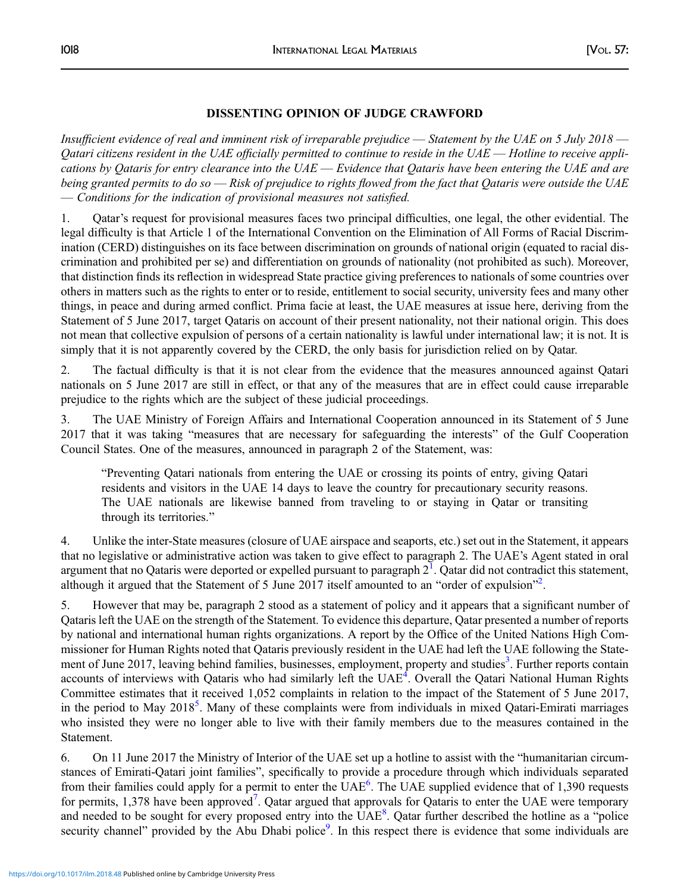## DISSENTING OPINION OF JUDGE CRAWFORD

Insufficient evidence of real and imminent risk of irreparable prejudice — Statement by the UAE on 5 July 2018 — Qatari citizens resident in the UAE officially permitted to continue to reside in the UAE — Hotline to receive applications by Oataris for entry clearance into the  $UAE$  — Evidence that Oataris have been entering the UAE and are being granted permits to do so — Risk of prejudice to rights flowed from the fact that Qataris were outside the UAE — Conditions for the indication of provisional measures not satisfied.

1. Qatar's request for provisional measures faces two principal difficulties, one legal, the other evidential. The legal difficulty is that Article 1 of the International Convention on the Elimination of All Forms of Racial Discrimination (CERD) distinguishes on its face between discrimination on grounds of national origin (equated to racial discrimination and prohibited per se) and differentiation on grounds of nationality (not prohibited as such). Moreover, that distinction finds its reflection in widespread State practice giving preferences to nationals of some countries over others in matters such as the rights to enter or to reside, entitlement to social security, university fees and many other things, in peace and during armed conflict. Prima facie at least, the UAE measures at issue here, deriving from the Statement of 5 June 2017, target Qataris on account of their present nationality, not their national origin. This does not mean that collective expulsion of persons of a certain nationality is lawful under international law; it is not. It is simply that it is not apparently covered by the CERD, the only basis for jurisdiction relied on by Qatar.

2. The factual difficulty is that it is not clear from the evidence that the measures announced against Qatari nationals on 5 June 2017 are still in effect, or that any of the measures that are in effect could cause irreparable prejudice to the rights which are the subject of these judicial proceedings.

3. The UAE Ministry of Foreign Affairs and International Cooperation announced in its Statement of 5 June 2017 that it was taking "measures that are necessary for safeguarding the interests" of the Gulf Cooperation Council States. One of the measures, announced in paragraph 2 of the Statement, was:

"Preventing Qatari nationals from entering the UAE or crossing its points of entry, giving Qatari residents and visitors in the UAE 14 days to leave the country for precautionary security reasons. The UAE nationals are likewise banned from traveling to or staying in Qatar or transiting through its territories."

4. Unlike the inter-State measures (closure of UAE airspace and seaports, etc.) set out in the Statement, it appears that no legislative or administrative action was taken to give effect to paragraph 2. The UAE's Agent stated in oral argument that no Qataris were deported or expelled pursuant to paragraph  $2<sup>1</sup>$  $2<sup>1</sup>$  $2<sup>1</sup>$ . Qatar did not contradict this statement, although it argued that the Statement of 5 June [2](#page-47-0)017 itself amounted to an "order of expulsion"<sup>2</sup>.

5. However that may be, paragraph 2 stood as a statement of policy and it appears that a significant number of Qataris left the UAE on the strength of the Statement. To evidence this departure, Qatar presented a number of reports by national and international human rights organizations. A report by the Office of the United Nations High Commissioner for Human Rights noted that Qataris previously resident in the UAE had left the UAE following the State-ment of June 2017, leaving behind families, businesses, employment, property and studies<sup>[3](#page-47-0)</sup>. Further reports contain accounts of interviews with Qataris who had similarly left the UAE<sup>[4](#page-47-0)</sup>. Overall the Qatari National Human Rights Committee estimates that it received 1,052 complaints in relation to the impact of the Statement of 5 June 2017, in the period to May 2018<sup>[5](#page-47-0)</sup>. Many of these complaints were from individuals in mixed Qatari-Emirati marriages who insisted they were no longer able to live with their family members due to the measures contained in the Statement.

6. On 11 June 2017 the Ministry of Interior of the UAE set up a hotline to assist with the "humanitarian circumstances of Emirati-Qatari joint families", specifically to provide a procedure through which individuals separated from their families could apply for a permit to enter the UAE<sup>[6](#page-47-0)</sup>. The UAE supplied evidence that of 1,390 requests for permits, 1,3[7](#page-47-0)8 have been approved<sup>7</sup>. Qatar argued that approvals for Qataris to enter the UAE were temporary and needed to be sought for every proposed entry into the UAE<sup>[8](#page-47-0)</sup>. Qatar further described the hotline as a "police security channel" provided by the Abu Dhabi police<sup>[9](#page-47-0)</sup>. In this respect there is evidence that some individuals are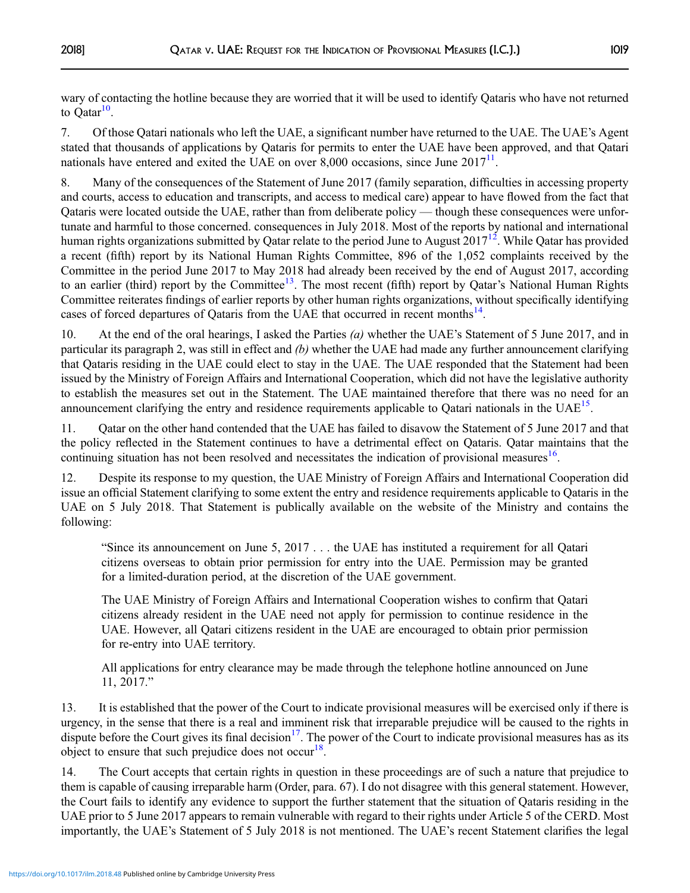wary of contacting the hotline because they are worried that it will be used to identify Qataris who have not returned to  $\text{Qatar}^{10}$  $\text{Qatar}^{10}$  $\text{Qatar}^{10}$ .

7. Of those Qatari nationals who left the UAE, a significant number have returned to the UAE. The UAE's Agent stated that thousands of applications by Qataris for permits to enter the UAE have been approved, and that Qatari nationals have entered and exited the UAE on over 8,000 occasions, since June  $2017<sup>11</sup>$ .

8. Many of the consequences of the Statement of June 2017 (family separation, difficulties in accessing property and courts, access to education and transcripts, and access to medical care) appear to have flowed from the fact that Qataris were located outside the UAE, rather than from deliberate policy — though these consequences were unfortunate and harmful to those concerned. consequences in July 2018. Most of the reports by national and international human rights organizations submitted by Qatar relate to the period June to August  $2017^{12}$  $2017^{12}$  $2017^{12}$ . While Qatar has provided a recent (fifth) report by its National Human Rights Committee, 896 of the 1,052 complaints received by the Committee in the period June 2017 to May 2018 had already been received by the end of August 2017, according to an earlier (third) report by the Committee<sup>[13](#page-47-0)</sup>. The most recent (fifth) report by Qatar's National Human Rights Committee reiterates findings of earlier reports by other human rights organizations, without specifically identifying cases of forced departures of Qataris from the UAE that occurred in recent months[14.](#page-47-0)

10. At the end of the oral hearings, I asked the Parties (a) whether the UAE's Statement of 5 June 2017, and in particular its paragraph 2, was still in effect and  $(b)$  whether the UAE had made any further announcement clarifying that Qataris residing in the UAE could elect to stay in the UAE. The UAE responded that the Statement had been issued by the Ministry of Foreign Affairs and International Cooperation, which did not have the legislative authority to establish the measures set out in the Statement. The UAE maintained therefore that there was no need for an announcement clarifying the entry and residence requirements applicable to Oatari nationals in the  $UAE^{15}$ .

11. Qatar on the other hand contended that the UAE has failed to disavow the Statement of 5 June 2017 and that the policy reflected in the Statement continues to have a detrimental effect on Qataris. Qatar maintains that the continuing situation has not been resolved and necessitates the indication of provisional measures<sup>16</sup>.

12. Despite its response to my question, the UAE Ministry of Foreign Affairs and International Cooperation did issue an official Statement clarifying to some extent the entry and residence requirements applicable to Qataris in the UAE on 5 July 2018. That Statement is publically available on the website of the Ministry and contains the following:

"Since its announcement on June 5, 2017 . . . the UAE has instituted a requirement for all Qatari citizens overseas to obtain prior permission for entry into the UAE. Permission may be granted for a limited-duration period, at the discretion of the UAE government.

The UAE Ministry of Foreign Affairs and International Cooperation wishes to confirm that Qatari citizens already resident in the UAE need not apply for permission to continue residence in the UAE. However, all Qatari citizens resident in the UAE are encouraged to obtain prior permission for re-entry into UAE territory.

All applications for entry clearance may be made through the telephone hotline announced on June 11, 2017."

13. It is established that the power of the Court to indicate provisional measures will be exercised only if there is urgency, in the sense that there is a real and imminent risk that irreparable prejudice will be caused to the rights in dispute before the Court gives its final decision<sup>17</sup>. The power of the Court to indicate provisional measures has as its object to ensure that such prejudice does not occur<sup>[18](#page-48-0)</sup>.

14. The Court accepts that certain rights in question in these proceedings are of such a nature that prejudice to them is capable of causing irreparable harm (Order, para. 67). I do not disagree with this general statement. However, the Court fails to identify any evidence to support the further statement that the situation of Qataris residing in the UAE prior to 5 June 2017 appears to remain vulnerable with regard to their rights under Article 5 of the CERD. Most importantly, the UAE's Statement of 5 July 2018 is not mentioned. The UAE's recent Statement clarifies the legal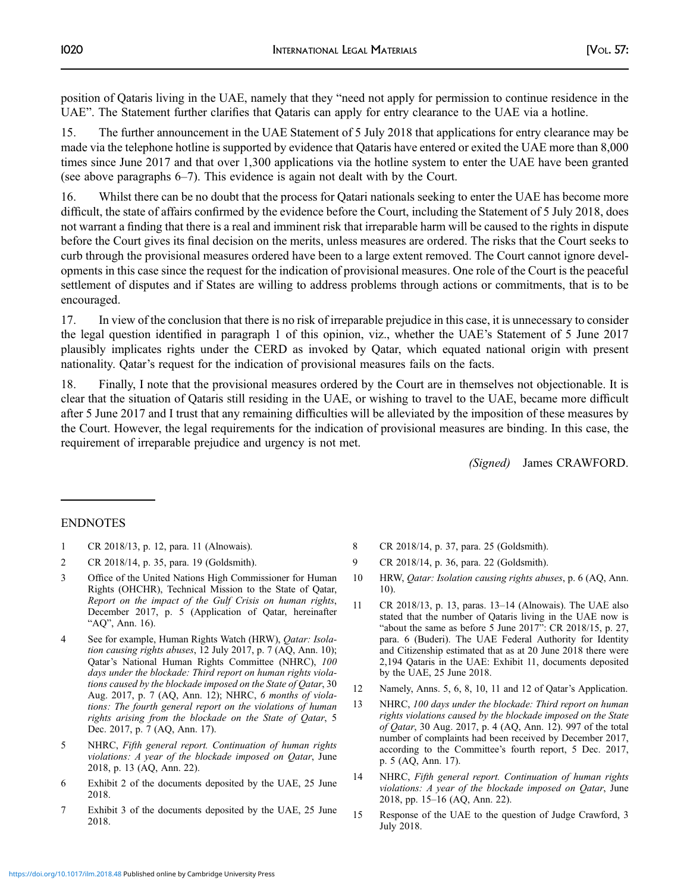<span id="page-47-0"></span>position of Qataris living in the UAE, namely that they "need not apply for permission to continue residence in the UAE". The Statement further clarifies that Qataris can apply for entry clearance to the UAE via a hotline.

15. The further announcement in the UAE Statement of 5 July 2018 that applications for entry clearance may be made via the telephone hotline is supported by evidence that Qataris have entered or exited the UAE more than 8,000 times since June 2017 and that over 1,300 applications via the hotline system to enter the UAE have been granted (see above paragraphs 6–7). This evidence is again not dealt with by the Court.

16. Whilst there can be no doubt that the process for Qatari nationals seeking to enter the UAE has become more difficult, the state of affairs confirmed by the evidence before the Court, including the Statement of 5 July 2018, does not warrant a finding that there is a real and imminent risk that irreparable harm will be caused to the rights in dispute before the Court gives its final decision on the merits, unless measures are ordered. The risks that the Court seeks to curb through the provisional measures ordered have been to a large extent removed. The Court cannot ignore developments in this case since the request for the indication of provisional measures. One role of the Court is the peaceful settlement of disputes and if States are willing to address problems through actions or commitments, that is to be encouraged.

17. In view of the conclusion that there is no risk of irreparable prejudice in this case, it is unnecessary to consider the legal question identified in paragraph 1 of this opinion, viz., whether the UAE's Statement of 5 June 2017 plausibly implicates rights under the CERD as invoked by Qatar, which equated national origin with present nationality. Qatar's request for the indication of provisional measures fails on the facts.

18. Finally, I note that the provisional measures ordered by the Court are in themselves not objectionable. It is clear that the situation of Qataris still residing in the UAE, or wishing to travel to the UAE, became more difficult after 5 June 2017 and I trust that any remaining difficulties will be alleviated by the imposition of these measures by the Court. However, the legal requirements for the indication of provisional measures are binding. In this case, the requirement of irreparable prejudice and urgency is not met.

(Signed) James CRAWFORD.

## ENDNOTES

- 1 CR 2018/13, p. 12, para. 11 (Alnowais).
- 2 CR 2018/14, p. 35, para. 19 (Goldsmith).
- 3 Office of the United Nations High Commissioner for Human Rights (OHCHR), Technical Mission to the State of Qatar, Report on the impact of the Gulf Crisis on human rights, December 2017, p. 5 (Application of Qatar, hereinafter "AQ", Ann. 16).
- 4 See for example, Human Rights Watch (HRW), *Qatar: Isola*tion causing rights abuses, 12 July 2017, p. 7 (AQ, Ann. 10); Qatar's National Human Rights Committee (NHRC), 100 days under the blockade: Third report on human rights violations caused by the blockade imposed on the State of Qatar, 30 Aug. 2017, p. 7 (AQ, Ann. 12); NHRC, 6 months of violations: The fourth general report on the violations of human rights arising from the blockade on the State of Qatar, 5 Dec. 2017, p. 7 (AQ, Ann. 17).
- 5 NHRC, Fifth general report. Continuation of human rights violations: A year of the blockade imposed on Qatar, June 2018, p. 13 (AQ, Ann. 22).
- 6 Exhibit 2 of the documents deposited by the UAE, 25 June 2018.
- 7 Exhibit 3 of the documents deposited by the UAE, 25 June 2018.
- 8 CR 2018/14, p. 37, para. 25 (Goldsmith).
- 9 CR 2018/14, p. 36, para. 22 (Goldsmith).
- 10 HRW, Qatar: Isolation causing rights abuses, p. 6 (AQ, Ann. 10).
- 11 CR 2018/13, p. 13, paras. 13–14 (Alnowais). The UAE also stated that the number of Qataris living in the UAE now is "about the same as before 5 June 2017": CR 2018/15, p. 27, para. 6 (Buderi). The UAE Federal Authority for Identity and Citizenship estimated that as at 20 June 2018 there were 2,194 Qataris in the UAE: Exhibit 11, documents deposited by the UAE, 25 June 2018.
- 12 Namely, Anns. 5, 6, 8, 10, 11 and 12 of Qatar's Application.
- 13 NHRC, 100 days under the blockade: Third report on human rights violations caused by the blockade imposed on the State of Qatar, 30 Aug. 2017, p. 4 (AQ, Ann. 12). 997 of the total number of complaints had been received by December 2017, according to the Committee's fourth report, 5 Dec. 2017, p. 5 (AQ, Ann. 17).
- 14 NHRC, Fifth general report. Continuation of human rights violations: A year of the blockade imposed on Qatar, June 2018, pp. 15–16 (AQ, Ann. 22).
- 15 Response of the UAE to the question of Judge Crawford, 3 July 2018.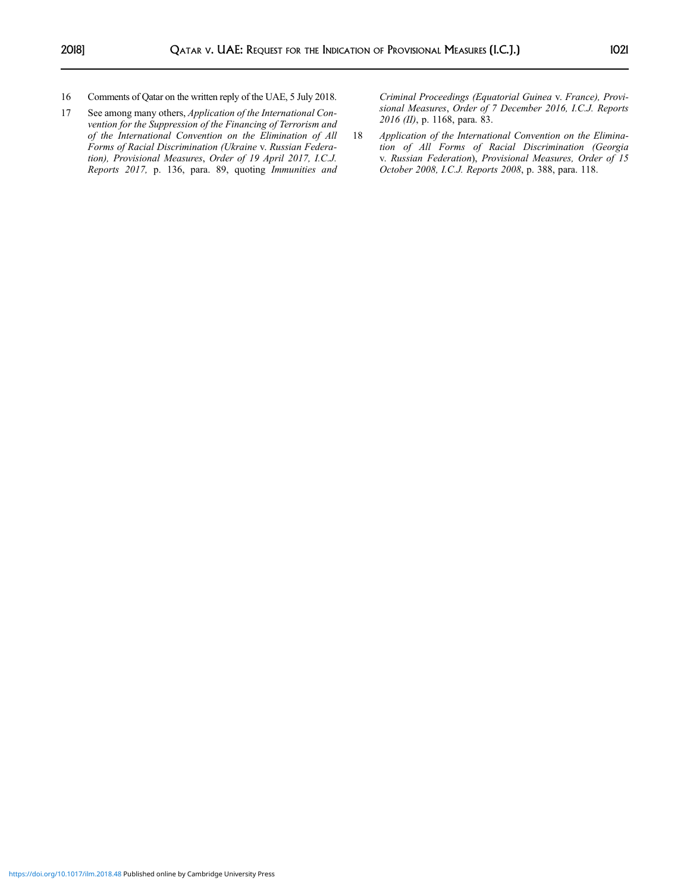- <span id="page-48-0"></span>16 Comments of Qatar on the written reply of the UAE, 5 July 2018.
- 17 See among many others, Application of the International Convention for the Suppression of the Financing of Terrorism and of the International Convention on the Elimination of All Forms of Racial Discrimination (Ukraine v. Russian Federation), Provisional Measures, Order of 19 April 2017, I.C.J. Reports 2017, p. 136, para. 89, quoting Immunities and

Criminal Proceedings (Equatorial Guinea v. France), Provisional Measures, Order of 7 December 2016, I.C.J. Reports 2016 (II), p. 1168, para. 83.

18 Application of the International Convention on the Elimination of All Forms of Racial Discrimination (Georgia v. Russian Federation), Provisional Measures, Order of 15 October 2008, I.C.J. Reports 2008, p. 388, para. 118.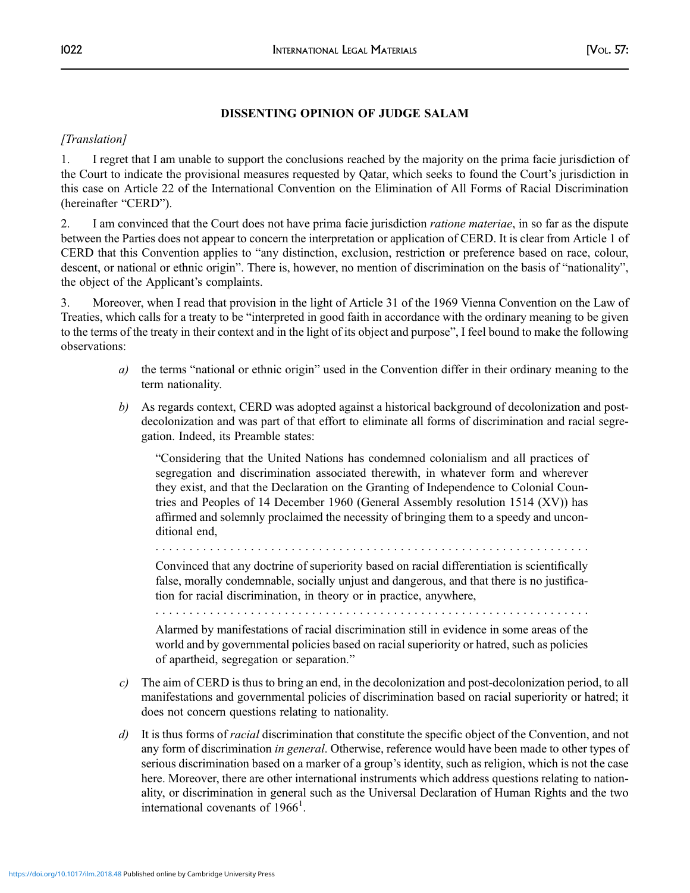## DISSENTING OPINION OF JUDGE SALAM

# [Translation]

1. I regret that I am unable to support the conclusions reached by the majority on the prima facie jurisdiction of the Court to indicate the provisional measures requested by Qatar, which seeks to found the Court's jurisdiction in this case on Article 22 of the International Convention on the Elimination of All Forms of Racial Discrimination (hereinafter "CERD").

2. I am convinced that the Court does not have prima facie jurisdiction *ratione materiae*, in so far as the dispute between the Parties does not appear to concern the interpretation or application of CERD. It is clear from Article 1 of CERD that this Convention applies to "any distinction, exclusion, restriction or preference based on race, colour, descent, or national or ethnic origin". There is, however, no mention of discrimination on the basis of "nationality", the object of the Applicant's complaints.

3. Moreover, when I read that provision in the light of Article 31 of the 1969 Vienna Convention on the Law of Treaties, which calls for a treaty to be "interpreted in good faith in accordance with the ordinary meaning to be given to the terms of the treaty in their context and in the light of its object and purpose", I feel bound to make the following observations:

- a) the terms "national or ethnic origin" used in the Convention differ in their ordinary meaning to the term nationality.
- b) As regards context, CERD was adopted against a historical background of decolonization and postdecolonization and was part of that effort to eliminate all forms of discrimination and racial segregation. Indeed, its Preamble states:

"Considering that the United Nations has condemned colonialism and all practices of segregation and discrimination associated therewith, in whatever form and wherever they exist, and that the Declaration on the Granting of Independence to Colonial Countries and Peoples of 14 December 1960 (General Assembly resolution 1514 (XV)) has affirmed and solemnly proclaimed the necessity of bringing them to a speedy and unconditional end,

................................................................

Convinced that any doctrine of superiority based on racial differentiation is scientifically false, morally condemnable, socially unjust and dangerous, and that there is no justification for racial discrimination, in theory or in practice, anywhere,

................................................................

Alarmed by manifestations of racial discrimination still in evidence in some areas of the world and by governmental policies based on racial superiority or hatred, such as policies of apartheid, segregation or separation."

- c) The aim of CERD is thus to bring an end, in the decolonization and post-decolonization period, to all manifestations and governmental policies of discrimination based on racial superiority or hatred; it does not concern questions relating to nationality.
- d) It is thus forms of *racial* discrimination that constitute the specific object of the Convention, and not any form of discrimination in general. Otherwise, reference would have been made to other types of serious discrimination based on a marker of a group's identity, such as religion, which is not the case here. Moreover, there are other international instruments which address questions relating to nationality, or discrimination in general such as the Universal Declaration of Human Rights and the two international covenants of 1966<sup>1</sup>.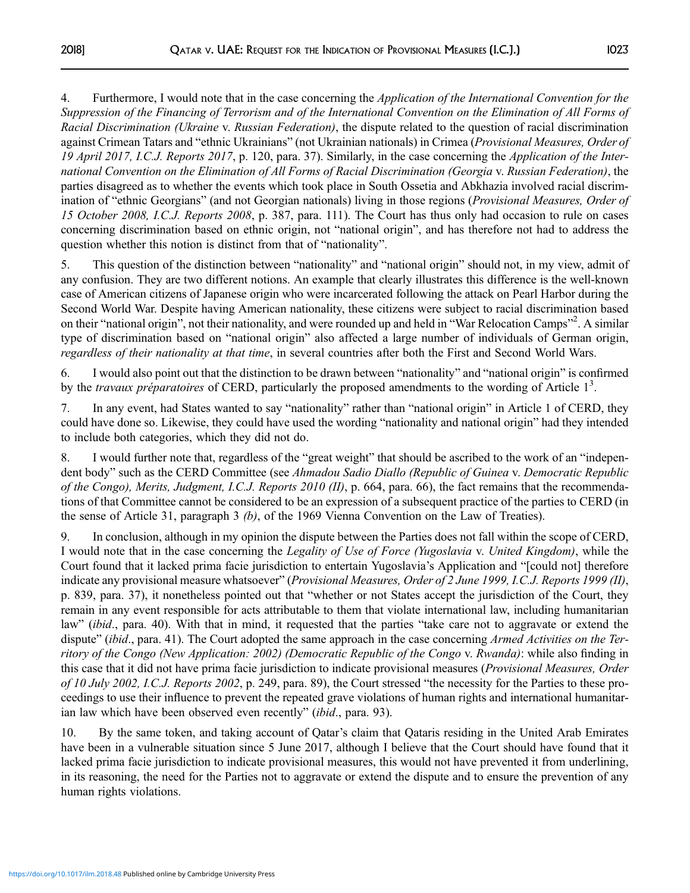4. Furthermore, I would note that in the case concerning the *Application of the International Convention for the* Suppression of the Financing of Terrorism and of the International Convention on the Elimination of All Forms of Racial Discrimination (Ukraine v. Russian Federation), the dispute related to the question of racial discrimination against Crimean Tatars and "ethnic Ukrainians" (not Ukrainian nationals) in Crimea (Provisional Measures, Order of 19 April 2017, I.C.J. Reports 2017, p. 120, para. 37). Similarly, in the case concerning the Application of the International Convention on the Elimination of All Forms of Racial Discrimination (Georgia v. Russian Federation), the parties disagreed as to whether the events which took place in South Ossetia and Abkhazia involved racial discrimination of "ethnic Georgians" (and not Georgian nationals) living in those regions (Provisional Measures, Order of 15 October 2008, I.C.J. Reports 2008, p. 387, para. 111). The Court has thus only had occasion to rule on cases concerning discrimination based on ethnic origin, not "national origin", and has therefore not had to address the question whether this notion is distinct from that of "nationality".

5. This question of the distinction between "nationality" and "national origin" should not, in my view, admit of any confusion. They are two different notions. An example that clearly illustrates this difference is the well-known case of American citizens of Japanese origin who were incarcerated following the attack on Pearl Harbor during the Second World War. Despite having American nationality, these citizens were subject to racial discrimination based on their "national origin", not their nationality, and were rounded up and held in "War Relocation Camps"<sup>2</sup>. A similar type of discrimination based on "national origin" also affected a large number of individuals of German origin, regardless of their nationality at that time, in several countries after both the First and Second World Wars.

6. I would also point out that the distinction to be drawn between "nationality" and "national origin" is confirmed by the travaux préparatoires of CERD, particularly the proposed amendments to the wording of Article  $1<sup>3</sup>$ .

7. In any event, had States wanted to say "nationality" rather than "national origin" in Article 1 of CERD, they could have done so. Likewise, they could have used the wording "nationality and national origin" had they intended to include both categories, which they did not do.

8. I would further note that, regardless of the "great weight" that should be ascribed to the work of an "independent body" such as the CERD Committee (see Ahmadou Sadio Diallo (Republic of Guinea v. Democratic Republic of the Congo), Merits, Judgment, I.C.J. Reports 2010 (II), p. 664, para. 66), the fact remains that the recommendations of that Committee cannot be considered to be an expression of a subsequent practice of the parties to CERD (in the sense of Article 31, paragraph 3 (b), of the 1969 Vienna Convention on the Law of Treaties).

9. In conclusion, although in my opinion the dispute between the Parties does not fall within the scope of CERD, I would note that in the case concerning the Legality of Use of Force (Yugoslavia v. United Kingdom), while the Court found that it lacked prima facie jurisdiction to entertain Yugoslavia's Application and "[could not] therefore indicate any provisional measure whatsoever" (Provisional Measures, Order of 2 June 1999, I.C.J. Reports 1999 (II), p. 839, para. 37), it nonetheless pointed out that "whether or not States accept the jurisdiction of the Court, they remain in any event responsible for acts attributable to them that violate international law, including humanitarian law" (*ibid.*, para. 40). With that in mind, it requested that the parties "take care not to aggravate or extend the dispute" (ibid., para. 41). The Court adopted the same approach in the case concerning Armed Activities on the Territory of the Congo (New Application: 2002) (Democratic Republic of the Congo v. Rwanda): while also finding in this case that it did not have prima facie jurisdiction to indicate provisional measures (Provisional Measures, Order of 10 July 2002, I.C.J. Reports 2002, p. 249, para. 89), the Court stressed "the necessity for the Parties to these proceedings to use their influence to prevent the repeated grave violations of human rights and international humanitarian law which have been observed even recently" (ibid., para. 93).

10. By the same token, and taking account of Qatar's claim that Qataris residing in the United Arab Emirates have been in a vulnerable situation since 5 June 2017, although I believe that the Court should have found that it lacked prima facie jurisdiction to indicate provisional measures, this would not have prevented it from underlining, in its reasoning, the need for the Parties not to aggravate or extend the dispute and to ensure the prevention of any human rights violations.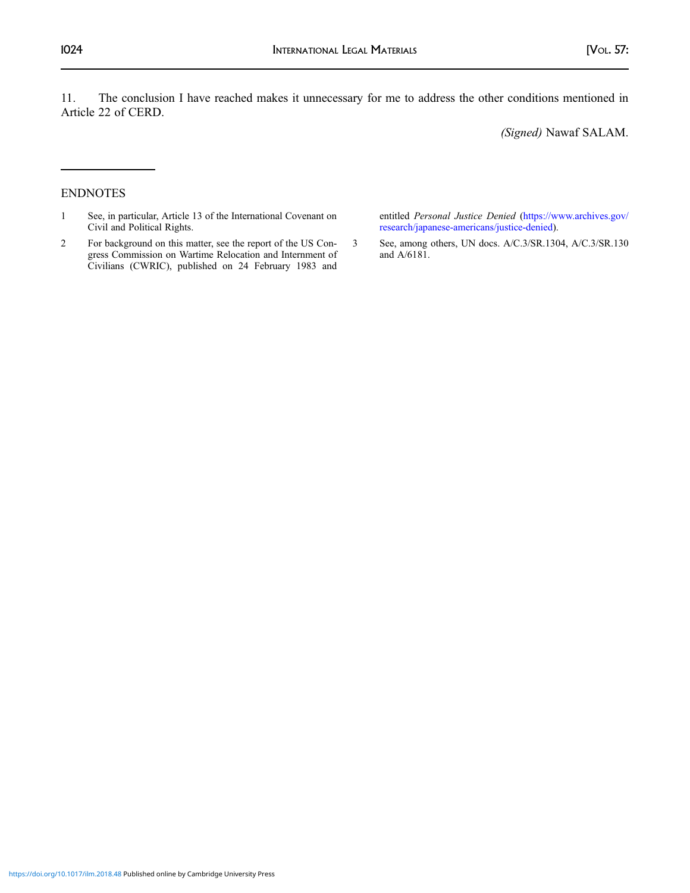11. The conclusion I have reached makes it unnecessary for me to address the other conditions mentioned in Article 22 of CERD.

(Signed) Nawaf SALAM.

### ENDNOTES

- 1 See, in particular, Article 13 of the International Covenant on Civil and Political Rights.
- 2 For background on this matter, see the report of the US Congress Commission on Wartime Relocation and Internment of Civilians (CWRIC), published on 24 February 1983 and

entitled Personal Justice Denied [\(https://www.archives.gov/](https://www.archives.gov/research/japanese-americans/justice-denied) [research/japanese-americans/justice-denied\)](https://www.archives.gov/research/japanese-americans/justice-denied).

3 See, among others, UN docs. A/C.3/SR.1304, A/C.3/SR.130 and A/6181.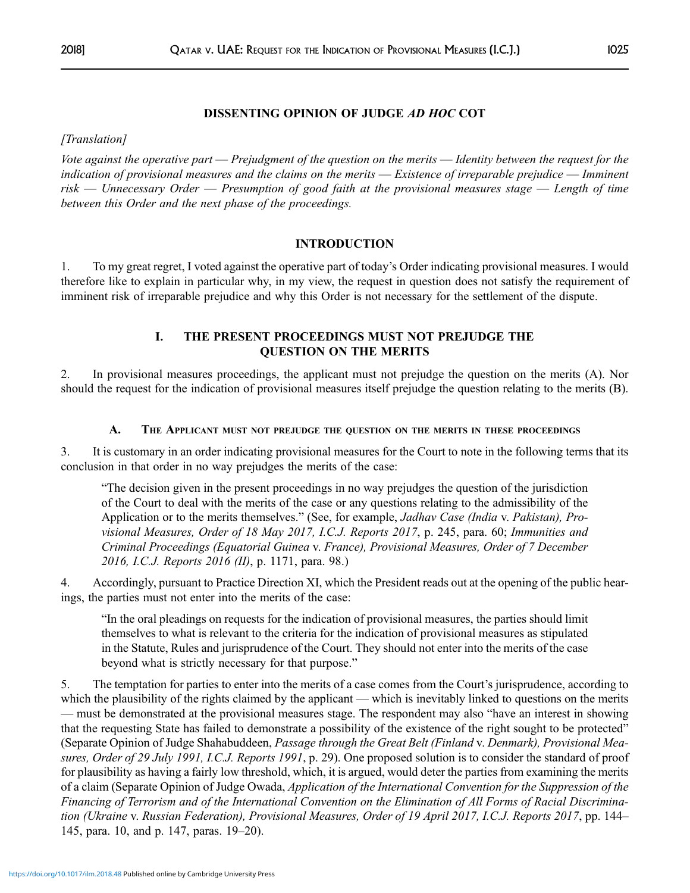## DISSENTING OPINION OF JUDGE AD HOC COT

[Translation]

Vote against the operative part — Prejudgment of the question on the merits — Identity between the request for the indication of provisional measures and the claims on the merits — Existence of irreparable prejudice — Imminent risk — Unnecessary Order — Presumption of good faith at the provisional measures stage — Length of time between this Order and the next phase of the proceedings.

### INTRODUCTION

1. To my great regret, I voted against the operative part of today's Order indicating provisional measures. I would therefore like to explain in particular why, in my view, the request in question does not satisfy the requirement of imminent risk of irreparable prejudice and why this Order is not necessary for the settlement of the dispute.

## I. THE PRESENT PROCEEDINGS MUST NOT PREJUDGE THE QUESTION ON THE MERITS

2. In provisional measures proceedings, the applicant must not prejudge the question on the merits (A). Nor should the request for the indication of provisional measures itself prejudge the question relating to the merits (B).

### A. THE APPLICANT MUST NOT PREJUDGE THE QUESTION ON THE MERITS IN THESE PROCEEDINGS

3. It is customary in an order indicating provisional measures for the Court to note in the following terms that its conclusion in that order in no way prejudges the merits of the case:

"The decision given in the present proceedings in no way prejudges the question of the jurisdiction of the Court to deal with the merits of the case or any questions relating to the admissibility of the Application or to the merits themselves." (See, for example, *Jadhav Case (India v. Pakistan), Pro*visional Measures, Order of 18 May 2017, I.C.J. Reports 2017, p. 245, para. 60; Immunities and Criminal Proceedings (Equatorial Guinea v. France), Provisional Measures, Order of 7 December 2016, I.C.J. Reports 2016 (II), p. 1171, para. 98.)

4. Accordingly, pursuant to Practice Direction XI, which the President reads out at the opening of the public hearings, the parties must not enter into the merits of the case:

"In the oral pleadings on requests for the indication of provisional measures, the parties should limit themselves to what is relevant to the criteria for the indication of provisional measures as stipulated in the Statute, Rules and jurisprudence of the Court. They should not enter into the merits of the case beyond what is strictly necessary for that purpose."

5. The temptation for parties to enter into the merits of a case comes from the Court's jurisprudence, according to which the plausibility of the rights claimed by the applicant — which is inevitably linked to questions on the merits — must be demonstrated at the provisional measures stage. The respondent may also "have an interest in showing that the requesting State has failed to demonstrate a possibility of the existence of the right sought to be protected" (Separate Opinion of Judge Shahabuddeen, Passage through the Great Belt (Finland v. Denmark), Provisional Measures, Order of 29 July 1991, I.C.J. Reports 1991, p. 29). One proposed solution is to consider the standard of proof for plausibility as having a fairly low threshold, which, it is argued, would deter the parties from examining the merits of a claim (Separate Opinion of Judge Owada, Application of the International Convention for the Suppression of the Financing of Terrorism and of the International Convention on the Elimination of All Forms of Racial Discrimination (Ukraine v. Russian Federation), Provisional Measures, Order of 19 April 2017, I.C.J. Reports 2017, pp. 144– 145, para. 10, and p. 147, paras. 19–20).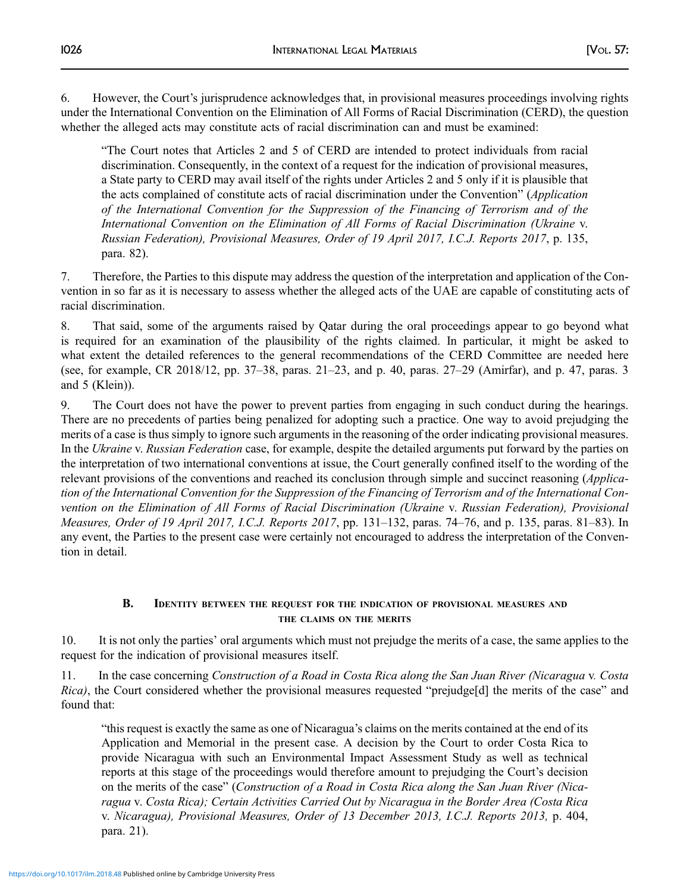6. However, the Court's jurisprudence acknowledges that, in provisional measures proceedings involving rights under the International Convention on the Elimination of All Forms of Racial Discrimination (CERD), the question whether the alleged acts may constitute acts of racial discrimination can and must be examined:

"The Court notes that Articles 2 and 5 of CERD are intended to protect individuals from racial discrimination. Consequently, in the context of a request for the indication of provisional measures, a State party to CERD may avail itself of the rights under Articles 2 and 5 only if it is plausible that the acts complained of constitute acts of racial discrimination under the Convention" (Application of the International Convention for the Suppression of the Financing of Terrorism and of the International Convention on the Elimination of All Forms of Racial Discrimination (Ukraine v. Russian Federation), Provisional Measures, Order of 19 April 2017, I.C.J. Reports 2017, p. 135, para. 82).

7. Therefore, the Parties to this dispute may address the question of the interpretation and application of the Convention in so far as it is necessary to assess whether the alleged acts of the UAE are capable of constituting acts of racial discrimination.

8. That said, some of the arguments raised by Qatar during the oral proceedings appear to go beyond what is required for an examination of the plausibility of the rights claimed. In particular, it might be asked to what extent the detailed references to the general recommendations of the CERD Committee are needed here (see, for example, CR 2018/12, pp. 37–38, paras. 21–23, and p. 40, paras. 27–29 (Amirfar), and p. 47, paras. 3 and 5 (Klein)).

9. The Court does not have the power to prevent parties from engaging in such conduct during the hearings. There are no precedents of parties being penalized for adopting such a practice. One way to avoid prejudging the merits of a case is thus simply to ignore such arguments in the reasoning of the order indicating provisional measures. In the Ukraine v. Russian Federation case, for example, despite the detailed arguments put forward by the parties on the interpretation of two international conventions at issue, the Court generally confined itself to the wording of the relevant provisions of the conventions and reached its conclusion through simple and succinct reasoning (Application of the International Convention for the Suppression of the Financing of Terrorism and of the International Convention on the Elimination of All Forms of Racial Discrimination (Ukraine v. Russian Federation), Provisional Measures, Order of 19 April 2017, I.C.J. Reports 2017, pp. 131–132, paras. 74–76, and p. 135, paras. 81–83). In any event, the Parties to the present case were certainly not encouraged to address the interpretation of the Convention in detail.

## B. IDENTITY BETWEEN THE REQUEST FOR THE INDICATION OF PROVISIONAL MEASURES AND THE CLAIMS ON THE MERITS

10. It is not only the parties' oral arguments which must not prejudge the merits of a case, the same applies to the request for the indication of provisional measures itself.

11. In the case concerning Construction of a Road in Costa Rica along the San Juan River (Nicaragua v. Costa Rica), the Court considered whether the provisional measures requested "prejudge[d] the merits of the case" and found that:

"this request is exactly the same as one of Nicaragua's claims on the merits contained at the end of its Application and Memorial in the present case. A decision by the Court to order Costa Rica to provide Nicaragua with such an Environmental Impact Assessment Study as well as technical reports at this stage of the proceedings would therefore amount to prejudging the Court's decision on the merits of the case" (Construction of a Road in Costa Rica along the San Juan River (Nicaragua v. Costa Rica); Certain Activities Carried Out by Nicaragua in the Border Area (Costa Rica v. Nicaragua), Provisional Measures, Order of 13 December 2013, I.C.J. Reports 2013, p. 404, para. 21).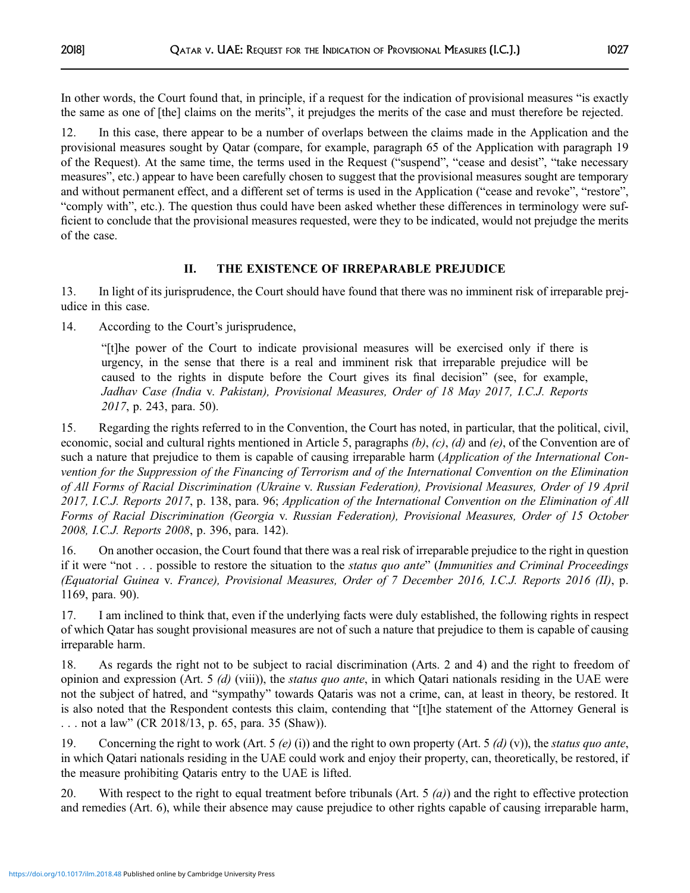In other words, the Court found that, in principle, if a request for the indication of provisional measures "is exactly the same as one of [the] claims on the merits", it prejudges the merits of the case and must therefore be rejected.

12. In this case, there appear to be a number of overlaps between the claims made in the Application and the provisional measures sought by Qatar (compare, for example, paragraph 65 of the Application with paragraph 19 of the Request). At the same time, the terms used in the Request ("suspend", "cease and desist", "take necessary measures", etc.) appear to have been carefully chosen to suggest that the provisional measures sought are temporary and without permanent effect, and a different set of terms is used in the Application ("cease and revoke", "restore", "comply with", etc.). The question thus could have been asked whether these differences in terminology were sufficient to conclude that the provisional measures requested, were they to be indicated, would not prejudge the merits of the case.

# II. THE EXISTENCE OF IRREPARABLE PREJUDICE

13. In light of its jurisprudence, the Court should have found that there was no imminent risk of irreparable prejudice in this case.

14. According to the Court's jurisprudence,

"[t]he power of the Court to indicate provisional measures will be exercised only if there is urgency, in the sense that there is a real and imminent risk that irreparable prejudice will be caused to the rights in dispute before the Court gives its final decision" (see, for example, Jadhav Case (India v. Pakistan), Provisional Measures, Order of 18 May 2017, I.C.J. Reports 2017, p. 243, para. 50).

15. Regarding the rights referred to in the Convention, the Court has noted, in particular, that the political, civil, economic, social and cultural rights mentioned in Article 5, paragraphs  $(b)$ ,  $(c)$ ,  $(d)$  and  $(e)$ , of the Convention are of such a nature that prejudice to them is capable of causing irreparable harm (Application of the International Convention for the Suppression of the Financing of Terrorism and of the International Convention on the Elimination of All Forms of Racial Discrimination (Ukraine v. Russian Federation), Provisional Measures, Order of 19 April 2017, I.C.J. Reports 2017, p. 138, para. 96; Application of the International Convention on the Elimination of All Forms of Racial Discrimination (Georgia v. Russian Federation), Provisional Measures, Order of 15 October 2008, I.C.J. Reports 2008, p. 396, para. 142).

16. On another occasion, the Court found that there was a real risk of irreparable prejudice to the right in question if it were "not . . . possible to restore the situation to the status quo ante" (Immunities and Criminal Proceedings (Equatorial Guinea v. France), Provisional Measures, Order of 7 December 2016, I.C.J. Reports 2016 (II), p. 1169, para. 90).

17. I am inclined to think that, even if the underlying facts were duly established, the following rights in respect of which Qatar has sought provisional measures are not of such a nature that prejudice to them is capable of causing irreparable harm.

18. As regards the right not to be subject to racial discrimination (Arts. 2 and 4) and the right to freedom of opinion and expression (Art. 5  $(d)$  (viii)), the *status quo ante*, in which Qatari nationals residing in the UAE were not the subject of hatred, and "sympathy" towards Qataris was not a crime, can, at least in theory, be restored. It is also noted that the Respondent contests this claim, contending that "[t]he statement of the Attorney General is . . . not a law" (CR 2018/13, p. 65, para. 35 (Shaw)).

19. Concerning the right to work (Art. 5  $(e)$  (i)) and the right to own property (Art. 5  $(d)$  (v)), the status quo ante, in which Qatari nationals residing in the UAE could work and enjoy their property, can, theoretically, be restored, if the measure prohibiting Qataris entry to the UAE is lifted.

20. With respect to the right to equal treatment before tribunals (Art.  $5$  (*a*)) and the right to effective protection and remedies (Art. 6), while their absence may cause prejudice to other rights capable of causing irreparable harm,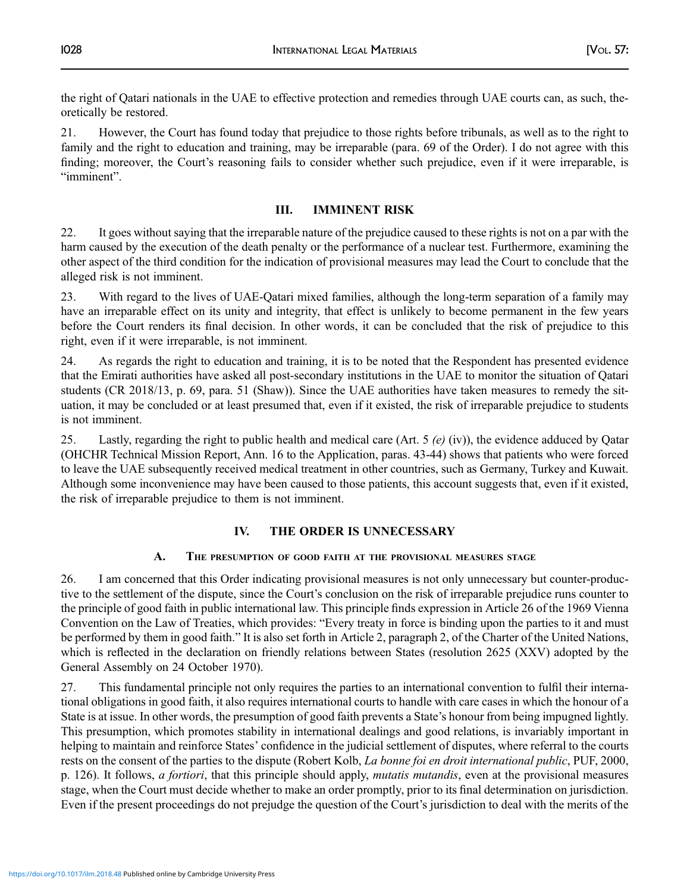the right of Qatari nationals in the UAE to effective protection and remedies through UAE courts can, as such, theoretically be restored.

21. However, the Court has found today that prejudice to those rights before tribunals, as well as to the right to family and the right to education and training, may be irreparable (para. 69 of the Order). I do not agree with this finding; moreover, the Court's reasoning fails to consider whether such prejudice, even if it were irreparable, is "imminent".

# III. IMMINENT RISK

22. It goes without saying that the irreparable nature of the prejudice caused to these rights is not on a par with the harm caused by the execution of the death penalty or the performance of a nuclear test. Furthermore, examining the other aspect of the third condition for the indication of provisional measures may lead the Court to conclude that the alleged risk is not imminent.

23. With regard to the lives of UAE-Qatari mixed families, although the long-term separation of a family may have an irreparable effect on its unity and integrity, that effect is unlikely to become permanent in the few years before the Court renders its final decision. In other words, it can be concluded that the risk of prejudice to this right, even if it were irreparable, is not imminent.

24. As regards the right to education and training, it is to be noted that the Respondent has presented evidence that the Emirati authorities have asked all post-secondary institutions in the UAE to monitor the situation of Qatari students (CR 2018/13, p. 69, para. 51 (Shaw)). Since the UAE authorities have taken measures to remedy the situation, it may be concluded or at least presumed that, even if it existed, the risk of irreparable prejudice to students is not imminent.

25. Lastly, regarding the right to public health and medical care (Art.  $5 \left( e \right)$  (iv)), the evidence adduced by Qatar (OHCHR Technical Mission Report, Ann. 16 to the Application, paras. 43-44) shows that patients who were forced to leave the UAE subsequently received medical treatment in other countries, such as Germany, Turkey and Kuwait. Although some inconvenience may have been caused to those patients, this account suggests that, even if it existed, the risk of irreparable prejudice to them is not imminent.

## IV. THE ORDER IS UNNECESSARY

## A. THE PRESUMPTION OF GOOD FAITH AT THE PROVISIONAL MEASURES STAGE

26. I am concerned that this Order indicating provisional measures is not only unnecessary but counter-productive to the settlement of the dispute, since the Court's conclusion on the risk of irreparable prejudice runs counter to the principle of good faith in public international law. This principle finds expression in Article 26 of the 1969 Vienna Convention on the Law of Treaties, which provides: "Every treaty in force is binding upon the parties to it and must be performed by them in good faith." It is also set forth in Article 2, paragraph 2, of the Charter of the United Nations, which is reflected in the declaration on friendly relations between States (resolution 2625 (XXV) adopted by the General Assembly on 24 October 1970).

27. This fundamental principle not only requires the parties to an international convention to fulfil their international obligations in good faith, it also requires international courts to handle with care cases in which the honour of a State is at issue. In other words, the presumption of good faith prevents a State's honour from being impugned lightly. This presumption, which promotes stability in international dealings and good relations, is invariably important in helping to maintain and reinforce States' confidence in the judicial settlement of disputes, where referral to the courts rests on the consent of the parties to the dispute (Robert Kolb, La bonne foi en droit international public, PUF, 2000, p. 126). It follows, a fortiori, that this principle should apply, mutatis mutandis, even at the provisional measures stage, when the Court must decide whether to make an order promptly, prior to its final determination on jurisdiction. Even if the present proceedings do not prejudge the question of the Court's jurisdiction to deal with the merits of the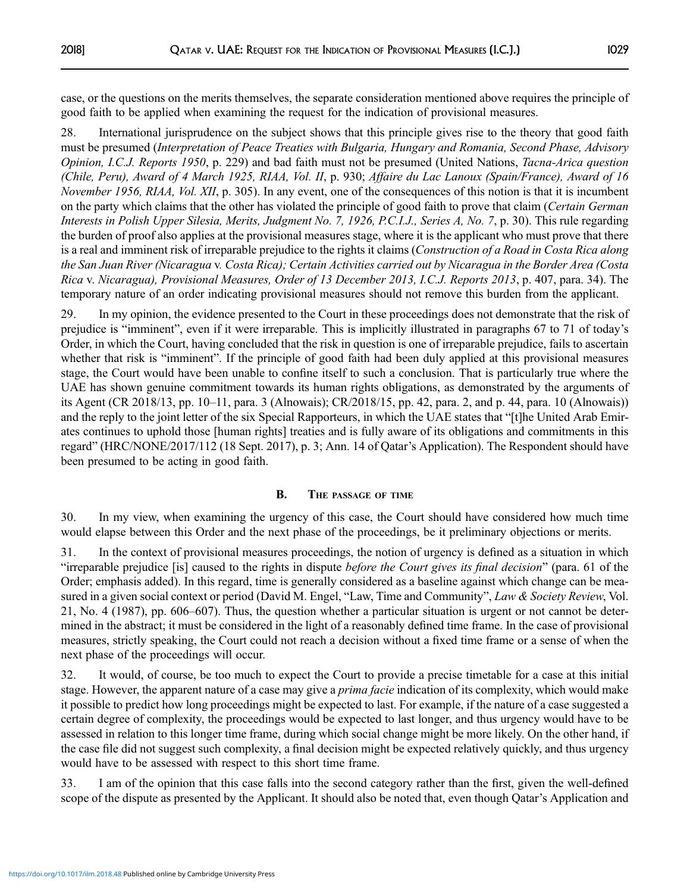case, or the questions on the merits themselves, the separate consideration mentioned above requires the principle of good faith to be applied when examining the request for the indication of provisional measures.

28. International jurisprudence on the subject shows that this principle gives rise to the theory that good faith must be presumed (Interpretation of Peace Treaties with Bulgaria, Hungary and Romania, Second Phase, Advisory Opinion, I.C.J. Reports 1950, p. 229) and bad faith must not be presumed (United Nations, Tacna-Arica question (Chile, Peru), Award of 4 March 1925, RIAA, Vol. II, p. 930; Affaire du Lac Lanoux (Spain/France), Award of 16 November 1956, RIAA, Vol. XII, p. 305). In any event, one of the consequences of this notion is that it is incumbent on the party which claims that the other has violated the principle of good faith to prove that claim (Certain German Interests in Polish Upper Silesia, Merits, Judgment No. 7, 1926, P.C.I.J., Series A, No. 7, p. 30). This rule regarding the burden of proof also applies at the provisional measures stage, where it is the applicant who must prove that there is a real and imminent risk of irreparable prejudice to the rights it claims (Construction of a Road in Costa Rica along the San Juan River (Nicaragua v. Costa Rica); Certain Activities carried out by Nicaragua in the Border Area (Costa Rica v. Nicaragua), Provisional Measures, Order of 13 December 2013, I.C.J. Reports 2013, p. 407, para. 34). The temporary nature of an order indicating provisional measures should not remove this burden from the applicant.

29. In my opinion, the evidence presented to the Court in these proceedings does not demonstrate that the risk of prejudice is "imminent", even if it were irreparable. This is implicitly illustrated in paragraphs 67 to 71 of today's Order, in which the Court, having concluded that the risk in question is one of irreparable prejudice, fails to ascertain whether that risk is "imminent". If the principle of good faith had been duly applied at this provisional measures stage, the Court would have been unable to confine itself to such a conclusion. That is particularly true where the UAE has shown genuine commitment towards its human rights obligations, as demonstrated by the arguments of its Agent (CR 2018/13, pp. 10–11, para. 3 (Alnowais); CR/2018/15, pp. 42, para. 2, and p. 44, para. 10 (Alnowais)) and the reply to the joint letter of the six Special Rapporteurs, in which the UAE states that "[t]he United Arab Emirates continues to uphold those [human rights] treaties and is fully aware of its obligations and commitments in this regard" (HRC/NONE/2017/112 (18 Sept. 2017), p. 3; Ann. 14 of Qatar's Application). The Respondent should have been presumed to be acting in good faith.

## B. THE PASSAGE OF TIME

30. In my view, when examining the urgency of this case, the Court should have considered how much time would elapse between this Order and the next phase of the proceedings, be it preliminary objections or merits.

31. In the context of provisional measures proceedings, the notion of urgency is defined as a situation in which "irreparable prejudice [is] caused to the rights in dispute before the Court gives its final decision" (para. 61 of the Order; emphasis added). In this regard, time is generally considered as a baseline against which change can be measured in a given social context or period (David M. Engel, "Law, Time and Community", Law & Society Review, Vol. 21, No. 4 (1987), pp. 606–607). Thus, the question whether a particular situation is urgent or not cannot be determined in the abstract; it must be considered in the light of a reasonably defined time frame. In the case of provisional measures, strictly speaking, the Court could not reach a decision without a fixed time frame or a sense of when the next phase of the proceedings will occur.

32. It would, of course, be too much to expect the Court to provide a precise timetable for a case at this initial stage. However, the apparent nature of a case may give a *prima facie* indication of its complexity, which would make it possible to predict how long proceedings might be expected to last. For example, if the nature of a case suggested a certain degree of complexity, the proceedings would be expected to last longer, and thus urgency would have to be assessed in relation to this longer time frame, during which social change might be more likely. On the other hand, if the case file did not suggest such complexity, a final decision might be expected relatively quickly, and thus urgency would have to be assessed with respect to this short time frame.

33. I am of the opinion that this case falls into the second category rather than the first, given the well-defined scope of the dispute as presented by the Applicant. It should also be noted that, even though Qatar's Application and